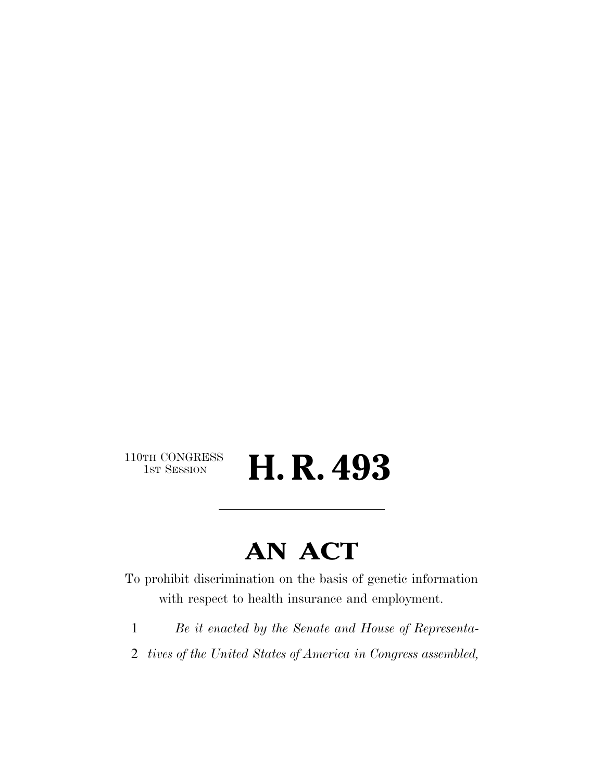110TH CONGRESS<br>1st Session

H. R. 493

# **AN ACT**

To prohibit discrimination on the basis of genetic information with respect to health insurance and employment.

- 1 *Be it enacted by the Senate and House of Representa-*
- 2 *tives of the United States of America in Congress assembled,*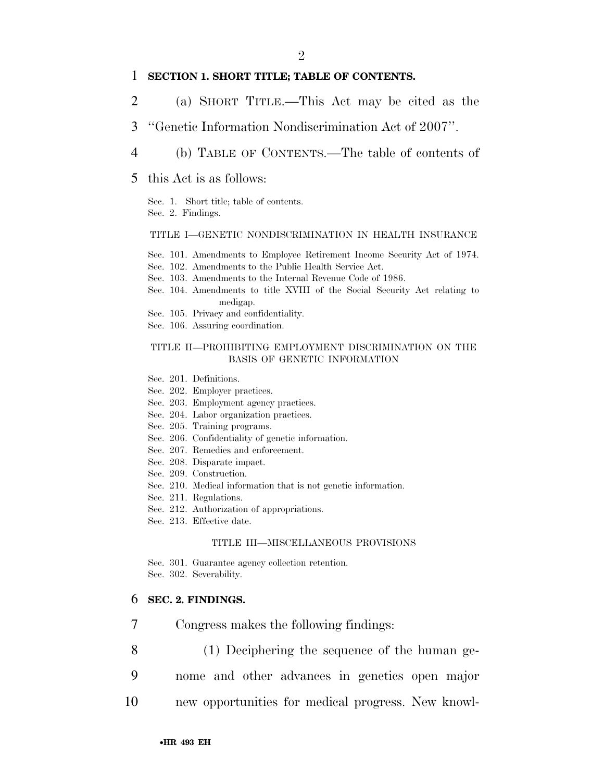### 1 **SECTION 1. SHORT TITLE; TABLE OF CONTENTS.**

- 2 (a) SHORT TITLE.—This Act may be cited as the
- 3 ''Genetic Information Nondiscrimination Act of 2007''.
- 4 (b) TABLE OF CONTENTS.—The table of contents of
- 5 this Act is as follows:

Sec. 1. Short title; table of contents. Sec. 2. Findings.

#### TITLE I—GENETIC NONDISCRIMINATION IN HEALTH INSURANCE

Sec. 101. Amendments to Employee Retirement Income Security Act of 1974.

- Sec. 102. Amendments to the Public Health Service Act.
- Sec. 103. Amendments to the Internal Revenue Code of 1986.
- Sec. 104. Amendments to title XVIII of the Social Security Act relating to medigap.
- Sec. 105. Privacy and confidentiality.
- Sec. 106. Assuring coordination.

#### TITLE II—PROHIBITING EMPLOYMENT DISCRIMINATION ON THE BASIS OF GENETIC INFORMATION

- Sec. 201. Definitions.
- Sec. 202. Employer practices.
- Sec. 203. Employment agency practices.
- Sec. 204. Labor organization practices.
- Sec. 205. Training programs.
- Sec. 206. Confidentiality of genetic information.
- Sec. 207. Remedies and enforcement.
- Sec. 208. Disparate impact.
- Sec. 209. Construction.
- Sec. 210. Medical information that is not genetic information.
- Sec. 211. Regulations.
- Sec. 212. Authorization of appropriations.
- Sec. 213. Effective date.

#### TITLE III—MISCELLANEOUS PROVISIONS

Sec. 301. Guarantee agency collection retention. Sec. 302. Severability.

#### 6 **SEC. 2. FINDINGS.**

- 7 Congress makes the following findings:
- 8 (1) Deciphering the sequence of the human ge-
- 9 nome and other advances in genetics open major
- 10 new opportunities for medical progress. New knowl-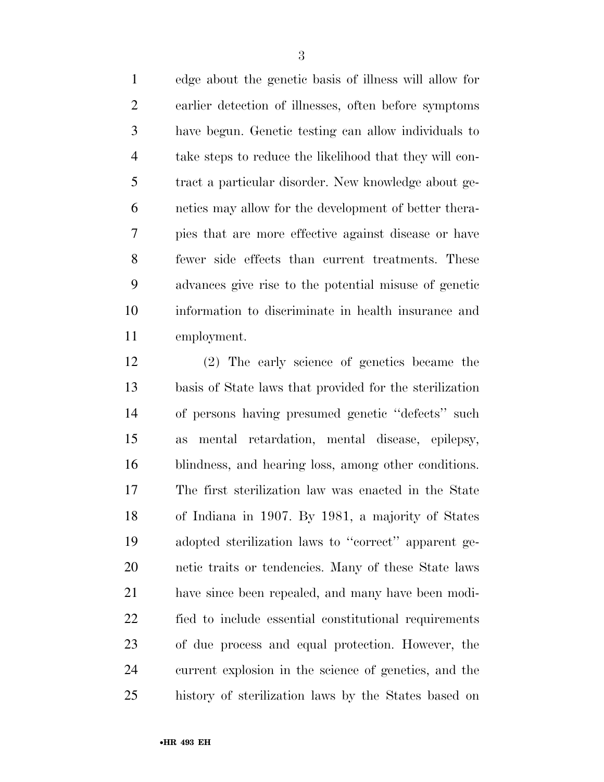edge about the genetic basis of illness will allow for earlier detection of illnesses, often before symptoms have begun. Genetic testing can allow individuals to take steps to reduce the likelihood that they will con- tract a particular disorder. New knowledge about ge- netics may allow for the development of better thera- pies that are more effective against disease or have fewer side effects than current treatments. These advances give rise to the potential misuse of genetic information to discriminate in health insurance and employment.

 (2) The early science of genetics became the basis of State laws that provided for the sterilization of persons having presumed genetic ''defects'' such as mental retardation, mental disease, epilepsy, blindness, and hearing loss, among other conditions. The first sterilization law was enacted in the State of Indiana in 1907. By 1981, a majority of States adopted sterilization laws to ''correct'' apparent ge- netic traits or tendencies. Many of these State laws have since been repealed, and many have been modi- fied to include essential constitutional requirements of due process and equal protection. However, the current explosion in the science of genetics, and the history of sterilization laws by the States based on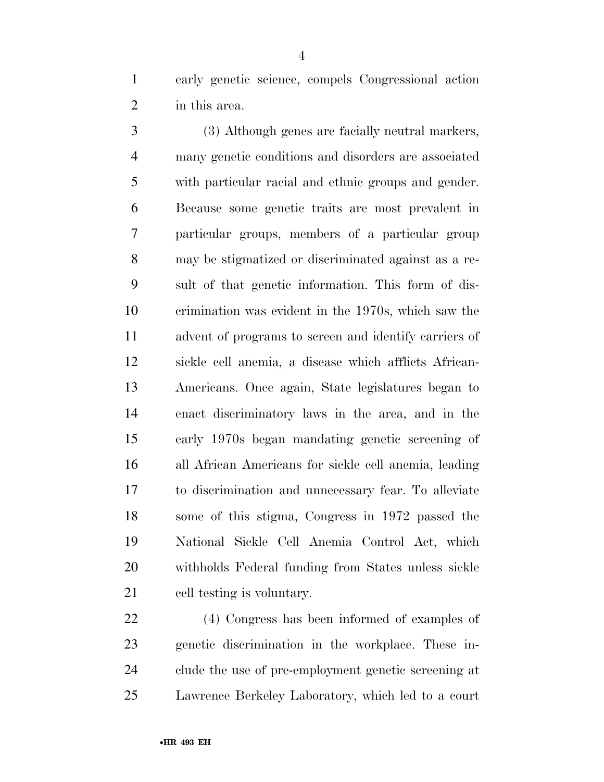early genetic science, compels Congressional action in this area.

 (3) Although genes are facially neutral markers, many genetic conditions and disorders are associated with particular racial and ethnic groups and gender. Because some genetic traits are most prevalent in particular groups, members of a particular group may be stigmatized or discriminated against as a re- sult of that genetic information. This form of dis- crimination was evident in the 1970s, which saw the advent of programs to screen and identify carriers of sickle cell anemia, a disease which afflicts African- Americans. Once again, State legislatures began to enact discriminatory laws in the area, and in the early 1970s began mandating genetic screening of all African Americans for sickle cell anemia, leading to discrimination and unnecessary fear. To alleviate some of this stigma, Congress in 1972 passed the National Sickle Cell Anemia Control Act, which withholds Federal funding from States unless sickle cell testing is voluntary.

 (4) Congress has been informed of examples of genetic discrimination in the workplace. These in- clude the use of pre-employment genetic screening at Lawrence Berkeley Laboratory, which led to a court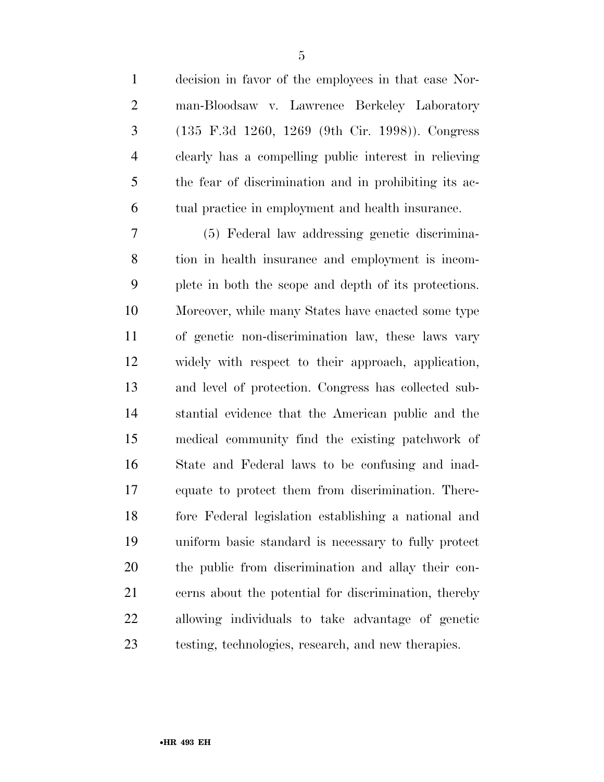decision in favor of the employees in that case Nor- man-Bloodsaw v. Lawrence Berkeley Laboratory (135 F.3d 1260, 1269 (9th Cir. 1998)). Congress clearly has a compelling public interest in relieving the fear of discrimination and in prohibiting its ac-tual practice in employment and health insurance.

 (5) Federal law addressing genetic discrimina- tion in health insurance and employment is incom- plete in both the scope and depth of its protections. Moreover, while many States have enacted some type of genetic non-discrimination law, these laws vary widely with respect to their approach, application, and level of protection. Congress has collected sub- stantial evidence that the American public and the medical community find the existing patchwork of State and Federal laws to be confusing and inad- equate to protect them from discrimination. There- fore Federal legislation establishing a national and uniform basic standard is necessary to fully protect the public from discrimination and allay their con- cerns about the potential for discrimination, thereby allowing individuals to take advantage of genetic testing, technologies, research, and new therapies.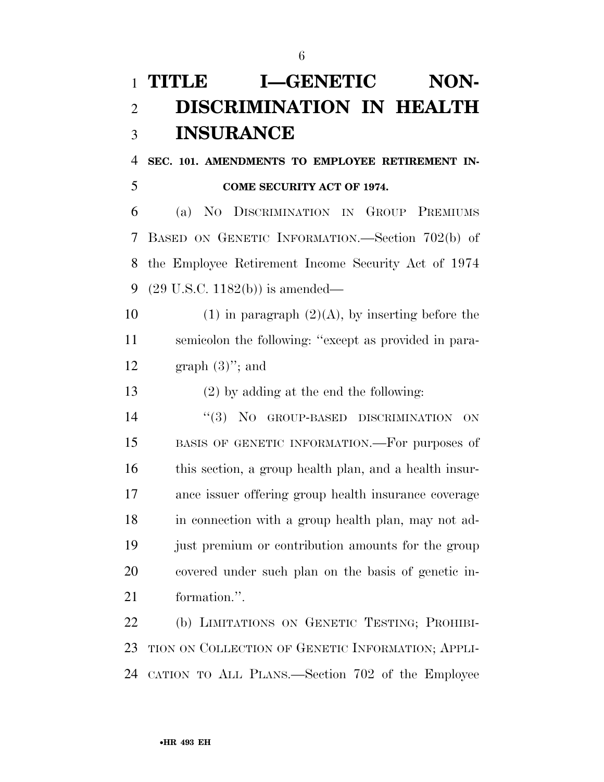## **TITLE I-GENETIC NON- DISCRIMINATION IN HEALTH INSURANCE**

 **SEC. 101. AMENDMENTS TO EMPLOYEE RETIREMENT IN-COME SECURITY ACT OF 1974.** 

 (a) NO DISCRIMINATION IN GROUP PREMIUMS BASED ON GENETIC INFORMATION.—Section 702(b) of the Employee Retirement Income Security Act of 1974 (29 U.S.C. 1182(b)) is amended—

10 (1) in paragraph  $(2)(A)$ , by inserting before the semicolon the following: ''except as provided in para-12 graph  $(3)$ "; and

(2) by adding at the end the following:

 $(3)$  No GROUP-BASED DISCRIMINATION ON BASIS OF GENETIC INFORMATION.—For purposes of this section, a group health plan, and a health insur- ance issuer offering group health insurance coverage in connection with a group health plan, may not ad- just premium or contribution amounts for the group covered under such plan on the basis of genetic in-formation.''.

 (b) LIMITATIONS ON GENETIC TESTING; PROHIBI- TION ON COLLECTION OF GENETIC INFORMATION; APPLI-CATION TO ALL PLANS.—Section 702 of the Employee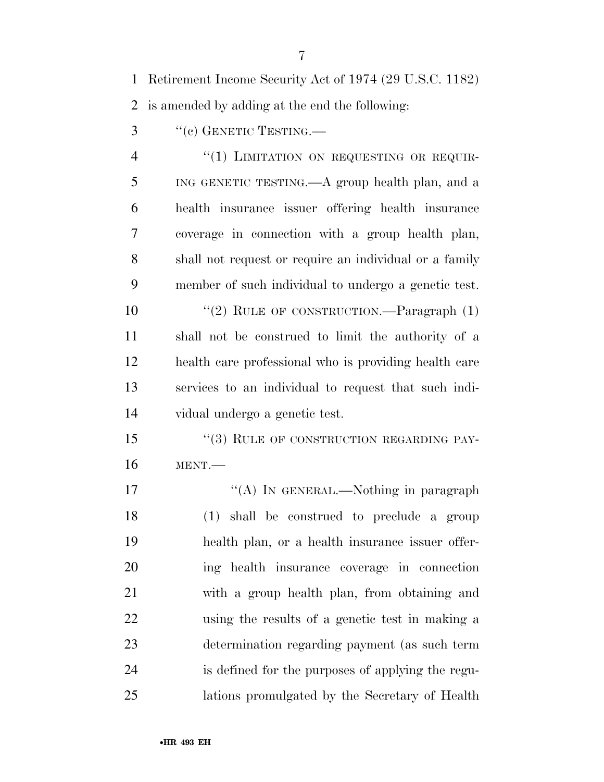Retirement Income Security Act of 1974 (29 U.S.C. 1182)

is amended by adding at the end the following:

3 "(c) GENETIC TESTING.—

4 "(1) LIMITATION ON REQUESTING OR REQUIR- ING GENETIC TESTING.—A group health plan, and a health insurance issuer offering health insurance coverage in connection with a group health plan, shall not request or require an individual or a family member of such individual to undergo a genetic test.

10 "(2) RULE OF CONSTRUCTION.—Paragraph (1) shall not be construed to limit the authority of a health care professional who is providing health care services to an individual to request that such indi-vidual undergo a genetic test.

15 "(3) RULE OF CONSTRUCTION REGARDING PAY-MENT.—

17 "'(A) In GENERAL.—Nothing in paragraph (1) shall be construed to preclude a group health plan, or a health insurance issuer offer- ing health insurance coverage in connection with a group health plan, from obtaining and using the results of a genetic test in making a determination regarding payment (as such term is defined for the purposes of applying the regu-lations promulgated by the Secretary of Health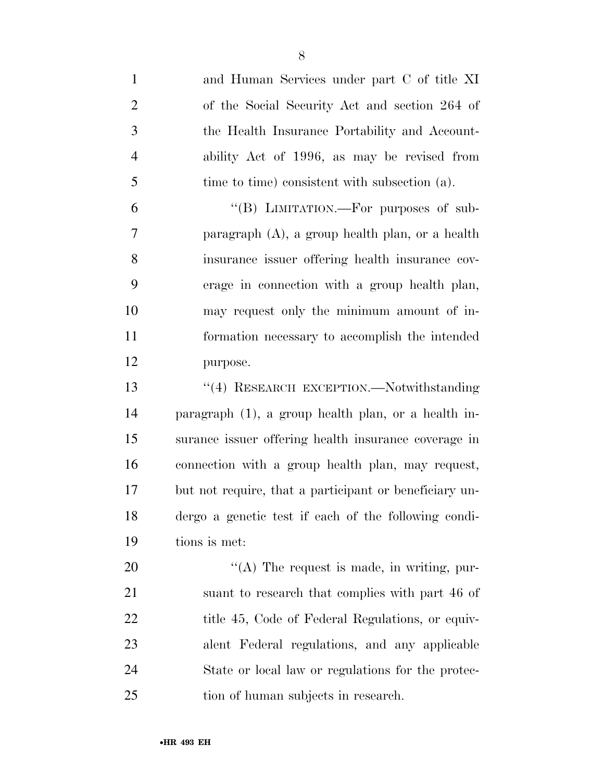and Human Services under part C of title XI of the Social Security Act and section 264 of the Health Insurance Portability and Account- ability Act of 1996, as may be revised from time to time) consistent with subsection (a). 6 "(B) LIMITATION.—For purposes of sub- paragraph (A), a group health plan, or a health insurance issuer offering health insurance cov- erage in connection with a group health plan, may request only the minimum amount of in- formation necessary to accomplish the intended purpose. ''(4) RESEARCH EXCEPTION.—Notwithstanding paragraph (1), a group health plan, or a health in- surance issuer offering health insurance coverage in connection with a group health plan, may request, but not require, that a participant or beneficiary un- dergo a genetic test if each of the following condi- tions is met:  $\langle (A)$  The request is made, in writing, pur- suant to research that complies with part 46 of 22 title 45, Code of Federal Regulations, or equiv- alent Federal regulations, and any applicable State or local law or regulations for the protec-

tion of human subjects in research.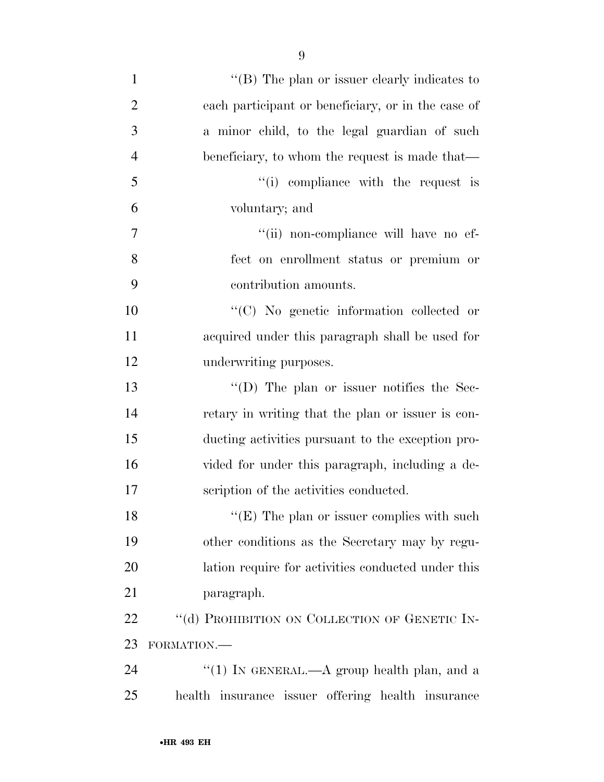| $\mathbf{1}$   | "(B) The plan or issuer clearly indicates to       |
|----------------|----------------------------------------------------|
| $\overline{2}$ | each participant or beneficiary, or in the case of |
| 3              | a minor child, to the legal guardian of such       |
| $\overline{4}$ | beneficiary, to whom the request is made that—     |
| 5              | "(i) compliance with the request is                |
| 6              | voluntary; and                                     |
| 7              | "(ii) non-compliance will have no ef-              |
| 8              | fect on enrollment status or premium or            |
| 9              | contribution amounts.                              |
| 10             | "(C) No genetic information collected or           |
| 11             | acquired under this paragraph shall be used for    |
| 12             | underwriting purposes.                             |
| 13             | $\lq\lq$ (D) The plan or issuer notifies the Sec-  |
| 14             | retary in writing that the plan or issuer is con-  |
| 15             | ducting activities pursuant to the exception pro-  |
| 16             | vided for under this paragraph, including a de-    |
| 17             | scription of the activities conducted.             |
| 18             | " $(E)$ The plan or issuer complies with such      |
| 19             | other conditions as the Secretary may by regu-     |
| 20             | lation require for activities conducted under this |
| 21             | paragraph.                                         |
| 22             | "(d) PROHIBITION ON COLLECTION OF GENETIC IN-      |
| 23             | FORMATION.-                                        |
| 24             | "(1) IN GENERAL.—A group health plan, and a        |
| 25             | health insurance issuer offering health insurance  |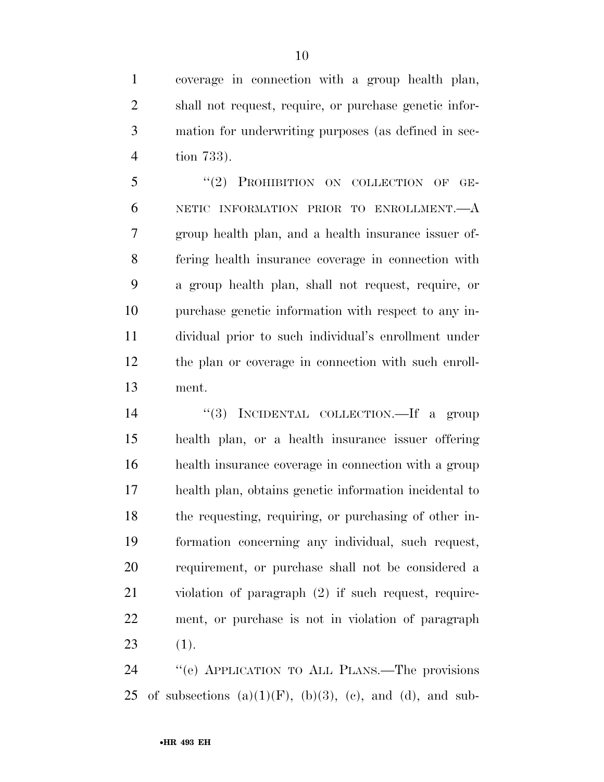coverage in connection with a group health plan, shall not request, require, or purchase genetic infor- mation for underwriting purposes (as defined in sec-tion 733).

5 "(2) PROHIBITION ON COLLECTION OF GE- NETIC INFORMATION PRIOR TO ENROLLMENT.—A group health plan, and a health insurance issuer of- fering health insurance coverage in connection with a group health plan, shall not request, require, or purchase genetic information with respect to any in- dividual prior to such individual's enrollment under the plan or coverage in connection with such enroll-ment.

14 "(3) INCIDENTAL COLLECTION.—If a group health plan, or a health insurance issuer offering health insurance coverage in connection with a group health plan, obtains genetic information incidental to the requesting, requiring, or purchasing of other in- formation concerning any individual, such request, requirement, or purchase shall not be considered a violation of paragraph (2) if such request, require- ment, or purchase is not in violation of paragraph (1).

 ''(e) APPLICATION TO ALL PLANS.—The provisions 25 of subsections  $(a)(1)(F)$ ,  $(b)(3)$ ,  $(c)$ , and  $(d)$ , and sub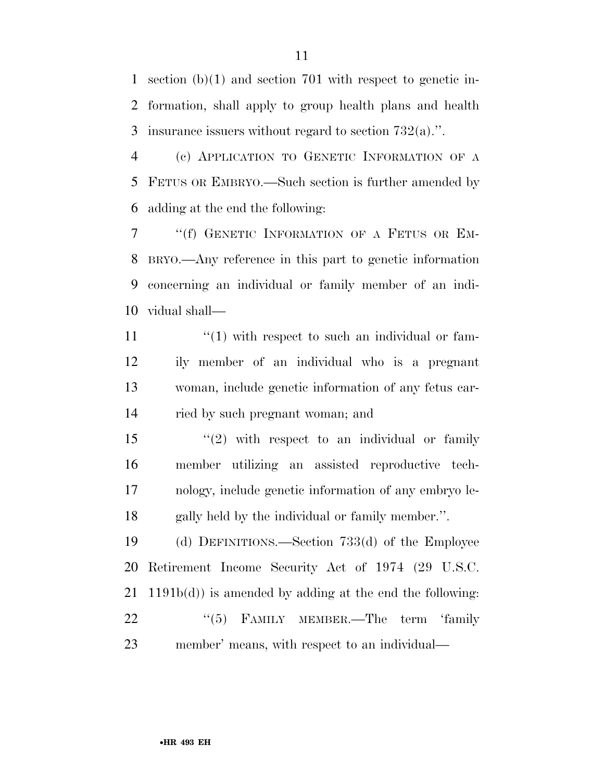section (b)(1) and section 701 with respect to genetic in- formation, shall apply to group health plans and health insurance issuers without regard to section 732(a).''.

 (c) APPLICATION TO GENETIC INFORMATION OF A FETUS OR EMBRYO.—Such section is further amended by adding at the end the following:

 ''(f) GENETIC INFORMATION OF A FETUS OR EM- BRYO.—Any reference in this part to genetic information concerning an individual or family member of an indi-vidual shall—

 $\frac{11}{11}$  ''(1) with respect to such an individual or fam- ily member of an individual who is a pregnant woman, include genetic information of any fetus car-ried by such pregnant woman; and

15 "(2) with respect to an individual or family member utilizing an assisted reproductive tech- nology, include genetic information of any embryo le-gally held by the individual or family member.''.

 (d) DEFINITIONS.—Section 733(d) of the Employee Retirement Income Security Act of 1974 (29 U.S.C. 1191b(d)) is amended by adding at the end the following: 22 "(5) FAMILY MEMBER.—The term 'family member' means, with respect to an individual—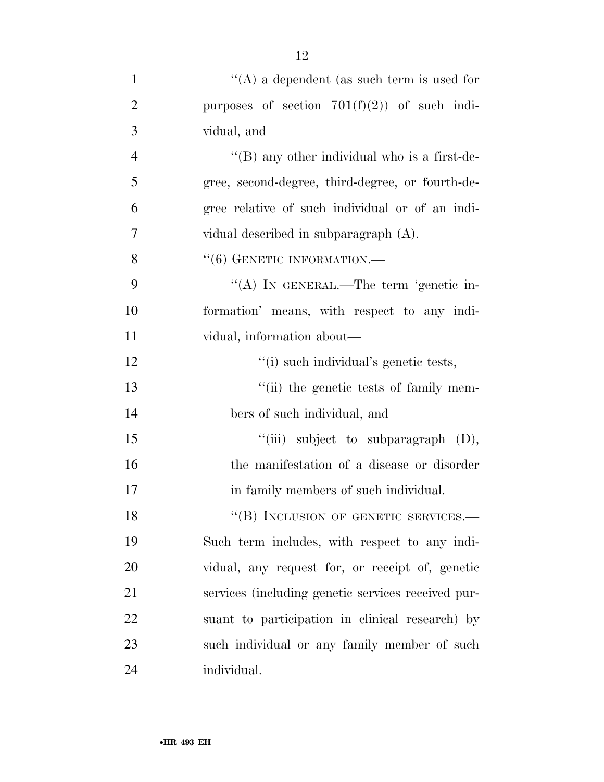| $\mathbf{1}$   | "(A) a dependent (as such term is used for           |
|----------------|------------------------------------------------------|
| $\overline{2}$ | purposes of section $701(f)(2)$ of such indi-        |
| 3              | vidual, and                                          |
| $\overline{4}$ | $\lq\lq$ (B) any other individual who is a first-de- |
| 5              | gree, second-degree, third-degree, or fourth-de-     |
| 6              | gree relative of such individual or of an indi-      |
| 7              | vidual described in subparagraph (A).                |
| 8              | $``(6)$ GENETIC INFORMATION.—                        |
| 9              | "(A) IN GENERAL.—The term 'genetic in-               |
| 10             | formation' means, with respect to any indi-          |
| 11             | vidual, information about—                           |
| 12             | "(i) such individual's genetic tests,                |
| 13             | "(ii) the genetic tests of family mem-               |
| 14             | bers of such individual, and                         |
| 15             | "(iii) subject to subparagraph $(D)$ ,               |
| 16             | the manifestation of a disease or disorder           |
| 17             | in family members of such individual.                |
| 18             | "(B) INCLUSION OF GENETIC SERVICES.-                 |
| 19             | Such term includes, with respect to any indi-        |
| 20             | vidual, any request for, or receipt of, genetic      |
| 21             | services (including genetic services received pur-   |
| 22             | suant to participation in clinical research) by      |
| 23             | such individual or any family member of such         |
| 24             | individual.                                          |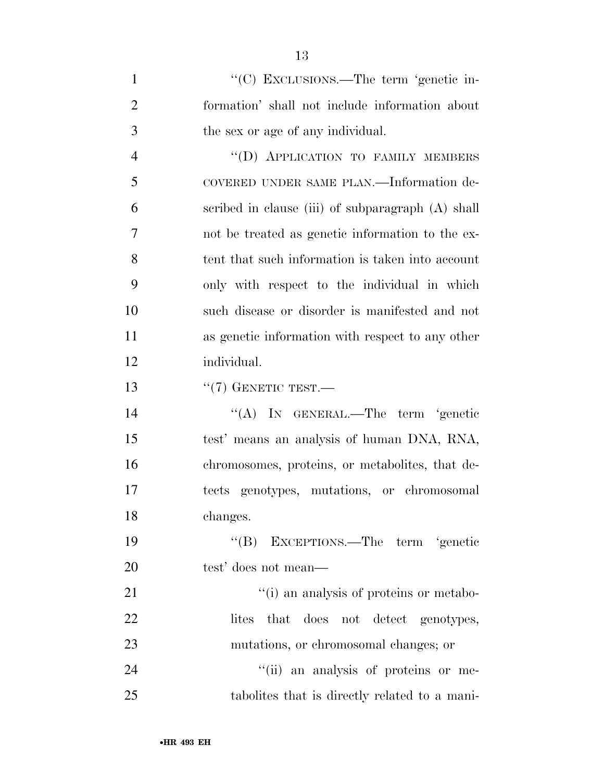| $\mathbf{1}$   | "(C) EXCLUSIONS.—The term 'genetic in-            |
|----------------|---------------------------------------------------|
| $\overline{2}$ | formation' shall not include information about    |
| 3              | the sex or age of any individual.                 |
| $\overline{4}$ | "(D) APPLICATION TO FAMILY MEMBERS                |
| 5              | COVERED UNDER SAME PLAN.—Information de-          |
| 6              | scribed in clause (iii) of subparagraph (A) shall |
| $\overline{7}$ | not be treated as genetic information to the ex-  |
| 8              | tent that such information is taken into account  |
| 9              | only with respect to the individual in which      |
| 10             | such disease or disorder is manifested and not    |
| 11             | as genetic information with respect to any other  |
| 12             | individual.                                       |
| 13             | $``(7)$ GENETIC TEST.—                            |
| 14             | "(A) IN GENERAL.—The term 'genetic                |
| 15             | test' means an analysis of human DNA, RNA,        |
| 16             | chromosomes, proteins, or metabolities, that de-  |
| 17             | tects genotypes, mutations, or chromosomal        |
| 18             | changes.                                          |
| 19             | "(B) EXCEPTIONS.—The term 'genetic                |
| 20             | test' does not mean—                              |
| 21             | "(i) an analysis of proteins or metabo-           |
| 22             | that does not detect genotypes,<br>lites          |
| 23             | mutations, or chromosomal changes; or             |
| 24             | "(ii) an analysis of proteins or me-              |
| 25             | tabolities that is directly related to a mani-    |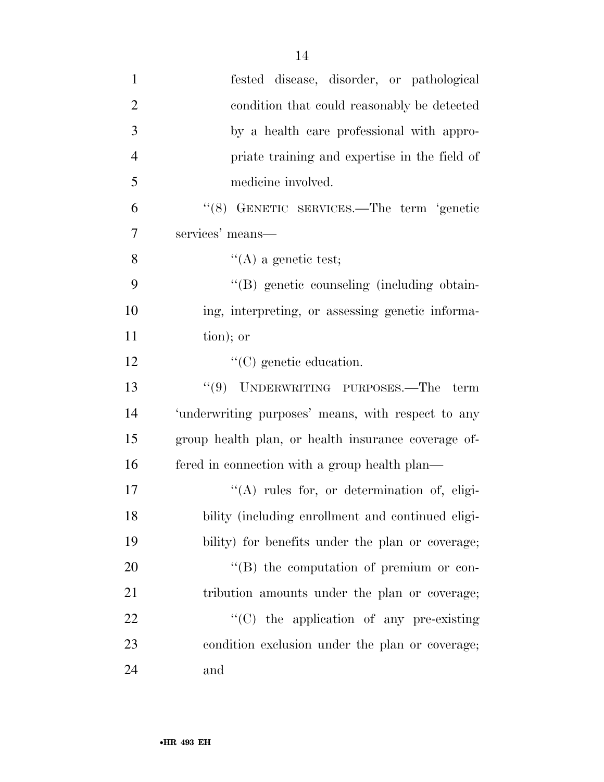| $\mathbf{1}$   | fested disease, disorder, or pathological           |
|----------------|-----------------------------------------------------|
| $\overline{2}$ | condition that could reasonably be detected         |
| 3              | by a health care professional with appro-           |
| $\overline{4}$ | priate training and expertise in the field of       |
| 5              | medicine involved.                                  |
| 6              | "(8) GENETIC SERVICES.—The term 'genetic            |
| 7              | services' means-                                    |
| 8              | $\lq\lq$ (A) a genetic test;                        |
| 9              | "(B) genetic counseling (including obtain-          |
| 10             | ing, interpreting, or assessing genetic informa-    |
| 11             | tion); or                                           |
| 12             | $\lq\lq$ (C) genetic education.                     |
| 13             | "(9) UNDERWRITING PURPOSES.—The term                |
| 14             | 'underwriting purposes' means, with respect to any  |
| 15             | group health plan, or health insurance coverage of- |
| 16             | fered in connection with a group health plan—       |
| 17             | $\lq\lq$ rules for, or determination of, eligi-     |
| 18             | bility (including enrollment and continued eligi-   |
| 19             | bility) for benefits under the plan or coverage;    |
| 20             | $\lq\lq (B)$ the computation of premium or con-     |
| 21             | tribution amounts under the plan or coverage;       |
| 22             | $\cdot$ (C) the application of any pre-existing     |
| 23             | condition exclusion under the plan or coverage;     |
| 24             | and                                                 |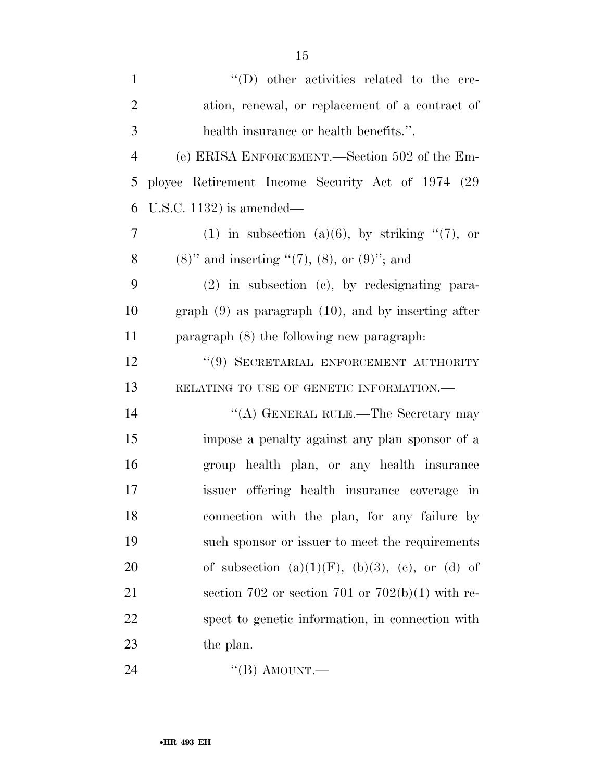| $\mathbf{1}$   | $\lq\lq$ (D) other activities related to the cre-          |
|----------------|------------------------------------------------------------|
| $\overline{2}$ | ation, renewal, or replacement of a contract of            |
| 3              | health insurance or health benefits.".                     |
| $\overline{4}$ | (e) ERISA ENFORCEMENT.—Section 502 of the Em-              |
| 5              | ployee Retirement Income Security Act of 1974 (29)         |
| 6              | U.S.C. 1132) is amended—                                   |
| $\overline{7}$ | (1) in subsection (a)(6), by striking $\lq(7)$ , or        |
| 8              | $(8)$ " and inserting " $(7)$ , $(8)$ , or $(9)$ "; and    |
| 9              | $(2)$ in subsection $(e)$ , by redesignating para-         |
| 10             | graph $(9)$ as paragraph $(10)$ , and by inserting after   |
| 11             | paragraph $(8)$ the following new paragraph:               |
| 12             | "(9) SECRETARIAL ENFORCEMENT AUTHORITY                     |
| 13             | RELATING TO USE OF GENETIC INFORMATION.-                   |
| 14             | "(A) GENERAL RULE.—The Secretary may                       |
| 15             | impose a penalty against any plan sponsor of a             |
| 16             | group health plan, or any health insurance                 |
| 17             | issuer offering health insurance coverage in               |
| 18             | connection with the plan, for any failure by               |
| 19             | such sponsor or issuer to meet the requirements            |
| 20             | of subsection $(a)(1)(F)$ , $(b)(3)$ , $(c)$ , or $(d)$ of |
| 21             | section 702 or section 701 or 702(b)(1) with re-           |
| 22             | spect to genetic information, in connection with           |
| 23             | the plan.                                                  |
|                |                                                            |

24 "(B) AMOUNT.—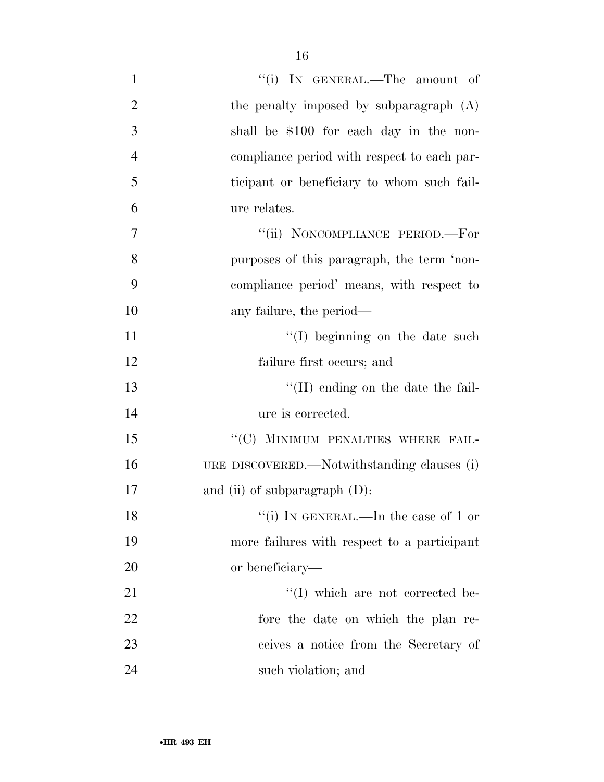| $\mathbf{1}$   | "(i) IN GENERAL.—The amount of              |
|----------------|---------------------------------------------|
| $\overline{2}$ | the penalty imposed by subparagraph (A)     |
| 3              | shall be \$100 for each day in the non-     |
| $\overline{4}$ | compliance period with respect to each par- |
| 5              | ticipant or beneficiary to whom such fail-  |
| 6              | ure relates.                                |
| $\overline{7}$ | "(ii) NONCOMPLIANCE PERIOD.—For             |
| 8              | purposes of this paragraph, the term 'non-  |
| 9              | compliance period' means, with respect to   |
| 10             | any failure, the period—                    |
| 11             | "(I) beginning on the date such             |
| 12             | failure first occurs; and                   |
| 13             | $\lq\lq$ (II) ending on the date the fail-  |
| 14             | ure is corrected.                           |
| 15             | "(C) MINIMUM PENALTIES WHERE FAIL-          |
| 16             | URE DISCOVERED.—Notwithstanding clauses (i) |
| 17             | and (ii) of subparagraph $(D)$ :            |
| 18             | "(i) IN GENERAL.—In the case of 1 or        |
| 19             | more failures with respect to a participant |
| 20             | or beneficiary—                             |
| 21             | $\lq\lq$ (I) which are not corrected be-    |
| 22             | fore the date on which the plan re-         |
| 23             | ceives a notice from the Secretary of       |
| 24             | such violation; and                         |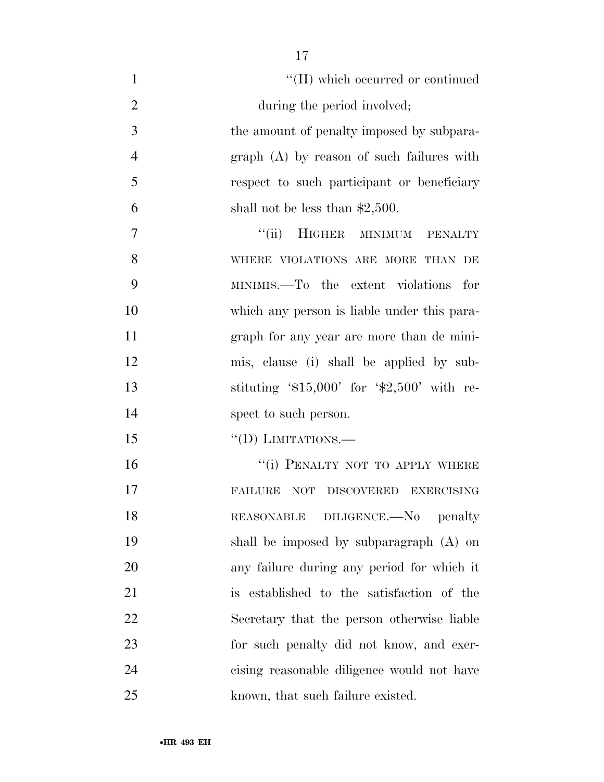| $\mathbf{1}$   | "(II) which occurred or continued             |
|----------------|-----------------------------------------------|
| $\overline{2}$ | during the period involved;                   |
| 3              | the amount of penalty imposed by subpara-     |
| $\overline{4}$ | $graph(A)$ by reason of such failures with    |
| 5              | respect to such participant or beneficiary    |
| 6              | shall not be less than $$2,500$ .             |
| 7              | HIGHER MINIMUM PENALTY<br>``(ii)              |
| 8              | WHERE VIOLATIONS ARE MORE THAN DE             |
| 9              | MINIMIS.—To the extent violations for         |
| 10             | which any person is liable under this para-   |
| 11             | graph for any year are more than de mini-     |
| 12             | mis, clause (i) shall be applied by sub-      |
| 13             | stituting $\$15,000'$ for $\$2,500'$ with re- |
| 14             | spect to such person.                         |
| 15             | $\lq\lq$ (D) LIMITATIONS.—                    |
| 16             | "(i) PENALTY NOT TO APPLY WHERE               |
| 17             | <b>FAILURE</b><br>NOT DISCOVERED EXERCISING   |
| 18             | REASONABLE DILIGENCE.-No penalty              |
| 19             | shall be imposed by subparagraph (A) on       |
| 20             | any failure during any period for which it    |
| 21             | is established to the satisfaction of the     |
| 22             | Secretary that the person otherwise liable    |
| 23             | for such penalty did not know, and exer-      |
| 24             | cising reasonable diligence would not have    |
| 25             | known, that such failure existed.             |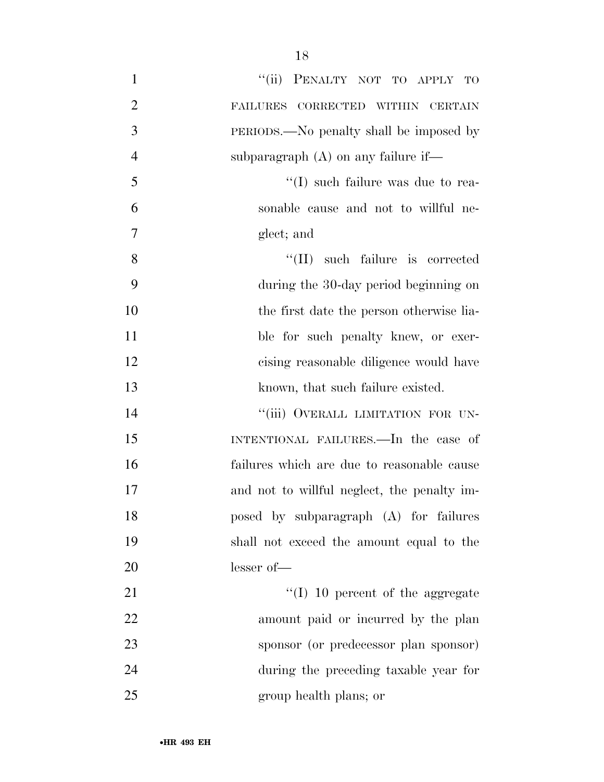| $\mathbf{1}$   | "(ii) PENALTY NOT TO APPLY TO               |
|----------------|---------------------------------------------|
| $\overline{2}$ | FAILURES CORRECTED WITHIN CERTAIN           |
| 3              | PERIODS.—No penalty shall be imposed by     |
| $\overline{4}$ | subparagraph $(A)$ on any failure if—       |
| 5              | $\lq\lq$ (I) such failure was due to rea-   |
| 6              | sonable cause and not to willful ne-        |
| 7              | glect; and                                  |
| 8              | $\lq\lq$ (II) such failure is corrected     |
| 9              | during the 30-day period beginning on       |
| 10             | the first date the person otherwise lia-    |
| 11             | ble for such penalty knew, or exer-         |
| 12             | cising reasonable diligence would have      |
| 13             | known, that such failure existed.           |
| 14             | "(iii) OVERALL LIMITATION FOR UN-           |
| 15             | INTENTIONAL FAILURES.—In the case of        |
| 16             | failures which are due to reasonable cause  |
| 17             | and not to willful neglect, the penalty im- |
| 18             | posed by subparagraph (A) for failures      |
| 19             | shall not exceed the amount equal to the    |
| 20             | lesser of-                                  |
| 21             | $\lq (I)$ 10 percent of the aggregate       |
| 22             | amount paid or incurred by the plan         |
| 23             | sponsor (or predecessor plan sponsor)       |
| 24             | during the preceding taxable year for       |
| 25             | group health plans; or                      |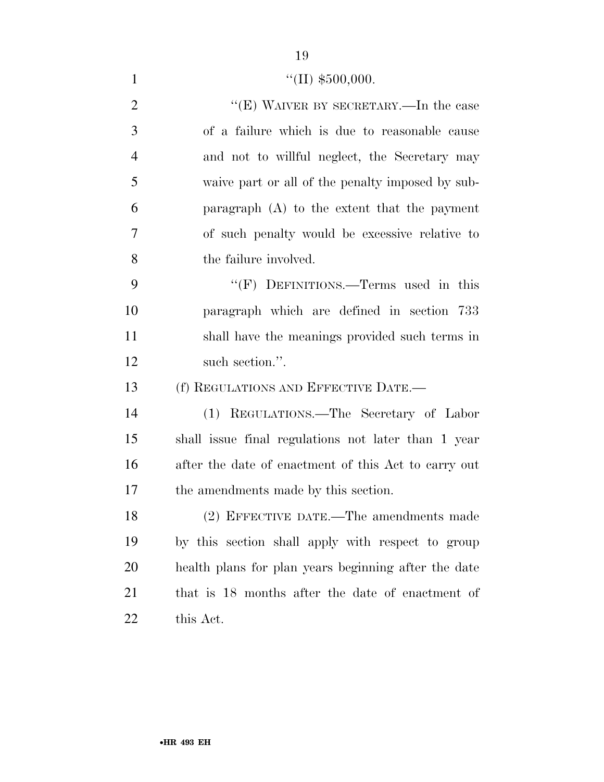1  $\text{``(II)} \, \$500,000.$ 

2 "'(E) WAIVER BY SECRETARY.—In the case of a failure which is due to reasonable cause and not to willful neglect, the Secretary may waive part or all of the penalty imposed by sub- paragraph (A) to the extent that the payment of such penalty would be excessive relative to the failure involved. 9 "'(F) DEFINITIONS.—Terms used in this paragraph which are defined in section 733 shall have the meanings provided such terms in 12 such section.". (f) REGULATIONS AND EFFECTIVE DATE.— (1) REGULATIONS.—The Secretary of Labor shall issue final regulations not later than 1 year after the date of enactment of this Act to carry out the amendments made by this section. (2) EFFECTIVE DATE.—The amendments made by this section shall apply with respect to group health plans for plan years beginning after the date that is 18 months after the date of enactment of this Act.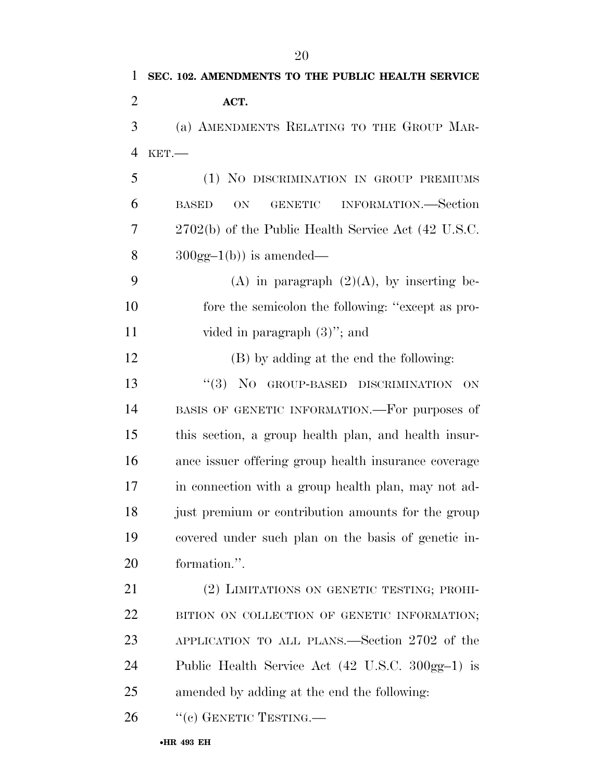| $\mathbf{1}$   | SEC. 102. AMENDMENTS TO THE PUBLIC HEALTH SERVICE                   |
|----------------|---------------------------------------------------------------------|
| $\overline{2}$ | ACT.                                                                |
| 3              | (a) AMENDMENTS RELATING TO THE GROUP MAR-                           |
| $\overline{4}$ | $KET$ .                                                             |
| 5              | (1) NO DISCRIMINATION IN GROUP PREMIUMS                             |
| 6              | INFORMATION.—Section<br><b>GENETIC</b><br><b>BASED</b><br><b>ON</b> |
| 7              | 2702(b) of the Public Health Service Act (42 U.S.C.                 |
| 8              | $300gg-1(b)$ is amended—                                            |
| 9              | (A) in paragraph $(2)(A)$ , by inserting be-                        |
| 10             | fore the semicolon the following: "except as pro-                   |
| 11             | vided in paragraph $(3)$ "; and                                     |
| 12             | (B) by adding at the end the following:                             |
| 13             | "(3) NO GROUP-BASED DISCRIMINATION<br>ON                            |
| 14             | BASIS OF GENETIC INFORMATION.—For purposes of                       |
| 15             | this section, a group health plan, and health insur-                |
| 16             | ance issuer offering group health insurance coverage                |
| 17             | in connection with a group health plan, may not ad-                 |
| 18             | just premium or contribution amounts for the group                  |
| 19             | covered under such plan on the basis of genetic in-                 |
| 20             | formation.".                                                        |
| 21             | (2) LIMITATIONS ON GENETIC TESTING; PROHI-                          |
| <u>22</u>      | BITION ON COLLECTION OF GENETIC INFORMATION;                        |
| 23             | APPLICATION TO ALL PLANS.—Section 2702 of the                       |
| 24             | Public Health Service Act (42 U.S.C. 300gg-1) is                    |
| 25             | amended by adding at the end the following:                         |

26 "(c) GENETIC TESTING.—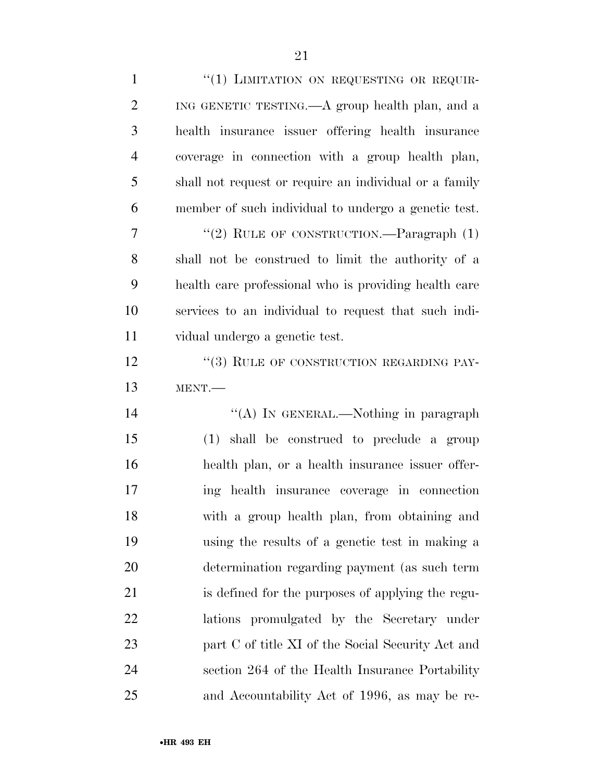| $\mathbf{1}$   | "(1) LIMITATION ON REQUESTING OR REQUIR-               |
|----------------|--------------------------------------------------------|
| $\overline{2}$ | ING GENETIC TESTING.—A group health plan, and a        |
| 3              | health insurance issuer offering health insurance      |
| $\overline{4}$ | coverage in connection with a group health plan,       |
| 5              | shall not request or require an individual or a family |
| 6              | member of such individual to undergo a genetic test.   |
| 7              | "(2) RULE OF CONSTRUCTION. $\qquad$ -Paragraph (1)     |
| 8              | shall not be construed to limit the authority of a     |
| 9              | health care professional who is providing health care  |
| 10             | services to an individual to request that such indi-   |
| <sup>11</sup>  | vidual undergo a genetic test.                         |
| 12             | "(3) RULE OF CONSTRUCTION REGARDING PAY-               |
| 13             | MENT.                                                  |
|                |                                                        |
| 14             | "(A) IN GENERAL.—Nothing in paragraph                  |
| 15             | (1) shall be construed to preclude a group             |
| 16             | health plan, or a health insurance issuer offer-       |
| 17             | ing health insurance coverage in connection            |
| 18             | with a group health plan, from obtaining and           |
| 19             | using the results of a genetic test in making a        |
| 20             | determination regarding payment (as such term          |
| 21             | is defined for the purposes of applying the regu-      |
| 22             | lations promulgated by the Secretary under             |
| 23             | part C of title XI of the Social Security Act and      |
| 24             | section 264 of the Health Insurance Portability        |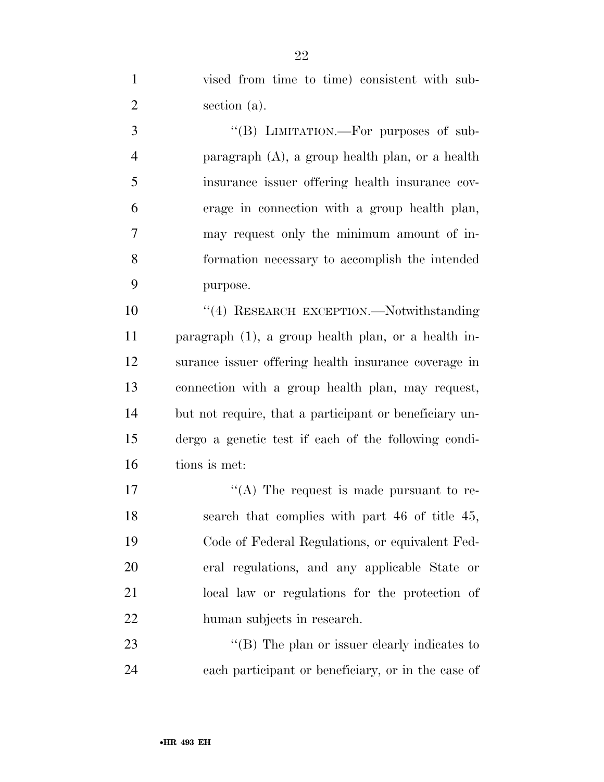vised from time to time) consistent with sub-section (a).

3 "(B) LIMITATION.—For purposes of sub- paragraph (A), a group health plan, or a health insurance issuer offering health insurance cov- erage in connection with a group health plan, may request only the minimum amount of in- formation necessary to accomplish the intended purpose.

 ''(4) RESEARCH EXCEPTION.—Notwithstanding paragraph (1), a group health plan, or a health in- surance issuer offering health insurance coverage in connection with a group health plan, may request, but not require, that a participant or beneficiary un- dergo a genetic test if each of the following condi-tions is met:

 $\langle (A)$  The request is made pursuant to re- search that complies with part 46 of title 45, Code of Federal Regulations, or equivalent Fed- eral regulations, and any applicable State or local law or regulations for the protection of human subjects in research.

23 "'(B) The plan or issuer clearly indicates to each participant or beneficiary, or in the case of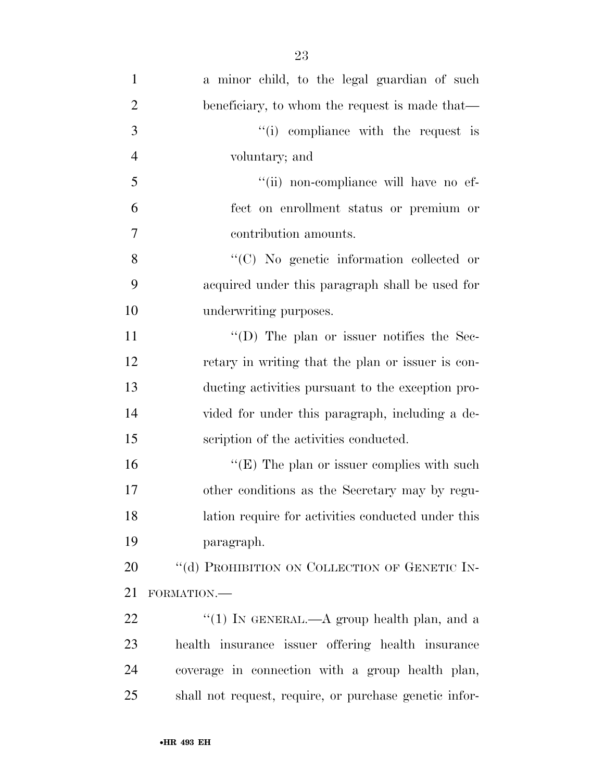| $\mathbf{1}$   | a minor child, to the legal guardian of such           |
|----------------|--------------------------------------------------------|
| $\overline{2}$ | beneficiary, to whom the request is made that—         |
| 3              | "(i) compliance with the request is                    |
| $\overline{4}$ | voluntary; and                                         |
| 5              | "(ii) non-compliance will have no ef-                  |
| 6              | fect on enrollment status or premium or                |
| 7              | contribution amounts.                                  |
| 8              | "(C) No genetic information collected or               |
| 9              | acquired under this paragraph shall be used for        |
| 10             | underwriting purposes.                                 |
| 11             | " $(D)$ The plan or issuer notifies the Sec-           |
| 12             | retary in writing that the plan or issuer is con-      |
| 13             | ducting activities pursuant to the exception pro-      |
| 14             | vided for under this paragraph, including a de-        |
| 15             | scription of the activities conducted.                 |
| 16             | " $(E)$ The plan or issuer complies with such          |
| 17             | other conditions as the Secretary may by regu-         |
| 18             | lation require for activities conducted under this     |
| 19             | paragraph.                                             |
| 20             | "(d) PROHIBITION ON COLLECTION OF GENETIC IN-          |
| 21             | FORMATION.-                                            |
| 22             | "(1) IN GENERAL.—A group health plan, and a            |
| 23             | health insurance issuer offering health insurance      |
| 24             | coverage in connection with a group health plan,       |
| 25             | shall not request, require, or purchase genetic infor- |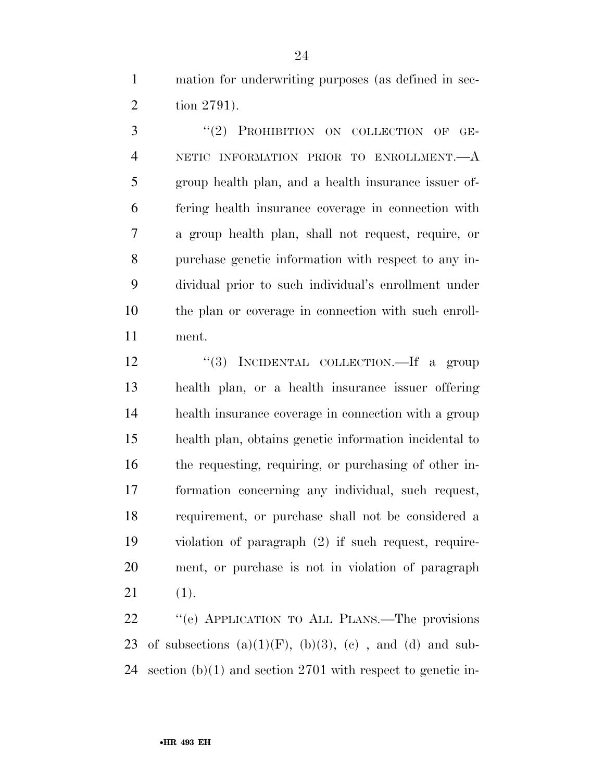mation for underwriting purposes (as defined in sec-tion 2791).

3 "(2) PROHIBITION ON COLLECTION OF GE- NETIC INFORMATION PRIOR TO ENROLLMENT.—A group health plan, and a health insurance issuer of- fering health insurance coverage in connection with a group health plan, shall not request, require, or purchase genetic information with respect to any in- dividual prior to such individual's enrollment under the plan or coverage in connection with such enroll-ment.

12 "(3) INCIDENTAL COLLECTION.—If a group health plan, or a health insurance issuer offering health insurance coverage in connection with a group health plan, obtains genetic information incidental to the requesting, requiring, or purchasing of other in- formation concerning any individual, such request, requirement, or purchase shall not be considered a violation of paragraph (2) if such request, require- ment, or purchase is not in violation of paragraph (1).

 ''(e) APPLICATION TO ALL PLANS.—The provisions 23 of subsections  $(a)(1)(F)$ ,  $(b)(3)$ ,  $(c)$ , and  $(d)$  and sub-section (b)(1) and section 2701 with respect to genetic in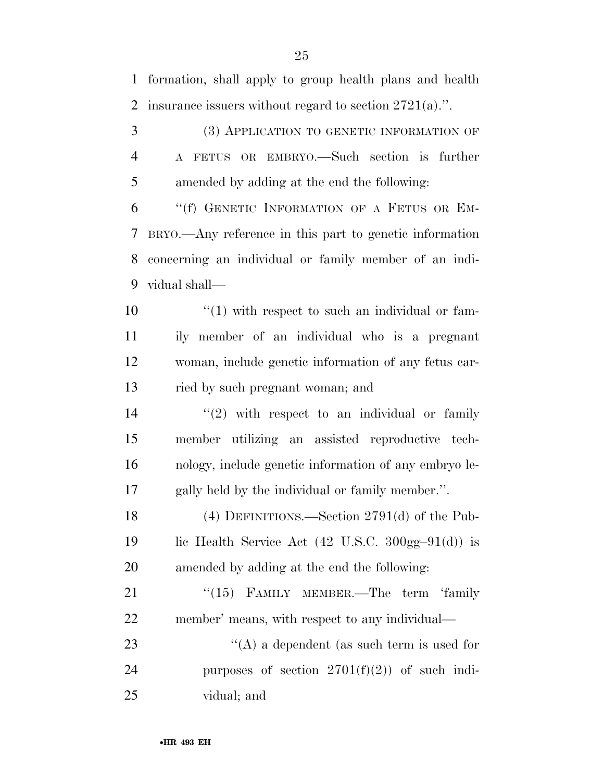formation, shall apply to group health plans and health insurance issuers without regard to section 2721(a).''.

 (3) APPLICATION TO GENETIC INFORMATION OF A FETUS OR EMBRYO.—Such section is further amended by adding at the end the following:

 ''(f) GENETIC INFORMATION OF A FETUS OR EM- BRYO.—Any reference in this part to genetic information concerning an individual or family member of an indi-vidual shall—

 ''(1) with respect to such an individual or fam- ily member of an individual who is a pregnant woman, include genetic information of any fetus car-ried by such pregnant woman; and

 $\frac{14}{2}$  ''(2) with respect to an individual or family member utilizing an assisted reproductive tech- nology, include genetic information of any embryo le-gally held by the individual or family member.''.

 (4) DEFINITIONS.—Section 2791(d) of the Pub-19 lic Health Service Act  $(42 \text{ U.S.C. } 300 \text{ gg} - 91(\text{d}))$  is amended by adding at the end the following:

21 "(15) FAMILY MEMBER.—The term 'family member' means, with respect to any individual—

23  $\langle (A)$  a dependent (as such term is used for 24 purposes of section  $2701(f)(2)$  of such indi-vidual; and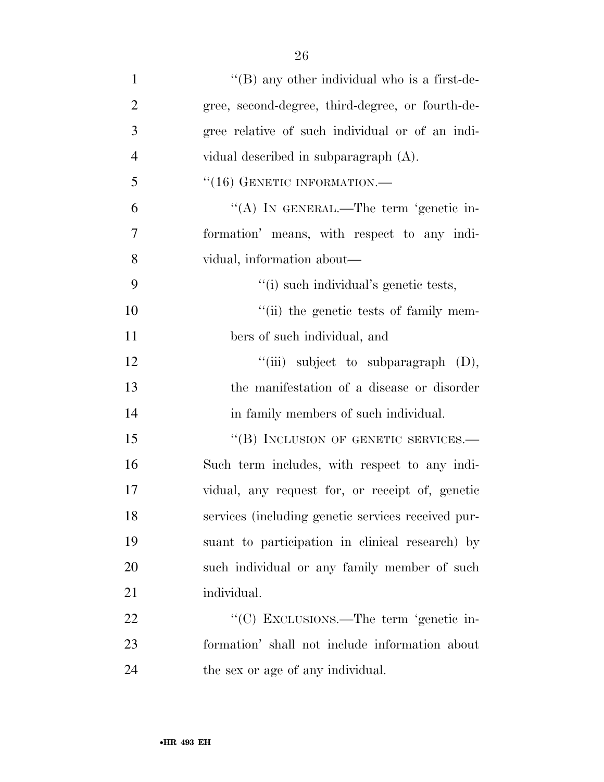| $\mathbf{1}$   | $\lq\lq (B)$ any other individual who is a first-de- |
|----------------|------------------------------------------------------|
| $\overline{2}$ | gree, second-degree, third-degree, or fourth-de-     |
| 3              | gree relative of such individual or of an indi-      |
| $\overline{4}$ | vidual described in subparagraph $(A)$ .             |
| 5              | $``(16)$ GENETIC INFORMATION.—                       |
| 6              | "(A) IN GENERAL.—The term 'genetic in-               |
| 7              | formation' means, with respect to any indi-          |
| 8              | vidual, information about—                           |
| 9              | "(i) such individual's genetic tests,                |
| 10             | "(ii) the genetic tests of family mem-               |
| 11             | bers of such individual, and                         |
| 12             | "(iii) subject to subparagraph $(D)$ ,               |
| 13             | the manifestation of a disease or disorder           |
| 14             | in family members of such individual.                |
| 15             | "(B) INCLUSION OF GENETIC SERVICES.—                 |
| 16             | Such term includes, with respect to any indi-        |
| 17             | vidual, any request for, or receipt of, genetic      |
| 18             | services (including genetic services received pur-   |
| 19             | suant to participation in clinical research) by      |
| 20             | such individual or any family member of such         |
| 21             | individual.                                          |
| 22             | "(C) EXCLUSIONS.—The term 'genetic in-               |
| 23             | formation' shall not include information about       |
|                |                                                      |

24 the sex or age of any individual.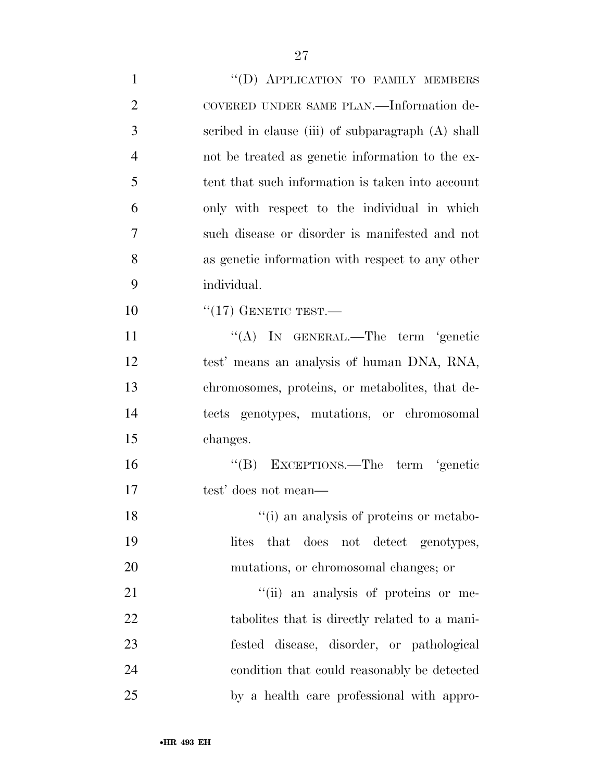1 "(D) APPLICATION TO FAMILY MEMBERS COVERED UNDER SAME PLAN.—Information de- scribed in clause (iii) of subparagraph (A) shall not be treated as genetic information to the ex- tent that such information is taken into account only with respect to the individual in which such disease or disorder is manifested and not as genetic information with respect to any other individual. ''(17) GENETIC TEST.— 11 ''(A) IN GENERAL.—The term 'genetic test' means an analysis of human DNA, RNA, chromosomes, proteins, or metabolites, that de- tects genotypes, mutations, or chromosomal changes. ''(B) EXCEPTIONS.—The term 'genetic test' does not mean— 18 ''(i) an analysis of proteins or metabo- lites that does not detect genotypes, mutations, or chromosomal changes; or  $"$ (ii) an analysis of proteins or me- tabolites that is directly related to a mani- fested disease, disorder, or pathological condition that could reasonably be detected by a health care professional with appro-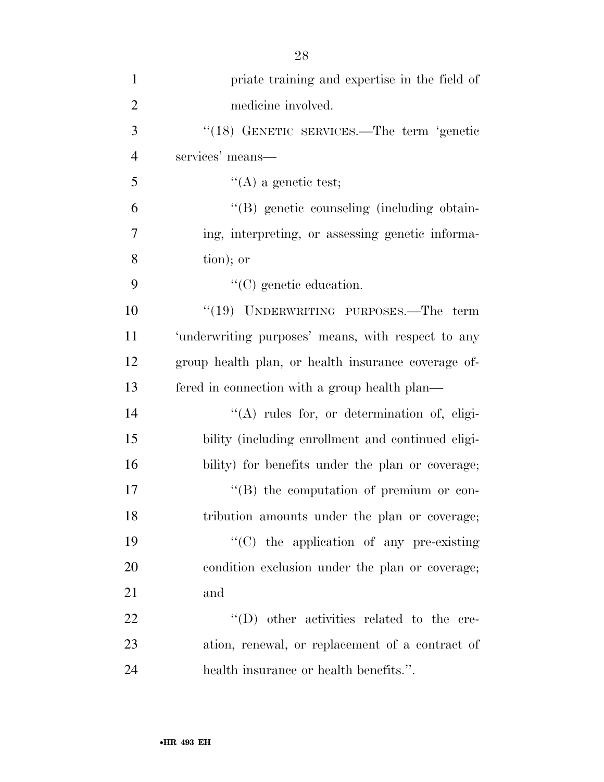| $\mathbf{1}$   | priate training and expertise in the field of       |
|----------------|-----------------------------------------------------|
| $\overline{2}$ | medicine involved.                                  |
| 3              | "(18) GENETIC SERVICES.—The term 'genetic           |
| $\overline{4}$ | services' means—                                    |
| 5              | $\lq\lq$ (A) a genetic test;                        |
| 6              | "(B) genetic counseling (including obtain-          |
| $\overline{7}$ | ing, interpreting, or assessing genetic informa-    |
| 8              | tion); or                                           |
| 9              | $\lq\lq$ (C) genetic education.                     |
| 10             | "(19) UNDERWRITING PURPOSES.—The term               |
| 11             | 'underwriting purposes' means, with respect to any  |
| 12             | group health plan, or health insurance coverage of- |
| 13             | fered in connection with a group health plan—       |
| 14             | $\lq\lq$ rules for, or determination of, eligi-     |
| 15             | bility (including enrollment and continued eligi-   |
| 16             | bility) for benefits under the plan or coverage;    |
| 17             | "(B) the computation of premium or con-             |
| 18             | tribution amounts under the plan or coverage;       |
| 19             | "(C) the application of any pre-existing            |
| 20             | condition exclusion under the plan or coverage;     |
| 21             | and                                                 |
| 22             | $\lq\lq$ (D) other activities related to the cre-   |
| 23             | ation, renewal, or replacement of a contract of     |
| 24             | health insurance or health benefits.".              |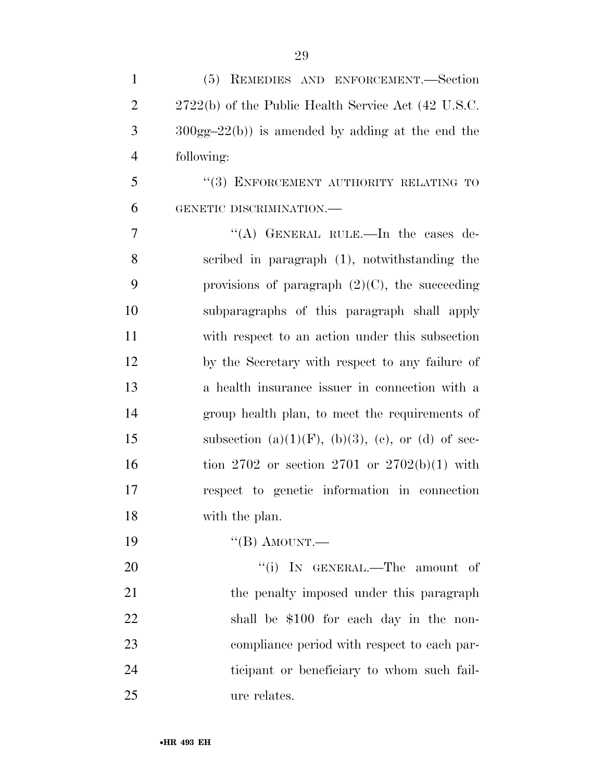| $\mathbf{1}$   | (5)<br>REMEDIES AND ENFORCEMENT.-Section                         |
|----------------|------------------------------------------------------------------|
| $\overline{2}$ | $2722(b)$ of the Public Health Service Act $(42 \text{ U.S.C.})$ |
| 3              | $300gg-22(b)$ is amended by adding at the end the                |
| $\overline{4}$ | following:                                                       |
| 5              | "(3) ENFORCEMENT AUTHORITY RELATING TO                           |
| 6              | GENETIC DISCRIMINATION.-                                         |
| $\overline{7}$ | "(A) GENERAL RULE.—In the cases de-                              |
| 8              | scribed in paragraph (1), notwithstanding the                    |
| 9              | provisions of paragraph $(2)(C)$ , the succeeding                |
| 10             | subparagraphs of this paragraph shall apply                      |
| 11             | with respect to an action under this subsection                  |
| 12             | by the Secretary with respect to any failure of                  |
| 13             | a health insurance issuer in connection with a                   |
| 14             | group health plan, to meet the requirements of                   |
| 15             | subsection (a) $(1)(F)$ , (b) $(3)$ , (c), or (d) of sec-        |
| 16             | tion 2702 or section 2701 or $2702(b)(1)$ with                   |
| 17             | respect to genetic information in connection                     |
| 18             | with the plan.                                                   |
| 19             | $\lq$ <sup>"</sup> (B) AMOUNT.—                                  |
| 20             | "(i) IN GENERAL.—The amount of                                   |
| 21             | the penalty imposed under this paragraph                         |
| 22             | shall be \$100 for each day in the non-                          |
| 23             | compliance period with respect to each par-                      |
| 24             | ticipant or beneficiary to whom such fail-                       |
| 25             | ure relates.                                                     |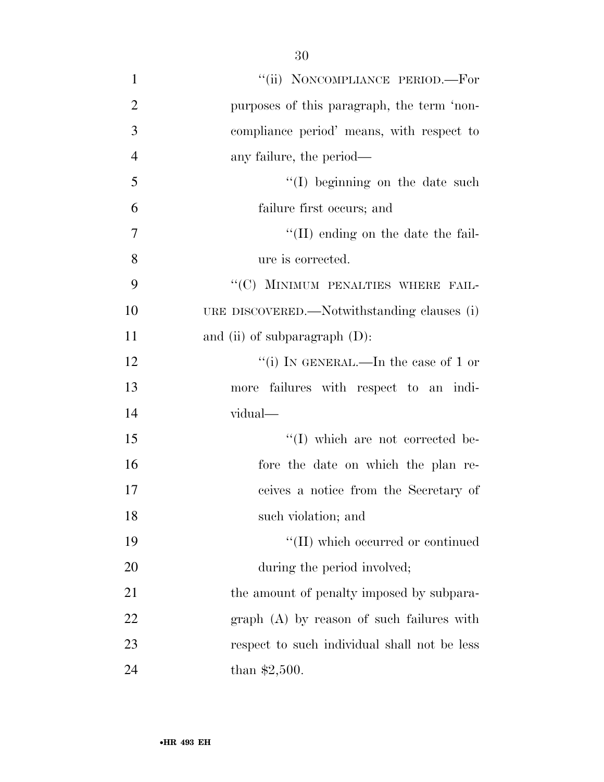| $\mathbf{1}$   | "(ii) NONCOMPLIANCE PERIOD.-For              |
|----------------|----------------------------------------------|
| $\overline{2}$ | purposes of this paragraph, the term 'non-   |
| 3              | compliance period' means, with respect to    |
| $\overline{4}$ | any failure, the period—                     |
| 5              | $\lq\lq$ (I) beginning on the date such      |
| 6              | failure first occurs; and                    |
| $\overline{7}$ | $\lq\lq$ (II) ending on the date the fail-   |
| 8              | ure is corrected.                            |
| 9              | "(C) MINIMUM PENALTIES WHERE FAIL-           |
| 10             | URE DISCOVERED.—Notwithstanding clauses (i)  |
| 11             | and (ii) of subparagraph $(D)$ :             |
| 12             | "(i) IN GENERAL.—In the case of 1 or         |
| 13             | more failures with respect to an indi-       |
| 14             | vidual—                                      |
| 15             | $\lq\lq$ (I) which are not corrected be-     |
| 16             | fore the date on which the plan re-          |
| 17             | ceives a notice from the Secretary of        |
| 18             | such violation; and                          |
| 19             | "(II) which occurred or continued            |
| 20             | during the period involved;                  |
| 21             | the amount of penalty imposed by subpara-    |
| 22             | $graph(A)$ by reason of such failures with   |
| 23             | respect to such individual shall not be less |
| 24             | than $$2,500$ .                              |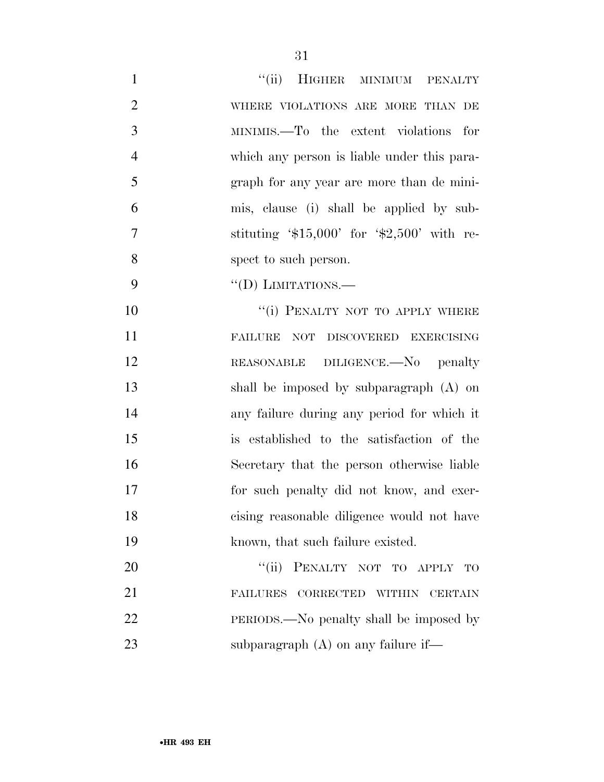| $\mathbf{1}$   | "(ii) HIGHER MINIMUM PENALTY                   |
|----------------|------------------------------------------------|
| $\overline{2}$ | WHERE VIOLATIONS ARE MORE THAN DE              |
| 3              | MINIMIS.—To the extent violations for          |
| $\overline{4}$ | which any person is liable under this para-    |
| 5              | graph for any year are more than de mini-      |
| 6              | mis, clause (i) shall be applied by sub-       |
| 7              | stituting $$15,000'$ for $$2,500'$ with re-    |
| 8              | spect to such person.                          |
| 9              | "(D) LIMITATIONS.—                             |
| 10             | "(i) PENALTY NOT TO APPLY WHERE                |
| 11             | FAILURE<br>NOT DISCOVERED EXERCISING           |
| 12             | REASONABLE DILIGENCE.—No penalty               |
| 13             | shall be imposed by subparagraph (A) on        |
| 14             | any failure during any period for which it     |
| 15             | is established to the satisfaction of the      |
| 16             | Secretary that the person otherwise liable     |
| 17             | for such penalty did not know, and exer-       |
| 18             | cising reasonable diligence would not have     |
| 19             | known, that such failure existed.              |
| 20             | PENALTY NOT TO APPLY<br>``(ii)<br>$_{\rm TO}$  |
| 21             | FAILURES CORRECTED<br>WITHIN<br><b>CERTAIN</b> |
| 22             | PERIODS.—No penalty shall be imposed by        |
| 23             | subparagraph $(A)$ on any failure if—          |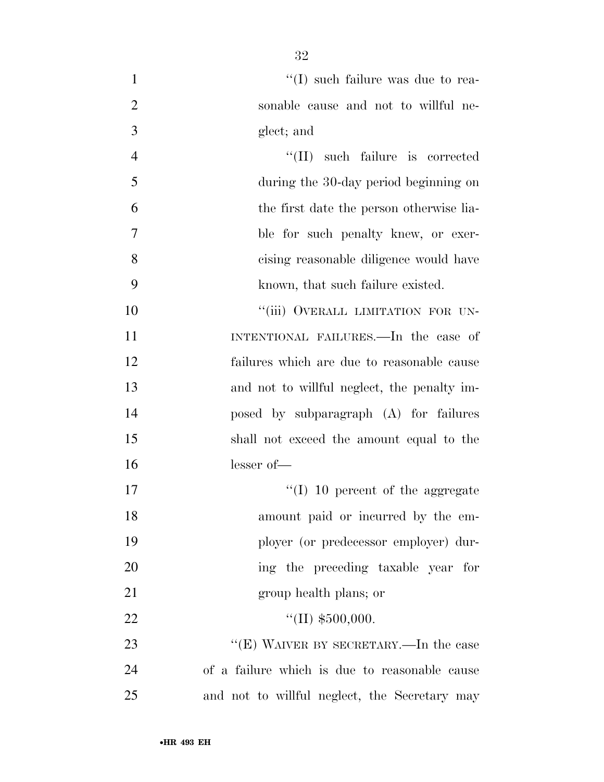| $\mathbf{1}$   | $\lq\lq$ (I) such failure was due to rea-     |
|----------------|-----------------------------------------------|
| $\overline{2}$ | sonable cause and not to willful ne-          |
| 3              | glect; and                                    |
| $\overline{4}$ | "(II) such failure is corrected               |
| 5              | during the 30-day period beginning on         |
| 6              | the first date the person otherwise lia-      |
| 7              | ble for such penalty knew, or exer-           |
| 8              | cising reasonable diligence would have        |
| 9              | known, that such failure existed.             |
| 10             | "(iii) OVERALL LIMITATION FOR UN-             |
| 11             | INTENTIONAL FAILURES.—In the case of          |
| 12             | failures which are due to reasonable cause    |
| 13             | and not to willful neglect, the penalty im-   |
| 14             | posed by subparagraph (A) for failures        |
| 15             | shall not exceed the amount equal to the      |
| 16             | $lesser of$ —                                 |
| 17             | $\lq (I)$ 10 percent of the aggregate         |
| 18             | amount paid or incurred by the em-            |
| 19             | ployer (or predecessor employer) dur-         |
| 20             | ing the preceding taxable year for            |
| 21             | group health plans; or                        |
| 22             | "(II) $$500,000.$                             |
| 23             | "(E) WAIVER BY SECRETARY.—In the case         |
| 24             | of a failure which is due to reasonable cause |
| 25             | and not to willful neglect, the Secretary may |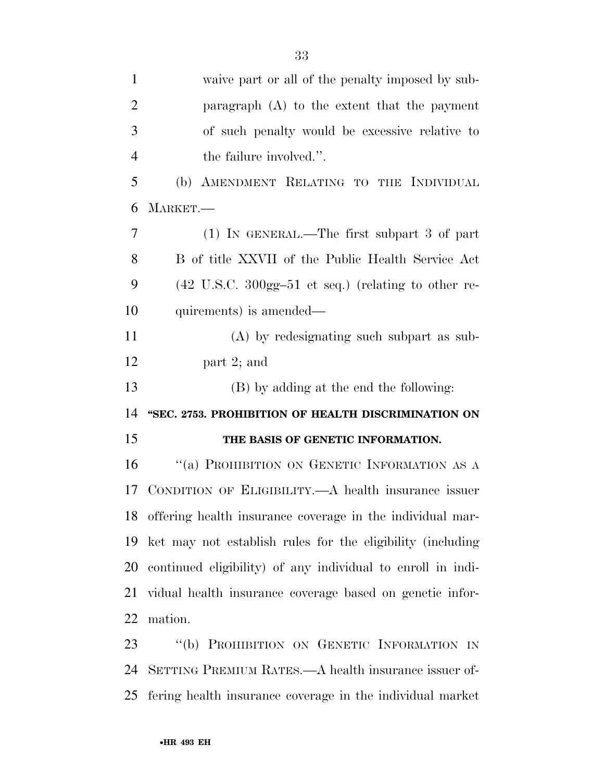| $\mathbf{1}$   | waive part or all of the penalty imposed by sub-                                 |
|----------------|----------------------------------------------------------------------------------|
| $\overline{2}$ | paragraph $(A)$ to the extent that the payment                                   |
| 3              | of such penalty would be excessive relative to                                   |
| $\overline{4}$ | the failure involved.".                                                          |
| 5              | AMENDMENT RELATING TO THE INDIVIDUAL<br>(b)                                      |
| 6              | MARKET.                                                                          |
| 7              | (1) IN GENERAL.—The first subpart 3 of part                                      |
| 8              | B of title XXVII of the Public Health Service Act                                |
| 9              | $(42 \text{ U.S.C. } 300 \text{gg} - 51 \text{ et seq.})$ (relating to other re- |
| 10             | quirements) is amended—                                                          |
| 11             | (A) by redesignating such subpart as sub-                                        |
| 12             | part 2; and                                                                      |
| 13             | (B) by adding at the end the following:                                          |
| 14             | "SEC. 2753. PROHIBITION OF HEALTH DISCRIMINATION ON                              |
| 15             | THE BASIS OF GENETIC INFORMATION.                                                |
| 16             | "(a) PROHIBITION ON GENETIC INFORMATION AS A                                     |
| 17             | CONDITION OF ELIGIBILITY.—A health insurance issuer                              |
|                | 18 offering health insurance coverage in the individual mar-                     |
| 19             | ket may not establish rules for the eligibility (including                       |
| 20             | continued eligibility) of any individual to enroll in indi-                      |
| 21             | vidual health insurance coverage based on genetic infor-                         |
| 22             | mation.                                                                          |
|                |                                                                                  |
| 23             | "(b) PROHIBITION ON GENETIC INFORMATION IN                                       |

fering health insurance coverage in the individual market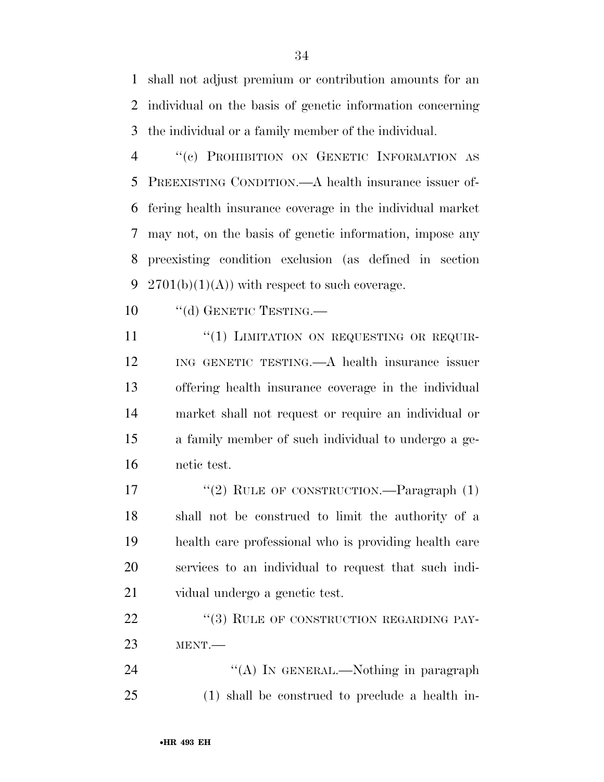shall not adjust premium or contribution amounts for an individual on the basis of genetic information concerning the individual or a family member of the individual.

 ''(c) PROHIBITION ON GENETIC INFORMATION AS PREEXISTING CONDITION.—A health insurance issuer of- fering health insurance coverage in the individual market may not, on the basis of genetic information, impose any preexisting condition exclusion (as defined in section 9 2701(b)(1)(A)) with respect to such coverage.

10 "(d) GENETIC TESTING.

11 "(1) LIMITATION ON REQUESTING OR REQUIR- ING GENETIC TESTING.—A health insurance issuer offering health insurance coverage in the individual market shall not request or require an individual or a family member of such individual to undergo a ge-netic test.

17 "(2) RULE OF CONSTRUCTION.—Paragraph (1) shall not be construed to limit the authority of a health care professional who is providing health care services to an individual to request that such indi-vidual undergo a genetic test.

22 "(3) RULE OF CONSTRUCTION REGARDING PAY-MENT.—

24 "(A) IN GENERAL.—Nothing in paragraph (1) shall be construed to preclude a health in-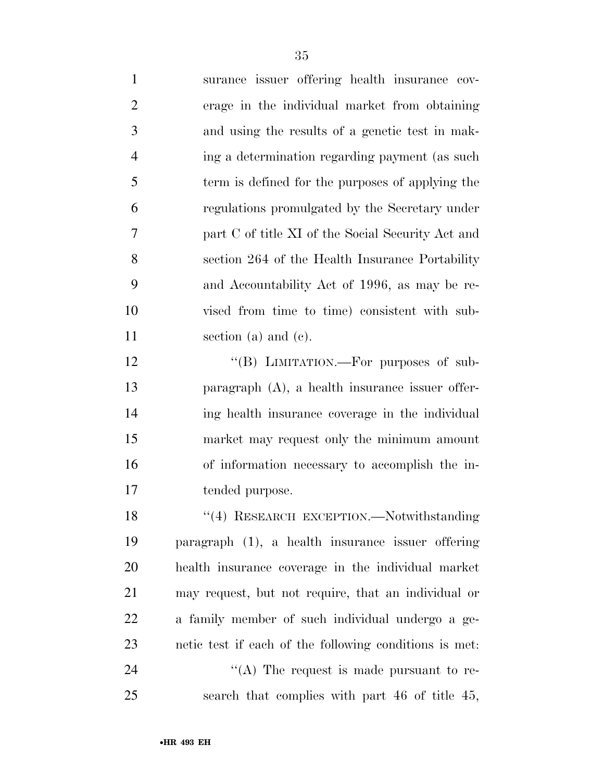| $\mathbf{1}$   | surance issuer offering health insurance cov-          |
|----------------|--------------------------------------------------------|
| $\overline{2}$ | erage in the individual market from obtaining          |
| 3              | and using the results of a genetic test in mak-        |
| $\overline{4}$ | ing a determination regarding payment (as such         |
| 5              | term is defined for the purposes of applying the       |
| 6              | regulations promulgated by the Secretary under         |
| 7              | part C of title XI of the Social Security Act and      |
| 8              | section 264 of the Health Insurance Portability        |
| 9              | and Accountability Act of 1996, as may be re-          |
| 10             | vised from time to time) consistent with sub-          |
| 11             | section (a) and (c).                                   |
| 12             | "(B) LIMITATION.—For purposes of sub-                  |
| 13             | paragraph $(A)$ , a health insurance issuer offer-     |
| 14             | ing health insurance coverage in the individual        |
| 15             | market may request only the minimum amount             |
| 16             | of information necessary to accomplish the in-         |
| 17             | tended purpose.                                        |
| 18             | "(4) RESEARCH EXCEPTION.—Notwithstanding               |
| 19             | paragraph (1), a health insurance issuer offering      |
| 20             | health insurance coverage in the individual market     |
| 21             | may request, but not require, that an individual or    |
| 22             | a family member of such individual undergo a ge-       |
| 23             | netic test if each of the following conditions is met. |
| 24             | "(A) The request is made pursuant to re-               |
| 25             | search that complies with part 46 of title 45,         |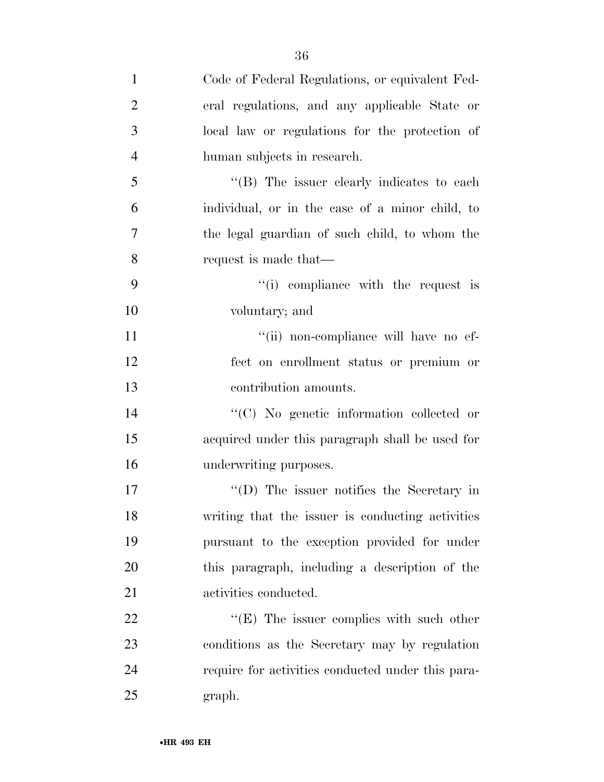| $\mathbf{1}$   | Code of Federal Regulations, or equivalent Fed-   |
|----------------|---------------------------------------------------|
| $\overline{2}$ | eral regulations, and any applicable State or     |
| 3              | local law or regulations for the protection of    |
| $\overline{4}$ | human subjects in research.                       |
| 5              | "(B) The issuer clearly indicates to each         |
| 6              | individual, or in the case of a minor child, to   |
| 7              | the legal guardian of such child, to whom the     |
| 8              | request is made that—                             |
| 9              | "(i) compliance with the request is               |
| 10             | voluntary; and                                    |
| 11             | "(ii) non-compliance will have no ef-             |
| 12             | fect on enrollment status or premium or           |
| 13             | contribution amounts.                             |
| 14             | "(C) No genetic information collected or          |
| 15             | acquired under this paragraph shall be used for   |
| 16             | underwriting purposes.                            |
| 17             | $\lq\lq$ (D) The issuer notifies the Secretary in |
| 18             | writing that the issuer is conducting activities  |
| 19             | pursuant to the exception provided for under      |
| 20             | this paragraph, including a description of the    |
| 21             | activities conducted.                             |
| 22             | " $(E)$ The issuer complies with such other       |
| 23             | conditions as the Secretary may by regulation     |
| 24             | require for activities conducted under this para- |
| 25             | graph.                                            |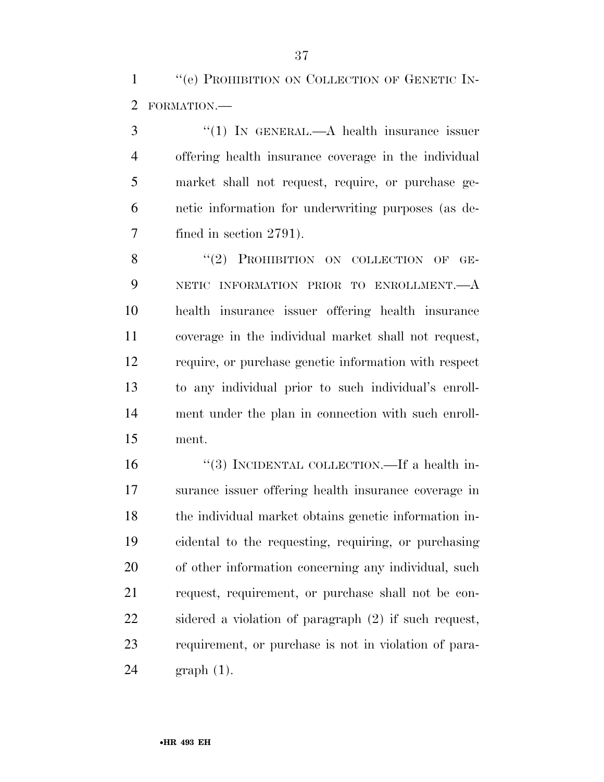''(e) PROHIBITION ON COLLECTION OF GENETIC IN-FORMATION.—

3 "(1) In GENERAL.—A health insurance issuer offering health insurance coverage in the individual market shall not request, require, or purchase ge- netic information for underwriting purposes (as de-fined in section 2791).

8 "(2) PROHIBITION ON COLLECTION OF GE- NETIC INFORMATION PRIOR TO ENROLLMENT.—A health insurance issuer offering health insurance coverage in the individual market shall not request, require, or purchase genetic information with respect to any individual prior to such individual's enroll- ment under the plan in connection with such enroll-ment.

 ''(3) INCIDENTAL COLLECTION.—If a health in- surance issuer offering health insurance coverage in the individual market obtains genetic information in- cidental to the requesting, requiring, or purchasing of other information concerning any individual, such request, requirement, or purchase shall not be con- sidered a violation of paragraph (2) if such request, requirement, or purchase is not in violation of para-graph (1).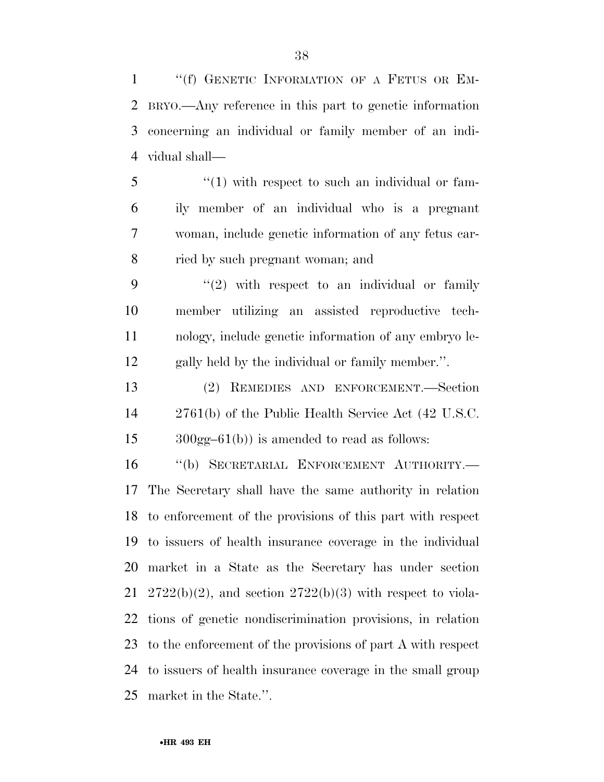1 "(f) GENETIC INFORMATION OF A FETUS OR EM- BRYO.—Any reference in this part to genetic information concerning an individual or family member of an indi-vidual shall—

 "(1) with respect to such an individual or fam- ily member of an individual who is a pregnant woman, include genetic information of any fetus car-ried by such pregnant woman; and

 $(2)$  with respect to an individual or family member utilizing an assisted reproductive tech- nology, include genetic information of any embryo le-gally held by the individual or family member.''.

 (2) REMEDIES AND ENFORCEMENT.—Section 2761(b) of the Public Health Service Act (42 U.S.C. 300gg–61(b)) is amended to read as follows:

 ''(b) SECRETARIAL ENFORCEMENT AUTHORITY.— The Secretary shall have the same authority in relation to enforcement of the provisions of this part with respect to issuers of health insurance coverage in the individual market in a State as the Secretary has under section 21 2722(b)(2), and section  $2722(b)(3)$  with respect to viola- tions of genetic nondiscrimination provisions, in relation to the enforcement of the provisions of part A with respect to issuers of health insurance coverage in the small group market in the State.''.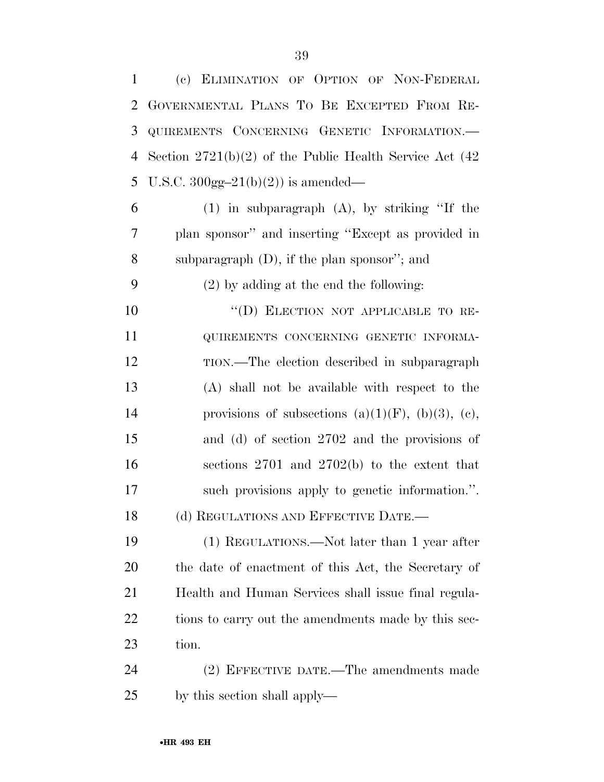| 1  | (c) ELIMINATION OF OPTION OF NON-FEDERAL                     |
|----|--------------------------------------------------------------|
| 2  | GOVERNMENTAL PLANS TO BE EXCEPTED FROM RE-                   |
| 3  | QUIREMENTS CONCERNING GENETIC INFORMATION.-                  |
| 4  | Section $2721(b)(2)$ of the Public Health Service Act $(42)$ |
| 5  | U.S.C. $300gg-21(b)(2)$ is amended—                          |
| 6  | $(1)$ in subparagraph $(A)$ , by striking "If the            |
| 7  | plan sponsor" and inserting "Except as provided in           |
| 8  | subparagraph $(D)$ , if the plan sponsor"; and               |
| 9  | $(2)$ by adding at the end the following:                    |
| 10 | "(D) ELECTION NOT APPLICABLE TO RE-                          |
| 11 | QUIREMENTS CONCERNING GENETIC INFORMA-                       |
| 12 | TION.—The election described in subparagraph                 |
| 13 | (A) shall not be available with respect to the               |
| 14 | provisions of subsections (a) $(1)(F)$ , (b) $(3)$ , (c),    |
| 15 | and (d) of section 2702 and the provisions of                |
| 16 | sections $2701$ and $2702(b)$ to the extent that             |
| 17 | such provisions apply to genetic information.".              |
| 18 | (d) REGULATIONS AND EFFECTIVE DATE.-                         |
| 19 | (1) REGULATIONS.—Not later than 1 year after                 |
| 20 | the date of enactment of this Act, the Secretary of          |
| 21 | Health and Human Services shall issue final regula-          |
| 22 | tions to carry out the amendments made by this sec-          |
| 23 | tion.                                                        |
| 24 | (2) EFFECTIVE DATE.—The amendments made                      |
| 25 | by this section shall apply—                                 |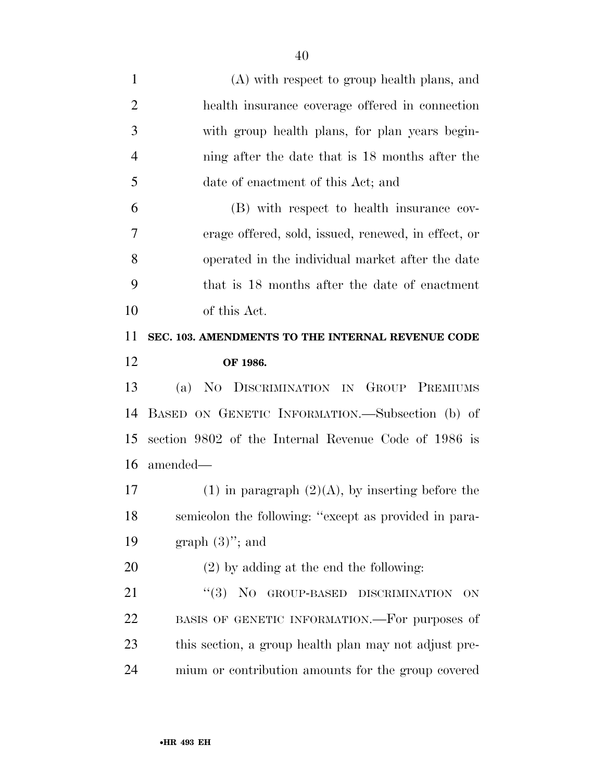| $\mathbf{1}$   | (A) with respect to group health plans, and           |
|----------------|-------------------------------------------------------|
| $\overline{2}$ | health insurance coverage offered in connection       |
| 3              | with group health plans, for plan years begin-        |
| 4              | ning after the date that is 18 months after the       |
| 5              | date of enactment of this Act; and                    |
| 6              | (B) with respect to health insurance cov-             |
| 7              | erage offered, sold, issued, renewed, in effect, or   |
| 8              | operated in the individual market after the date      |
| 9              | that is 18 months after the date of enactment         |
| 10             | of this Act.                                          |
| 11             | SEC. 103. AMENDMENTS TO THE INTERNAL REVENUE CODE     |
| 12             | OF 1986.                                              |
|                |                                                       |
| 13             | (a) NO DISCRIMINATION IN GROUP PREMIUMS               |
| 14             | BASED ON GENETIC INFORMATION.—Subsection (b) of       |
| 15             | section 9802 of the Internal Revenue Code of 1986 is  |
| 16             | amended—                                              |
| 17             | $(1)$ in paragraph $(2)(A)$ , by inserting before the |
| 18             | semicolon the following: "except as provided in para- |
| 19             | graph $(3)$ "; and                                    |
| 20             | $(2)$ by adding at the end the following:             |
| 21             | "(3) NO GROUP-BASED DISCRIMINATION<br>ON              |
| 22             | BASIS OF GENETIC INFORMATION.—For purposes of         |
| 23             | this section, a group health plan may not adjust pre- |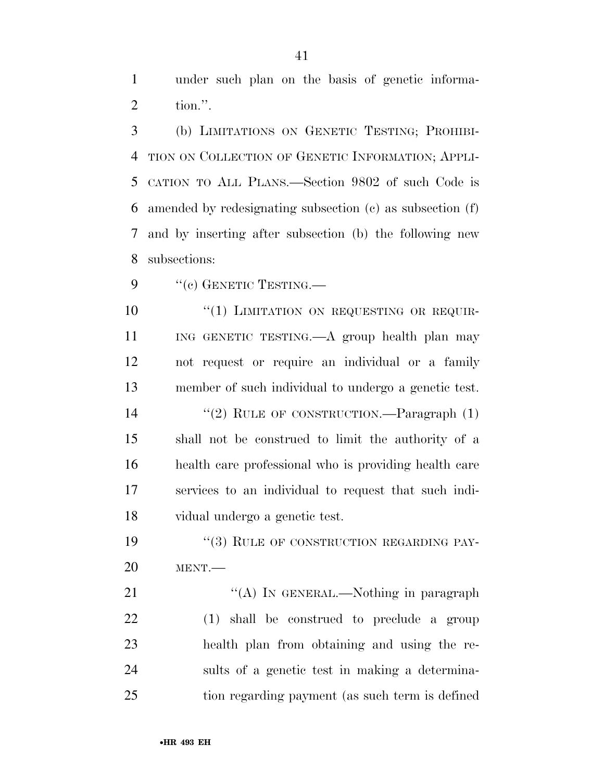under such plan on the basis of genetic informa-tion.''.

 (b) LIMITATIONS ON GENETIC TESTING; PROHIBI- TION ON COLLECTION OF GENETIC INFORMATION; APPLI- CATION TO ALL PLANS.—Section 9802 of such Code is amended by redesignating subsection (c) as subsection (f) and by inserting after subsection (b) the following new subsections:

9 "(c) GENETIC TESTING.—

10 "(1) LIMITATION ON REQUESTING OR REQUIR- ING GENETIC TESTING.—A group health plan may not request or require an individual or a family member of such individual to undergo a genetic test. 14 "(2) RULE OF CONSTRUCTION.—Paragraph (1) shall not be construed to limit the authority of a health care professional who is providing health care services to an individual to request that such indi-vidual undergo a genetic test.

19 "(3) RULE OF CONSTRUCTION REGARDING PAY-MENT.—

21 "'(A) IN GENERAL.—Nothing in paragraph (1) shall be construed to preclude a group health plan from obtaining and using the re- sults of a genetic test in making a determina-tion regarding payment (as such term is defined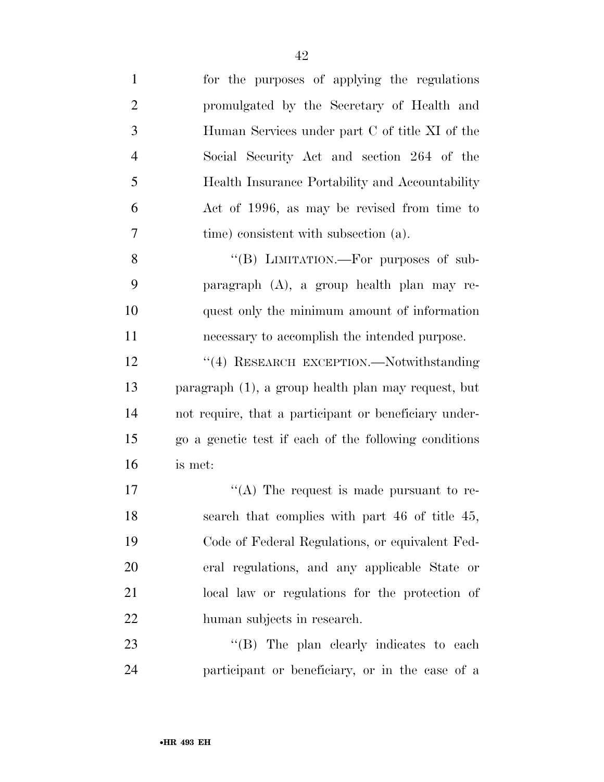| $\mathbf{1}$   | for the purposes of applying the regulations          |
|----------------|-------------------------------------------------------|
| $\overline{2}$ | promulgated by the Secretary of Health and            |
| 3              | Human Services under part C of title XI of the        |
| $\overline{4}$ | Social Security Act and section 264 of the            |
| 5              | Health Insurance Portability and Accountability       |
| 6              | Act of 1996, as may be revised from time to           |
| 7              | time) consistent with subsection (a).                 |
| 8              | "(B) LIMITATION.—For purposes of sub-                 |
| 9              | paragraph (A), a group health plan may re-            |
| 10             | quest only the minimum amount of information          |
| 11             | necessary to accomplish the intended purpose.         |
| 12             | "(4) RESEARCH EXCEPTION.-Notwithstanding              |
| 13             | paragraph (1), a group health plan may request, but   |
| 14             | not require, that a participant or beneficiary under- |
| 15             | go a genetic test if each of the following conditions |
| 16             | is met:                                               |
| 17             | "(A) The request is made pursuant to re-              |
| 18             | search that complies with part 46 of title 45,        |
| 19             | Code of Federal Regulations, or equivalent Fed-       |
| 20             | eral regulations, and any applicable State or         |
| 21             | local law or regulations for the protection of        |
| 22             | human subjects in research.                           |
| 23             | "(B) The plan clearly indicates to each               |
| 24             | participant or beneficiary, or in the case of a       |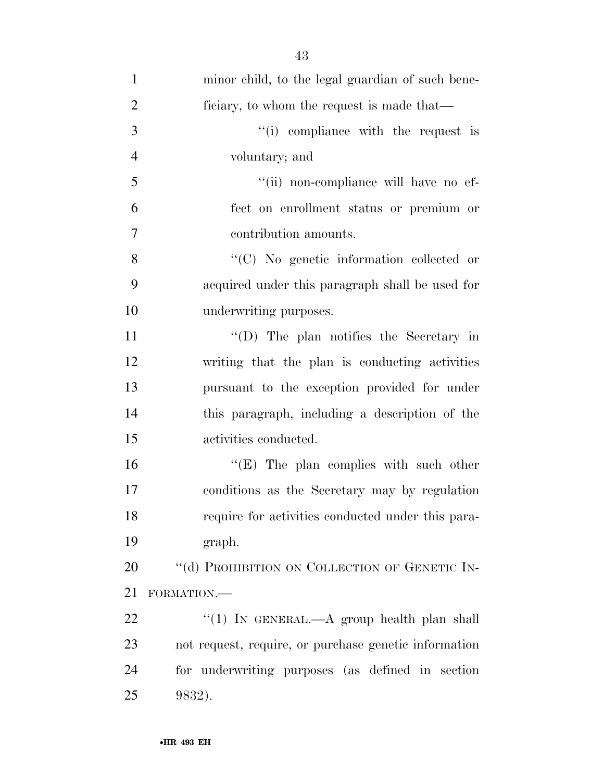| $\mathbf{1}$   | minor child, to the legal guardian of such bene-      |
|----------------|-------------------------------------------------------|
| $\overline{2}$ | ficiary, to whom the request is made that—            |
| 3              | "(i) compliance with the request is                   |
| $\overline{4}$ | voluntary; and                                        |
| 5              | "(ii) non-compliance will have no ef-                 |
| 6              | fect on enrollment status or premium or               |
| $\overline{7}$ | contribution amounts.                                 |
| 8              | $\lq\lq$ (C) No genetic information collected or      |
| 9              | acquired under this paragraph shall be used for       |
| 10             | underwriting purposes.                                |
| 11             | "(D) The plan notifies the Secretary in               |
| 12             | writing that the plan is conducting activities        |
| 13             | pursuant to the exception provided for under          |
| 14             | this paragraph, including a description of the        |
| 15             | activities conducted.                                 |
| 16             | " $(E)$ The plan complies with such other             |
| 17             | conditions as the Secretary may by regulation         |
| 18             | require for activities conducted under this para-     |
| 19             | graph.                                                |
| 20             | "(d) PROHIBITION ON COLLECTION OF GENETIC IN-         |
| 21             | FORMATION.-                                           |
| 22             | "(1) IN GENERAL.—A group health plan shall            |
| 23             | not request, require, or purchase genetic information |
| 24             | for underwriting purposes (as defined in section      |
| 25             | 9832).                                                |
|                |                                                       |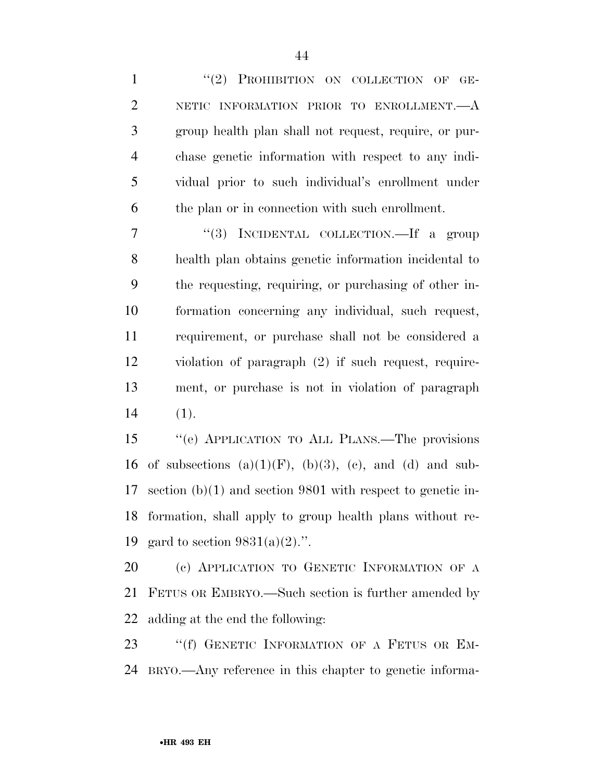1 "(2) PROHIBITION ON COLLECTION OF GE-2 NETIC INFORMATION PRIOR TO ENROLLMENT. A group health plan shall not request, require, or pur- chase genetic information with respect to any indi- vidual prior to such individual's enrollment under the plan or in connection with such enrollment.

 ''(3) INCIDENTAL COLLECTION.—If a group health plan obtains genetic information incidental to the requesting, requiring, or purchasing of other in- formation concerning any individual, such request, requirement, or purchase shall not be considered a violation of paragraph (2) if such request, require- ment, or purchase is not in violation of paragraph (1).

 ''(e) APPLICATION TO ALL PLANS.—The provisions 16 of subsections  $(a)(1)(F)$ ,  $(b)(3)$ ,  $(c)$ , and  $(d)$  and sub- section (b)(1) and section 9801 with respect to genetic in- formation, shall apply to group health plans without re-19 gard to section  $9831(a)(2)$ .".

 (c) APPLICATION TO GENETIC INFORMATION OF A FETUS OR EMBRYO.—Such section is further amended by adding at the end the following:

23 "(f) GENETIC INFORMATION OF A FETUS OR EM-BRYO.—Any reference in this chapter to genetic informa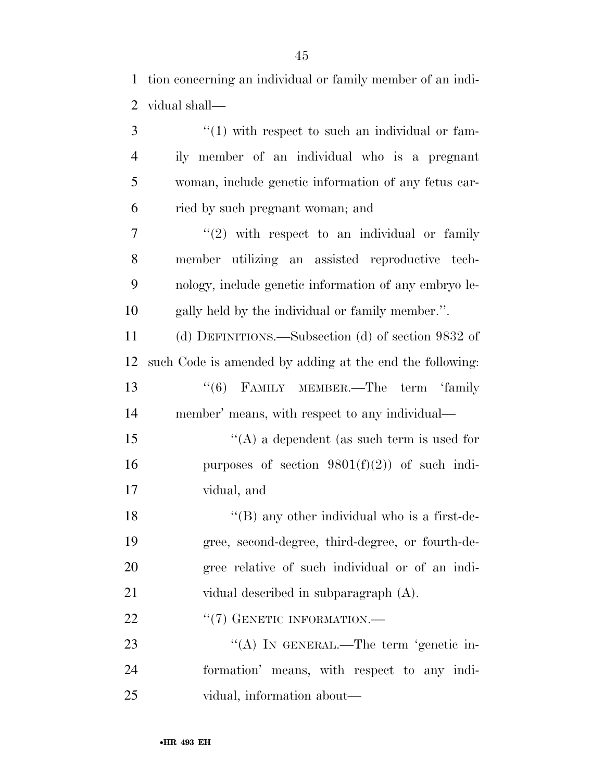tion concerning an individual or family member of an indi-vidual shall—

| 3              | $\lq(1)$ with respect to such an individual or fam-      |
|----------------|----------------------------------------------------------|
| $\overline{4}$ | ily member of an individual who is a pregnant            |
| 5              | woman, include genetic information of any fetus car-     |
| 6              | ried by such pregnant woman; and                         |
| $\overline{7}$ | $"(2)$ with respect to an individual or family           |
| 8              | member utilizing an assisted reproductive tech-          |
| 9              | nology, include genetic information of any embryo le-    |
| 10             | gally held by the individual or family member.".         |
| 11             | (d) DEFINITIONS.—Subsection (d) of section 9832 of       |
| 12             | such Code is amended by adding at the end the following: |
| 13             | "(6) FAMILY MEMBER.—The term 'family                     |
| 14             | member' means, with respect to any individual—           |
| 15             | "(A) a dependent (as such term is used for               |
| 16             | purposes of section $9801(f)(2)$ of such indi-           |
| 17             | vidual, and                                              |
| 18             | $\lq\lq$ (B) any other individual who is a first-de-     |
| 19             | gree, second-degree, third-degree, or fourth-de-         |
| 20             | gree relative of such individual or of an indi-          |
| 21             | vidual described in subparagraph (A).                    |
| 22             | "(7) GENETIC INFORMATION.—                               |
| 23             | "(A) IN GENERAL.—The term 'genetic in-                   |
| 24             | formation' means, with respect to any indi-              |
| 25             | vidual, information about—                               |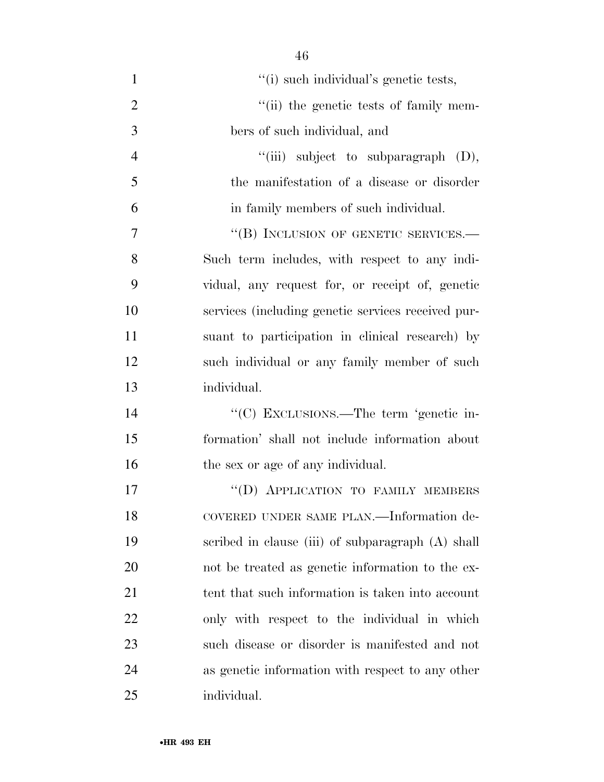| $\mathbf{1}$   | "(i) such individual's genetic tests,              |
|----------------|----------------------------------------------------|
| $\overline{2}$ | "(ii) the genetic tests of family mem-             |
| 3              | bers of such individual, and                       |
| $\overline{4}$ | "(iii) subject to subparagraph (D),                |
| 5              | the manifestation of a disease or disorder         |
| 6              | in family members of such individual.              |
| $\overline{7}$ | "(B) INCLUSION OF GENETIC SERVICES.—               |
| 8              | Such term includes, with respect to any indi-      |
| 9              | vidual, any request for, or receipt of, genetic    |
| 10             | services (including genetic services received pur- |
| 11             | suant to participation in clinical research) by    |
| 12             | such individual or any family member of such       |
| 13             | individual.                                        |
| 14             | "(C) EXCLUSIONS.—The term 'genetic in-             |
| 15             | formation' shall not include information about     |
| 16             | the sex or age of any individual.                  |
| 17             | "(D) APPLICATION TO FAMILY MEMBERS                 |
| 18             | COVERED UNDER SAME PLAN.—Information de-           |
| 19             | scribed in clause (iii) of subparagraph (A) shall  |
| 20             | not be treated as genetic information to the ex-   |
| 21             | tent that such information is taken into account   |
| 22             | only with respect to the individual in which       |
| 23             | such disease or disorder is manifested and not     |
| 24             | as genetic information with respect to any other   |
| 25             | individual.                                        |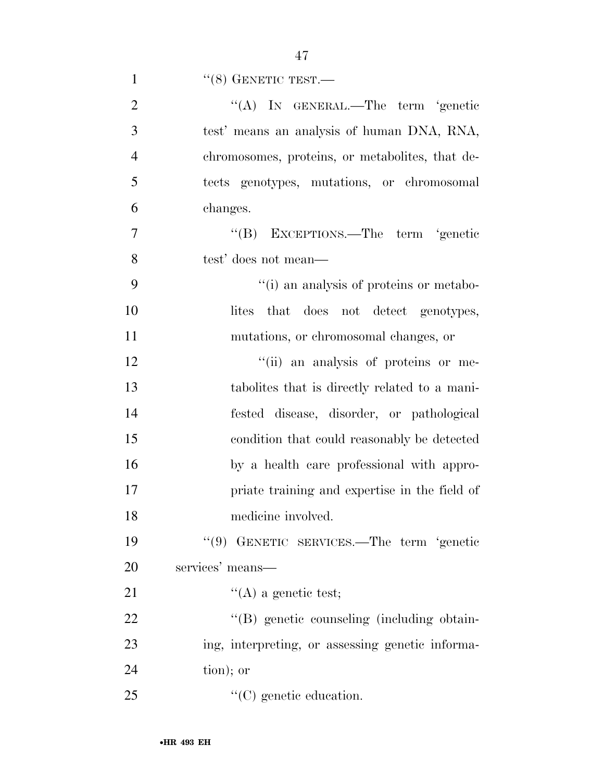1  $``(8)$  GENETIC TEST.—

| $\overline{2}$ | "(A) IN GENERAL.—The term 'genetic               |
|----------------|--------------------------------------------------|
| 3              | test' means an analysis of human DNA, RNA,       |
| $\overline{4}$ | chromosomes, proteins, or metabolities, that de- |
| 5              | tects genotypes, mutations, or chromosomal       |
| 6              | changes.                                         |
| $\overline{7}$ | "(B) EXCEPTIONS.—The term 'genetic               |
| 8              | test' does not mean—                             |
| 9              | "(i) an analysis of proteins or metabo-          |
| 10             | lites that does not detect genotypes,            |
| 11             | mutations, or chromosomal changes, or            |
| 12             | "(ii) an analysis of proteins or me-             |
| 13             | tabolities that is directly related to a mani-   |
| 14             | fested disease, disorder, or pathological        |
| 15             | condition that could reasonably be detected      |
| 16             | by a health care professional with appro-        |
| 17             | priate training and expertise in the field of    |
| 18             | medicine involved.                               |
| 19             | "(9) GENETIC SERVICES.—The term 'genetic         |
| 20             | services' means—                                 |
| 21             | $\lq\lq$ (A) a genetic test;                     |
| 22             | "(B) genetic counseling (including obtain-       |
| 23             | ing, interpreting, or assessing genetic informa- |
| 24             | tion); or                                        |
| 25             | $\lq\lq$ (C) genetic education.                  |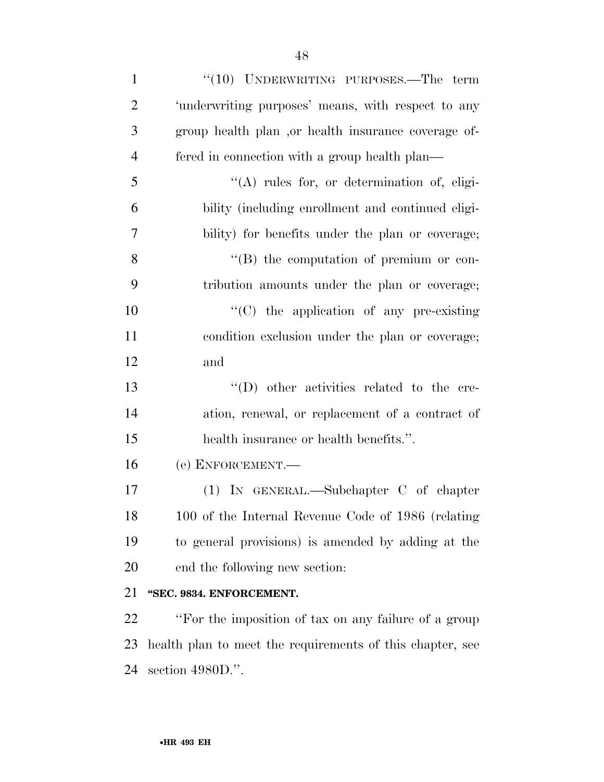| $\mathbf{1}$   | $``(10)$ UNDERWRITING PURPOSES.—The term                  |
|----------------|-----------------------------------------------------------|
| $\overline{2}$ | 'underwriting purposes' means, with respect to any        |
| 3              | group health plan , or health insurance coverage of-      |
| $\overline{4}$ | fered in connection with a group health plan—             |
| 5              | $\lq\lq$ rules for, or determination of, eligi-           |
| 6              | bility (including enrollment and continued eligi-         |
| $\overline{7}$ | bility) for benefits under the plan or coverage;          |
| 8              | $\lq\lq (B)$ the computation of premium or con-           |
| 9              | tribution amounts under the plan or coverage;             |
| 10             | $\cdot$ (C) the application of any pre-existing           |
| 11             | condition exclusion under the plan or coverage;           |
| 12             | and                                                       |
| 13             | "(D) other activities related to the cre-                 |
| 14             | ation, renewal, or replacement of a contract of           |
| 15             | health insurance or health benefits.".                    |
| 16             | (e) ENFORCEMENT.-                                         |
| 17             | $(1)$ IN GENERAL.—Subchapter C of chapter                 |
| 18             | 100 of the Internal Revenue Code of 1986 (relating        |
| 19             | to general provisions) is amended by adding at the        |
| 20             | end the following new section:                            |
| 21             | "SEC. 9834. ENFORCEMENT.                                  |
| 22             | "For the imposition of tax on any failure of a group      |
| 23             | health plan to meet the requirements of this chapter, see |

section 4980D.''.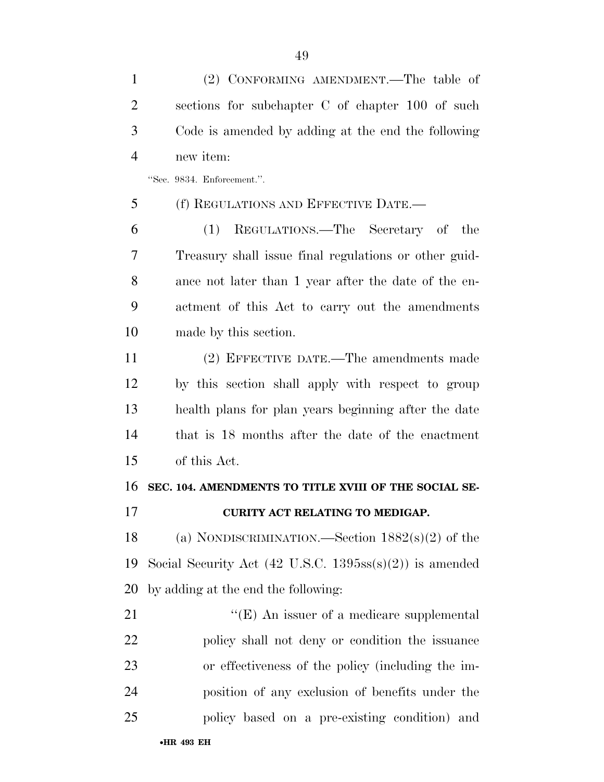(2) CONFORMING AMENDMENT.—The table of sections for subchapter C of chapter 100 of such Code is amended by adding at the end the following new item:

''Sec. 9834. Enforcement.''.

(f) REGULATIONS AND EFFECTIVE DATE.—

 (1) REGULATIONS.—The Secretary of the Treasury shall issue final regulations or other guid- ance not later than 1 year after the date of the en- actment of this Act to carry out the amendments made by this section.

 (2) EFFECTIVE DATE.—The amendments made by this section shall apply with respect to group health plans for plan years beginning after the date that is 18 months after the date of the enactment of this Act.

# **SEC. 104. AMENDMENTS TO TITLE XVIII OF THE SOCIAL SE-**

## **CURITY ACT RELATING TO MEDIGAP.**

 (a) NONDISCRIMINATION.—Section 1882(s)(2) of the Social Security Act (42 U.S.C. 1395ss(s)(2)) is amended by adding at the end the following:

21 ''(E) An issuer of a medicare supplemental policy shall not deny or condition the issuance or effectiveness of the policy (including the im- position of any exclusion of benefits under the policy based on a pre-existing condition) and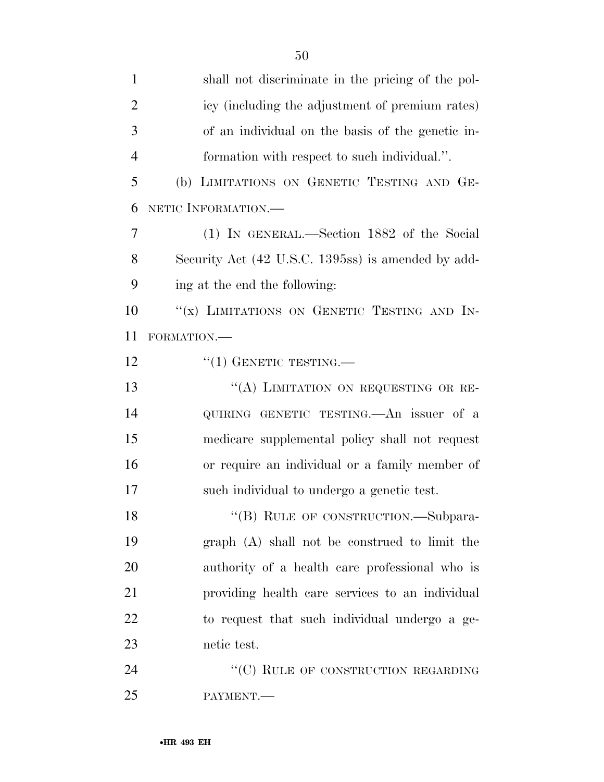| $\mathbf{1}$   | shall not discriminate in the pricing of the pol-  |
|----------------|----------------------------------------------------|
| $\overline{2}$ | icy (including the adjustment of premium rates)    |
| 3              | of an individual on the basis of the genetic in-   |
| $\overline{4}$ | formation with respect to such individual.".       |
| 5              | (b) LIMITATIONS ON GENETIC TESTING AND GE-         |
| 6              | NETIC INFORMATION.-                                |
| 7              | (1) IN GENERAL.—Section 1882 of the Social         |
| 8              | Security Act (42 U.S.C. 1395ss) is amended by add- |
| 9              | ing at the end the following:                      |
| 10             | "(x) LIMITATIONS ON GENETIC TESTING AND IN-        |
| 11             | FORMATION.-                                        |
| 12             | $``(1)$ GENETIC TESTING.—                          |
| 13             | "(A) LIMITATION ON REQUESTING OR RE-               |
| 14             | QUIRING GENETIC TESTING. An issuer of a            |
| 15             | medicare supplemental policy shall not request     |
| 16             | or require an individual or a family member of     |
| 17             | such individual to undergo a genetic test.         |
| 18             | "(B) RULE OF CONSTRUCTION.—Subpara-                |
| 19             | graph (A) shall not be construed to limit the      |
| 20             | authority of a health care professional who is     |
| 21             | providing health care services to an individual    |
| 22             | to request that such individual undergo a ge-      |
| 23             | netic test.                                        |
| 24             | "(C) RULE OF CONSTRUCTION REGARDING                |
| 25             | PAYMENT.                                           |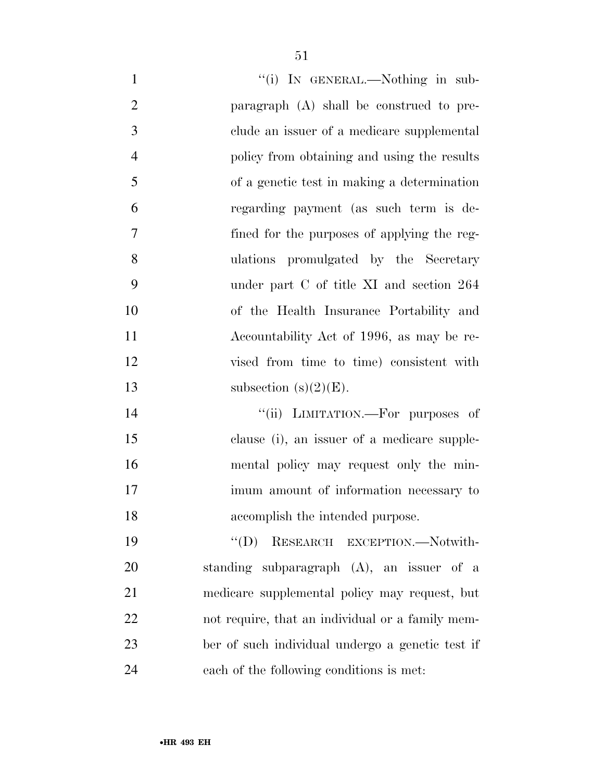| $\mathbf{1}$   | "(i) IN GENERAL.—Nothing in sub-                 |
|----------------|--------------------------------------------------|
| $\overline{2}$ | paragraph $(A)$ shall be construed to pre-       |
| 3              | clude an issuer of a medicare supplemental       |
| $\overline{4}$ | policy from obtaining and using the results      |
| 5              | of a genetic test in making a determination      |
| 6              | regarding payment (as such term is de-           |
| 7              | fined for the purposes of applying the reg-      |
| 8              | ulations promulgated by the Secretary            |
| 9              | under part C of title XI and section 264         |
| 10             | of the Health Insurance Portability and          |
| 11             | Accountability Act of 1996, as may be re-        |
| 12             | vised from time to time) consistent with         |
| 13             | subsection $(s)(2)(E)$ .                         |
| 14             | "(ii) LIMITATION.—For purposes of                |
| 15             | clause (i), an issuer of a medicare supple-      |
| 16             | mental policy may request only the min-          |
| 17             | imum amount of information necessary to          |
| 18             | accomplish the intended purpose.                 |
| 19             | $\lq\lq (D)$<br>RESEARCH EXCEPTION.-Notwith-     |
| 20             | standing subparagraph (A), an issuer of a        |
| 21             | medicare supplemental policy may request, but    |
| 22             | not require, that an individual or a family mem- |
| 23             | ber of such individual undergo a genetic test if |
| 24             | each of the following conditions is met:         |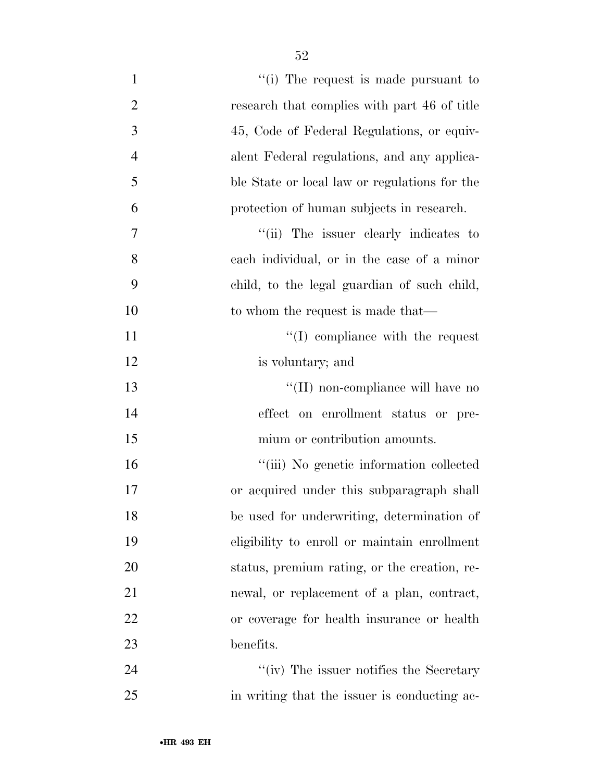| $\mathbf{1}$   | "(i) The request is made pursuant to          |
|----------------|-----------------------------------------------|
| $\overline{2}$ | research that complies with part 46 of title  |
| 3              | 45, Code of Federal Regulations, or equiv-    |
| $\overline{4}$ | alent Federal regulations, and any applica-   |
| 5              | ble State or local law or regulations for the |
| 6              | protection of human subjects in research.     |
| 7              | "(ii) The issuer clearly indicates to         |
| 8              | each individual, or in the case of a minor    |
| 9              | child, to the legal guardian of such child,   |
| 10             | to whom the request is made that—             |
| 11             | $\lq\lq$ compliance with the request          |
| 12             | is voluntary; and                             |
| 13             | "(II) non-compliance will have no             |
| 14             | effect on enrollment status or pre-           |
| 15             | mium or contribution amounts.                 |
| 16             | "(iii) No genetic information collected       |
| 17             | or acquired under this subparagraph shall     |
| 18             | be used for underwriting, determination of    |
| 19             | eligibility to enroll or maintain enrollment  |
| 20             | status, premium rating, or the creation, re-  |
| 21             | newal, or replacement of a plan, contract,    |
| 22             | or coverage for health insurance or health    |
| 23             | benefits.                                     |
| 24             | "(iv) The issuer notifies the Secretary       |
| 25             | in writing that the issuer is conducting ac-  |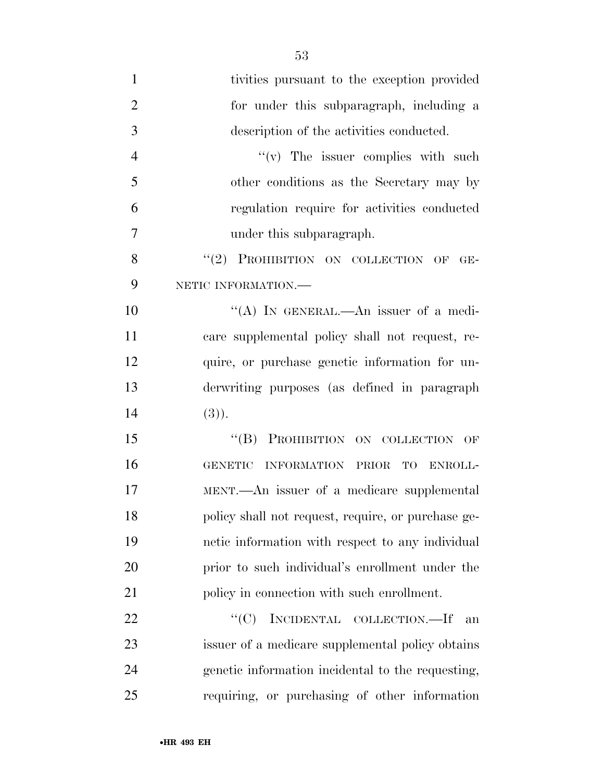tivities pursuant to the exception provided for under this subparagraph, including a description of the activities conducted.  $''(v)$  The issuer complies with such other conditions as the Secretary may by regulation require for activities conducted under this subparagraph. 8 "(2) PROHIBITION ON COLLECTION OF GE- NETIC INFORMATION.— 10 "(A) IN GENERAL.—An issuer of a medi- care supplemental policy shall not request, re- quire, or purchase genetic information for un- derwriting purposes (as defined in paragraph (3)). 15 "(B) PROHIBITION ON COLLECTION OF GENETIC INFORMATION PRIOR TO ENROLL- MENT.—An issuer of a medicare supplemental policy shall not request, require, or purchase ge- netic information with respect to any individual prior to such individual's enrollment under the 21 policy in connection with such enrollment. 22 "<sup>"</sup>(C) INCIDENTAL COLLECTION.—If an issuer of a medicare supplemental policy obtains

 genetic information incidental to the requesting, requiring, or purchasing of other information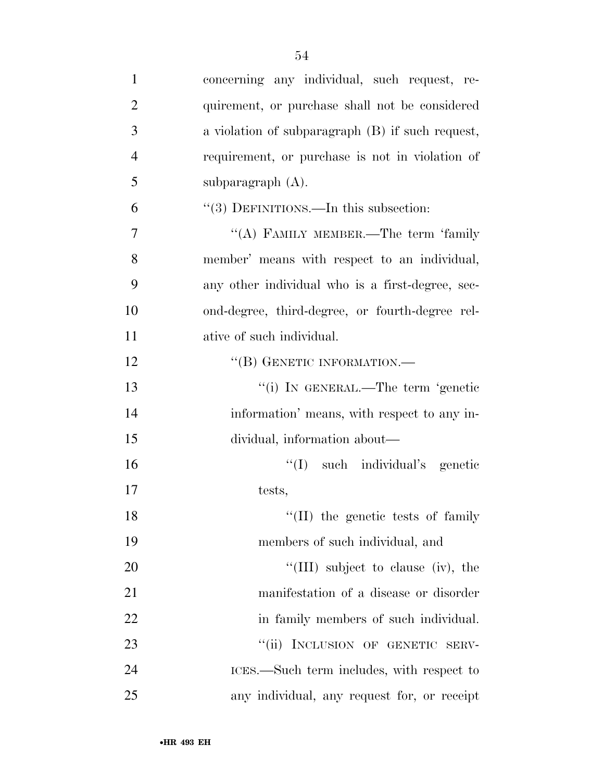| $\mathbf{1}$   | concerning any individual, such request, re-     |
|----------------|--------------------------------------------------|
| $\overline{2}$ | quirement, or purchase shall not be considered   |
| 3              | a violation of subparagraph (B) if such request, |
| $\overline{4}$ | requirement, or purchase is not in violation of  |
| 5              | subparagraph $(A)$ .                             |
| 6              | $\cdot\cdot(3)$ DEFINITIONS.—In this subsection: |
| $\tau$         | "(A) FAMILY MEMBER.—The term 'family             |
| 8              | member' means with respect to an individual,     |
| 9              | any other individual who is a first-degree, sec- |
| 10             | ond-degree, third-degree, or fourth-degree rel-  |
| 11             | ative of such individual.                        |
| 12             | "(B) GENETIC INFORMATION.-                       |
| 13             | "(i) IN GENERAL.—The term 'genetic               |
| 14             | information' means, with respect to any in-      |
| 15             | dividual, information about—                     |
| 16             | "(I) such individual's genetic                   |
| 17             | tests,                                           |
| 18             | $\lq\lq$ (II) the genetic tests of family        |
| 19             | members of such individual, and                  |
| 20             | "(III) subject to clause (iv), the               |
| 21             | manifestation of a disease or disorder           |
| 22             | in family members of such individual.            |
| 23             | "(ii) INCLUSION OF GENETIC SERV-                 |
| 24             | ICES.—Such term includes, with respect to        |
| 25             | any individual, any request for, or receipt      |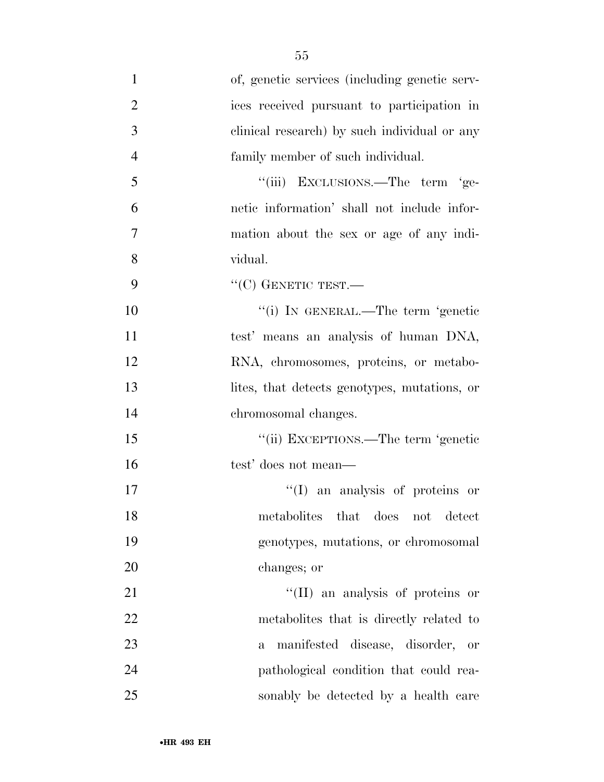of, genetic services (including genetic serv- ices received pursuant to participation in clinical research) by such individual or any family member of such individual. 5 "(iii) EXCLUSIONS.—The term 'ge- netic information' shall not include infor- mation about the sex or age of any indi- vidual. 9 "'(C) GENETIC TEST.—  $"$ (i) IN GENERAL.—The term 'genetic test' means an analysis of human DNA, RNA, chromosomes, proteins, or metabo- lites, that detects genotypes, mutations, or chromosomal changes. ''(ii) EXCEPTIONS.—The term 'genetic test' does not mean—  $\text{``(I)}$  an analysis of proteins or metabolites that does not detect genotypes, mutations, or chromosomal changes; or  $\text{``(II)}$  an analysis of proteins or metabolites that is directly related to a manifested disease, disorder, or pathological condition that could rea-sonably be detected by a health care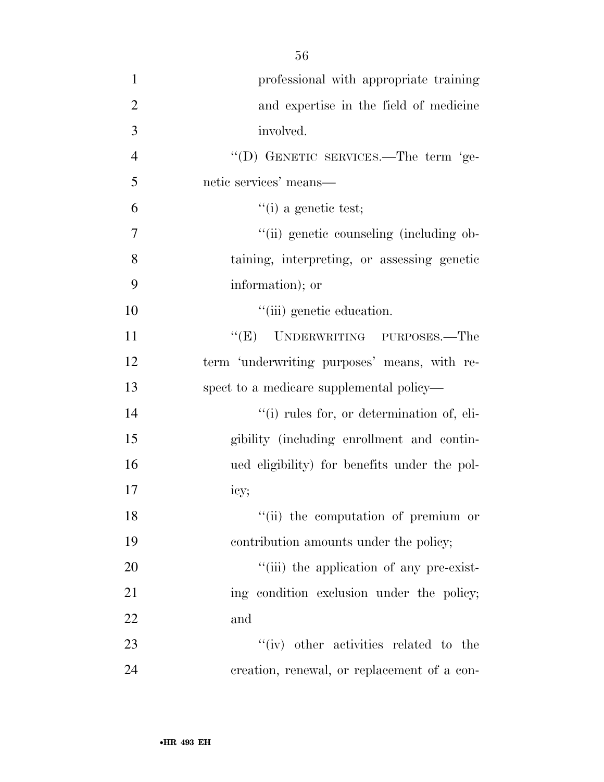| ٧<br>. .<br>۰,<br>۰.<br>۰ | I<br>۰.<br>×<br>٠ |
|---------------------------|-------------------|
|---------------------------|-------------------|

| $\mathbf{1}$   | professional with appropriate training       |
|----------------|----------------------------------------------|
| $\overline{2}$ | and expertise in the field of medicine       |
| 3              | involved.                                    |
| $\overline{4}$ | "(D) GENETIC SERVICES.—The term 'ge-         |
| 5              | netic services' means—                       |
| 6              | $\lq($ i) a genetic test;                    |
| $\tau$         | "(ii) genetic counseling (including ob-      |
| 8              | taining, interpreting, or assessing genetic  |
| 9              | information); or                             |
| 10             | "(iii) genetic education.                    |
| 11             | "(E) UNDERWRITING PURPOSES.—The              |
| 12             | term 'underwriting purposes' means, with re- |
| 13             | spect to a medicare supplemental policy—     |
| 14             | "(i) rules for, or determination of, eli-    |
| 15             | gibility (including enrollment and contin-   |
| 16             | ued eligibility) for benefits under the pol- |
| 17             | icy;                                         |
| 18             | "(ii) the computation of premium or          |
| 19             | contribution amounts under the policy;       |
| 20             | "(iii) the application of any pre-exist-     |
| 21             | ing condition exclusion under the policy;    |
| 22             | and                                          |
| 23             | "(iv) other activities related to the        |
| 24             | creation, renewal, or replacement of a con-  |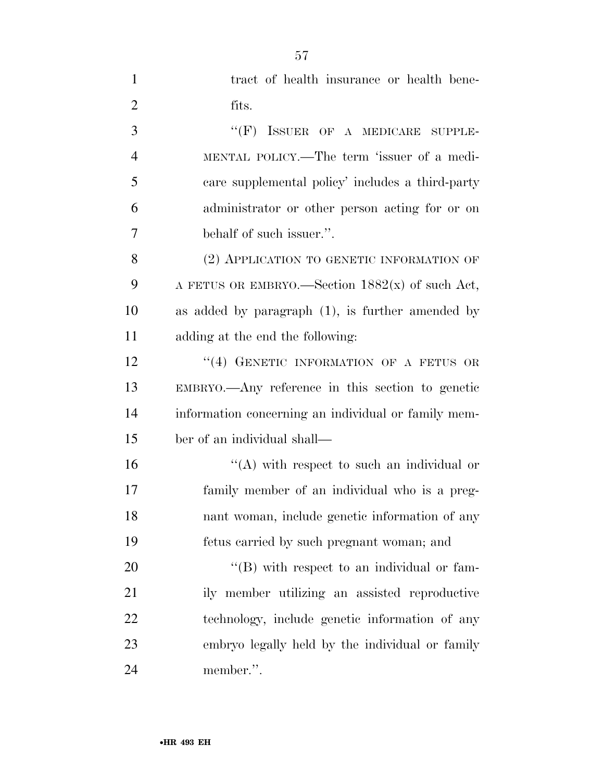| $\mathbf{1}$   | tract of health insurance or health bene-           |
|----------------|-----------------------------------------------------|
| $\overline{2}$ | fits.                                               |
| 3              | ISSUER OF A MEDICARE SUPPLE-<br>$``$ (F)            |
| $\overline{4}$ | MENTAL POLICY.—The term 'issuer of a medi-          |
| 5              | care supplemental policy' includes a third-party    |
| 6              | administrator or other person acting for or on      |
| 7              | behalf of such issuer.".                            |
| 8              | (2) APPLICATION TO GENETIC INFORMATION OF           |
| 9              | A FETUS OR EMBRYO.—Section $1882(x)$ of such Act,   |
| 10             | as added by paragraph (1), is further amended by    |
| 11             | adding at the end the following:                    |
| 12             | "(4) GENETIC INFORMATION OF A FETUS OR              |
| 13             | EMBRYO.—Any reference in this section to genetic    |
| 14             | information concerning an individual or family mem- |
| 15             | ber of an individual shall—                         |
| 16             | "(A) with respect to such an individual or          |
| 17             | family member of an individual who is a preg-       |
| 18             | nant woman, include genetic information of any      |
| 19             | fetus carried by such pregnant woman; and           |
| 20             | "(B) with respect to an individual or fam-          |
| 21             | ily member utilizing an assisted reproductive       |
| 22             | technology, include genetic information of any      |
| 23             | embryo legally held by the individual or family     |
| 24             | member.".                                           |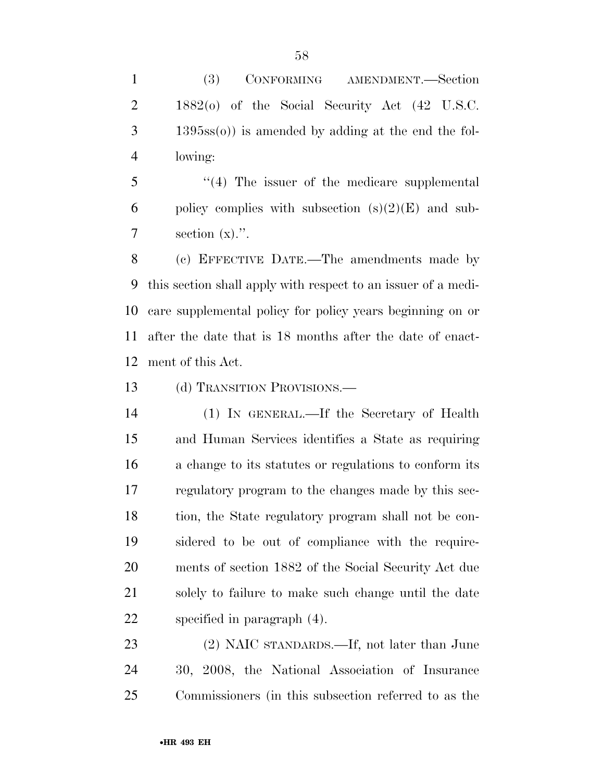(3) CONFORMING AMENDMENT.—Section 1882(o) of the Social Security Act (42 U.S.C. 1395ss(o)) is amended by adding at the end the fol-lowing:

 ''(4) The issuer of the medicare supplemental 6 policy complies with subsection  $(s)(2)(E)$  and sub-7 section  $(x)$ .".

 (c) EFFECTIVE DATE.—The amendments made by this section shall apply with respect to an issuer of a medi- care supplemental policy for policy years beginning on or after the date that is 18 months after the date of enact-ment of this Act.

13 (d) TRANSITION PROVISIONS.—

 (1) IN GENERAL.—If the Secretary of Health and Human Services identifies a State as requiring a change to its statutes or regulations to conform its regulatory program to the changes made by this sec- tion, the State regulatory program shall not be con- sidered to be out of compliance with the require- ments of section 1882 of the Social Security Act due solely to failure to make such change until the date specified in paragraph (4).

 (2) NAIC STANDARDS.—If, not later than June 30, 2008, the National Association of Insurance Commissioners (in this subsection referred to as the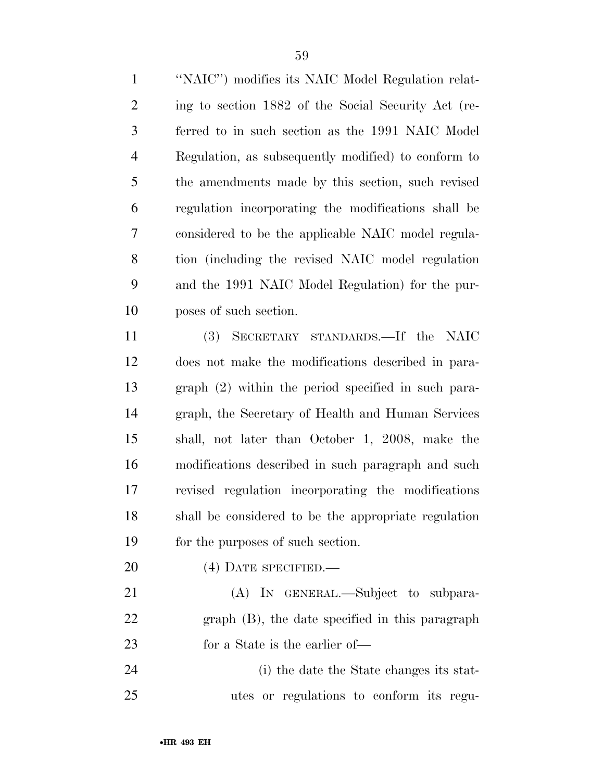''NAIC'') modifies its NAIC Model Regulation relat- ing to section 1882 of the Social Security Act (re- ferred to in such section as the 1991 NAIC Model Regulation, as subsequently modified) to conform to the amendments made by this section, such revised regulation incorporating the modifications shall be considered to be the applicable NAIC model regula- tion (including the revised NAIC model regulation and the 1991 NAIC Model Regulation) for the pur-poses of such section.

 (3) SECRETARY STANDARDS.—If the NAIC does not make the modifications described in para- graph (2) within the period specified in such para- graph, the Secretary of Health and Human Services shall, not later than October 1, 2008, make the modifications described in such paragraph and such revised regulation incorporating the modifications shall be considered to be the appropriate regulation for the purposes of such section.

20 (4) DATE SPECIFIED.

 (A) IN GENERAL.—Subject to subpara- graph (B), the date specified in this paragraph for a State is the earlier of—

 (i) the date the State changes its stat-utes or regulations to conform its regu-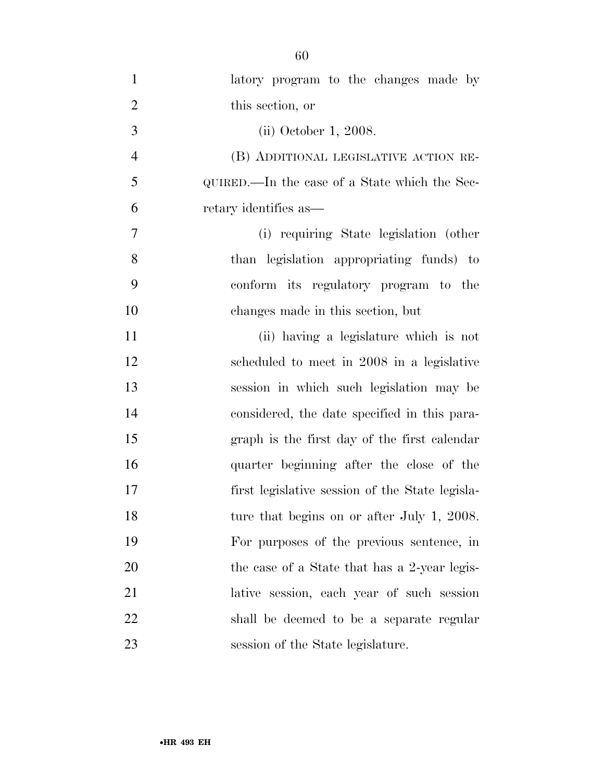| $\mathbf{1}$   | latory program to the changes made by           |
|----------------|-------------------------------------------------|
| $\overline{2}$ | this section, or                                |
| 3              | (ii) October 1, 2008.                           |
| $\overline{4}$ | (B) ADDITIONAL LEGISLATIVE ACTION RE-           |
| 5              | QUIRED.—In the case of a State which the Sec-   |
| 6              | retary identifies as—                           |
| 7              | (i) requiring State legislation (other          |
| 8              | than legislation appropriating funds) to        |
| 9              | conform its regulatory program to the           |
| 10             | changes made in this section, but               |
| 11             | (ii) having a legislature which is not          |
| 12             | scheduled to meet in 2008 in a legislative      |
| 13             | session in which such legislation may be        |
| 14             | considered, the date specified in this para-    |
| 15             | graph is the first day of the first calendar    |
| 16             | quarter beginning after the close of the        |
| 17             | first legislative session of the State legisla- |
| 18             | ture that begins on or after July 1, 2008.      |
| 19             | For purposes of the previous sentence, in       |
| 20             | the case of a State that has a 2-year legis-    |
| 21             | lative session, each year of such session       |
| 22             | shall be deemed to be a separate regular        |
| 23             | session of the State legislature.               |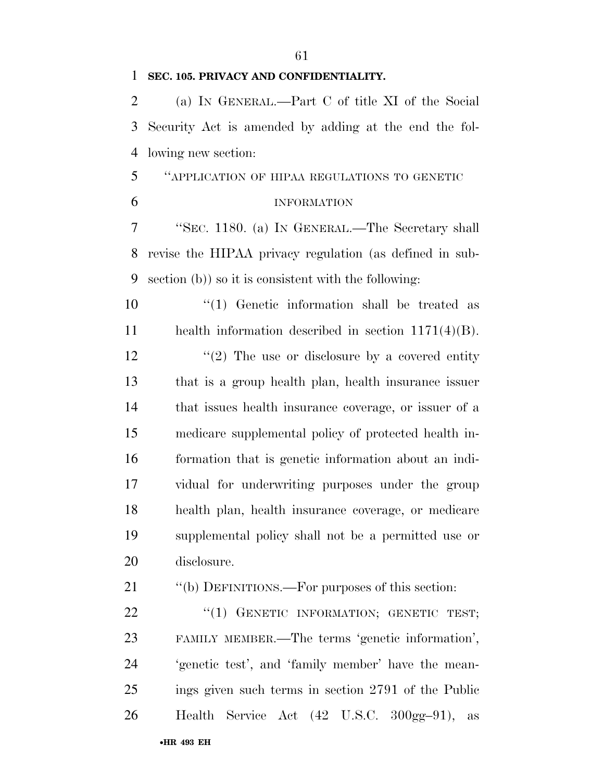#### **SEC. 105. PRIVACY AND CONFIDENTIALITY.**

 (a) IN GENERAL.—Part C of title XI of the Social Security Act is amended by adding at the end the fol-lowing new section:

## ''APPLICATION OF HIPAA REGULATIONS TO GENETIC

## INFORMATION

 ''SEC. 1180. (a) IN GENERAL.—The Secretary shall revise the HIPAA privacy regulation (as defined in sub-section (b)) so it is consistent with the following:

 ''(1) Genetic information shall be treated as health information described in section 1171(4)(B).

12 ''(2) The use or disclosure by a covered entity that is a group health plan, health insurance issuer that issues health insurance coverage, or issuer of a medicare supplemental policy of protected health in- formation that is genetic information about an indi- vidual for underwriting purposes under the group health plan, health insurance coverage, or medicare supplemental policy shall not be a permitted use or disclosure.

21 "(b) DEFINITIONS.—For purposes of this section:

22 "(1) GENETIC INFORMATION; GENETIC TEST; FAMILY MEMBER.—The terms 'genetic information', 'genetic test', and 'family member' have the mean- ings given such terms in section 2791 of the Public Health Service Act (42 U.S.C. 300gg–91), as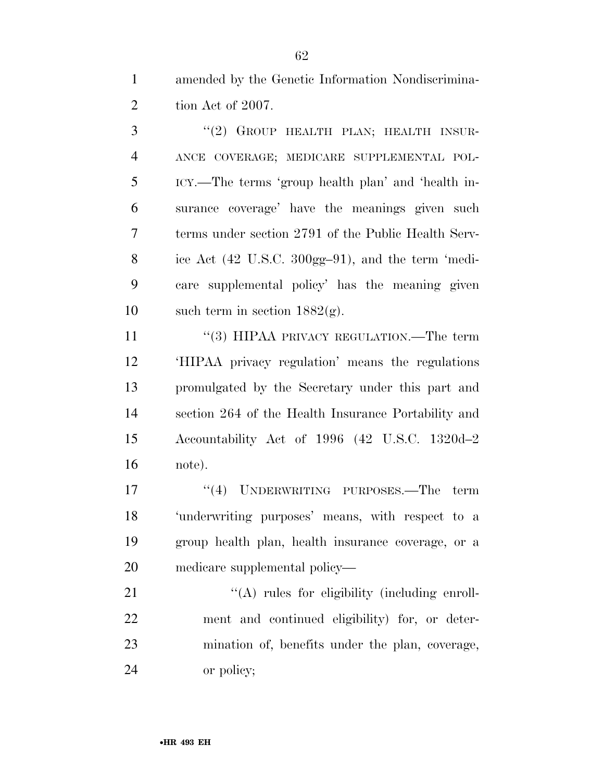amended by the Genetic Information Nondiscrimina-2 tion Act of 2007.

3 "(2) GROUP HEALTH PLAN; HEALTH INSUR- ANCE COVERAGE; MEDICARE SUPPLEMENTAL POL- ICY.—The terms 'group health plan' and 'health in- surance coverage' have the meanings given such terms under section 2791 of the Public Health Serv- ice Act (42 U.S.C. 300gg–91), and the term 'medi- care supplemental policy' has the meaning given 10 such term in section  $1882(g)$ .

11 "(3) HIPAA PRIVACY REGULATION.—The term 'HIPAA privacy regulation' means the regulations promulgated by the Secretary under this part and section 264 of the Health Insurance Portability and Accountability Act of 1996 (42 U.S.C. 1320d–2 note).

17 "(4) UNDERWRITING PURPOSES.—The term 'underwriting purposes' means, with respect to a group health plan, health insurance coverage, or a medicare supplemental policy—

21 "(A) rules for eligibility (including enroll- ment and continued eligibility) for, or deter- mination of, benefits under the plan, coverage, or policy;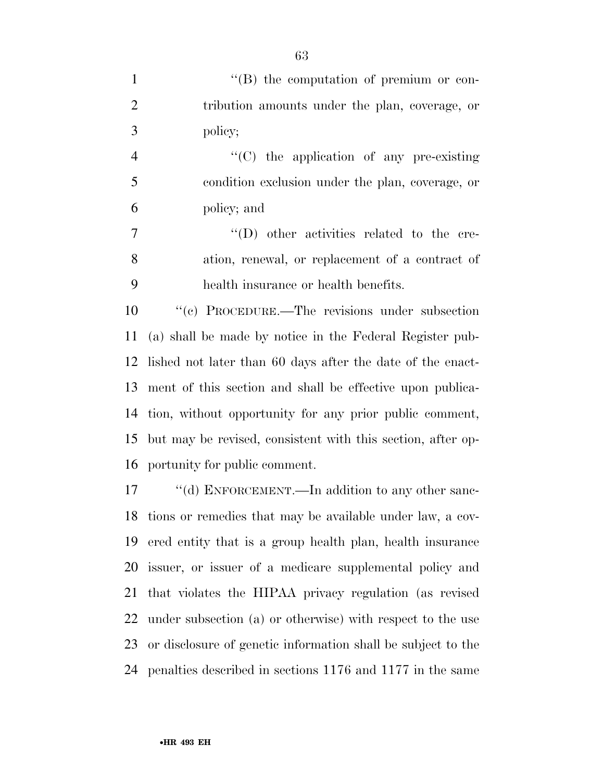|   | $\lq\lq (B)$ the computation of premium or con- |
|---|-------------------------------------------------|
|   | tribution amounts under the plan, coverage, or  |
| 3 | policy;                                         |

 ''(C) the application of any pre-existing condition exclusion under the plan, coverage, or policy; and

7  $''(D)$  other activities related to the cre- ation, renewal, or replacement of a contract of health insurance or health benefits.

 ''(c) PROCEDURE.—The revisions under subsection (a) shall be made by notice in the Federal Register pub- lished not later than 60 days after the date of the enact- ment of this section and shall be effective upon publica- tion, without opportunity for any prior public comment, but may be revised, consistent with this section, after op-portunity for public comment.

17 "(d) ENFORCEMENT.—In addition to any other sanc- tions or remedies that may be available under law, a cov- ered entity that is a group health plan, health insurance issuer, or issuer of a medicare supplemental policy and that violates the HIPAA privacy regulation (as revised under subsection (a) or otherwise) with respect to the use or disclosure of genetic information shall be subject to the penalties described in sections 1176 and 1177 in the same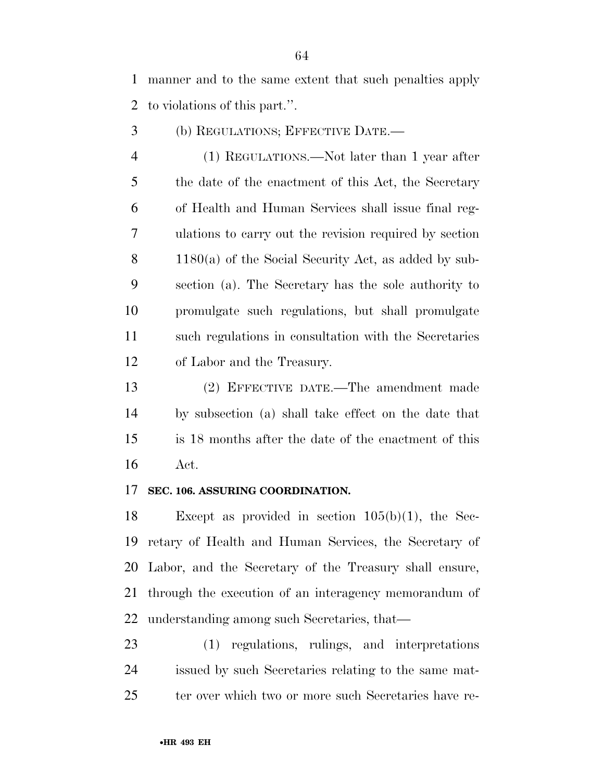manner and to the same extent that such penalties apply to violations of this part.''.

(b) REGULATIONS; EFFECTIVE DATE.—

 (1) REGULATIONS.—Not later than 1 year after the date of the enactment of this Act, the Secretary of Health and Human Services shall issue final reg- ulations to carry out the revision required by section 1180(a) of the Social Security Act, as added by sub- section (a). The Secretary has the sole authority to promulgate such regulations, but shall promulgate such regulations in consultation with the Secretaries of Labor and the Treasury.

 (2) EFFECTIVE DATE.—The amendment made by subsection (a) shall take effect on the date that is 18 months after the date of the enactment of this Act.

#### **SEC. 106. ASSURING COORDINATION.**

 Except as provided in section 105(b)(1), the Sec- retary of Health and Human Services, the Secretary of Labor, and the Secretary of the Treasury shall ensure, through the execution of an interagency memorandum of understanding among such Secretaries, that—

 (1) regulations, rulings, and interpretations issued by such Secretaries relating to the same mat-ter over which two or more such Secretaries have re-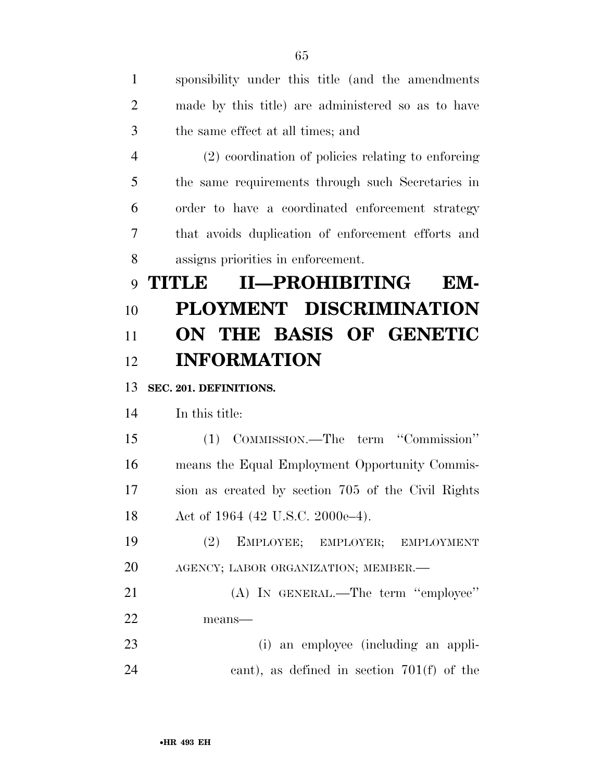| $\mathbf{1}$   | sponsibility under this title (and the amendments  |
|----------------|----------------------------------------------------|
| $\overline{2}$ | made by this title) are administered so as to have |
| 3              | the same effect at all times; and                  |
| $\overline{4}$ | (2) coordination of policies relating to enforcing |
| 5              | the same requirements through such Secretaries in  |
| 6              | order to have a coordinated enforcement strategy   |
| 7              | that avoids duplication of enforcement efforts and |
| 8              | assigns priorities in enforcement.                 |
| 9              | II—PROHIBITING<br><b>THUNDE</b><br>EM-             |
| 10             | PLOYMENT DISCRIMINATION                            |
| 11             | ON THE BASIS OF GENETIC                            |
| 12             | <b>INFORMATION</b>                                 |
|                |                                                    |
| 13             | SEC. 201. DEFINITIONS.                             |
| 14             | In this title:                                     |
| 15             | (1) COMMISSION.—The term "Commission"              |
| 16             | means the Equal Employment Opportunity Commis-     |
| 17             | sion as created by section 705 of the Civil Rights |
| 18             | Act of 1964 (42 U.S.C. 2000e-4).                   |
| 19             | (2)<br>EMPLOYEE; EMPLOYER; EMPLOYMENT              |
| 20             | AGENCY; LABOR ORGANIZATION; MEMBER.-               |
| 21             | (A) IN GENERAL.—The term "employee"                |
| 22             | means-                                             |
| 23             | (i) an employee (including an appli-               |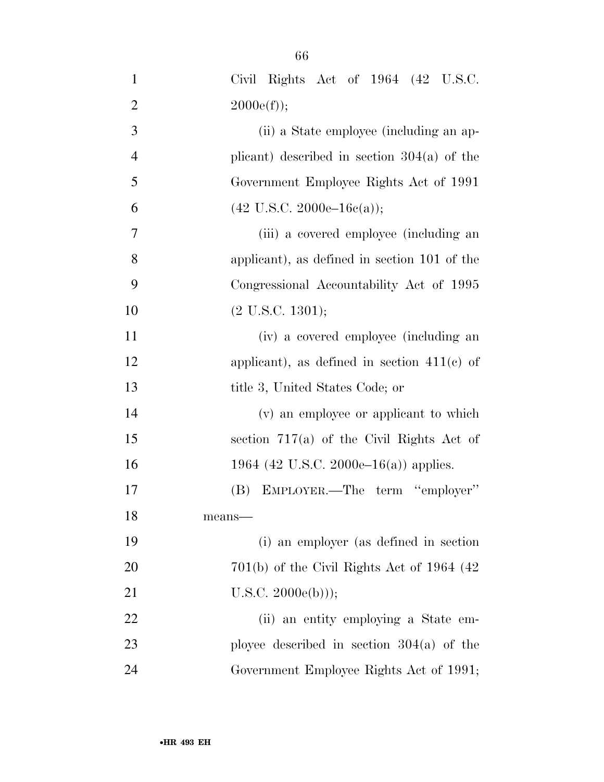| $\mathbf{1}$   | Civil Rights Act of $1964$ $(42 \text{ U.S.C.})$   |
|----------------|----------------------------------------------------|
| $\overline{2}$ | $2000e(f)$ ;                                       |
| 3              | (ii) a State employee (including an ap-            |
| $\overline{4}$ | plicant) described in section $304(a)$ of the      |
| 5              | Government Employee Rights Act of 1991             |
| 6              | $(42 \text{ U.S.C. } 2000\text{e}-16\text{e(a)});$ |
| 7              | (iii) a covered employee (including an             |
| 8              | applicant), as defined in section 101 of the       |
| 9              | Congressional Accountability Act of 1995           |
| 10             | $(2 \text{ U.S.C. } 1301);$                        |
| 11             | (iv) a covered employee (including an              |
| 12             | applicant), as defined in section $411(c)$ of      |
| 13             | title 3, United States Code; or                    |
| 14             | (v) an employee or applicant to which              |
| 15             | section $717(a)$ of the Civil Rights Act of        |
| 16             | 1964 (42 U.S.C. 2000e–16(a)) applies.              |
| 17             | (B) EMPLOYER.—The term "employer"                  |
| 18             | means-                                             |
| 19             | (i) an employer (as defined in section             |
| 20             | $701(b)$ of the Civil Rights Act of 1964 (42)      |
| 21             | $U.S.C. 2000e(b))$ ;                               |
| 22             | (ii) an entity employing a State em-               |
| 23             | ployee described in section $304(a)$ of the        |
| 24             | Government Employee Rights Act of 1991;            |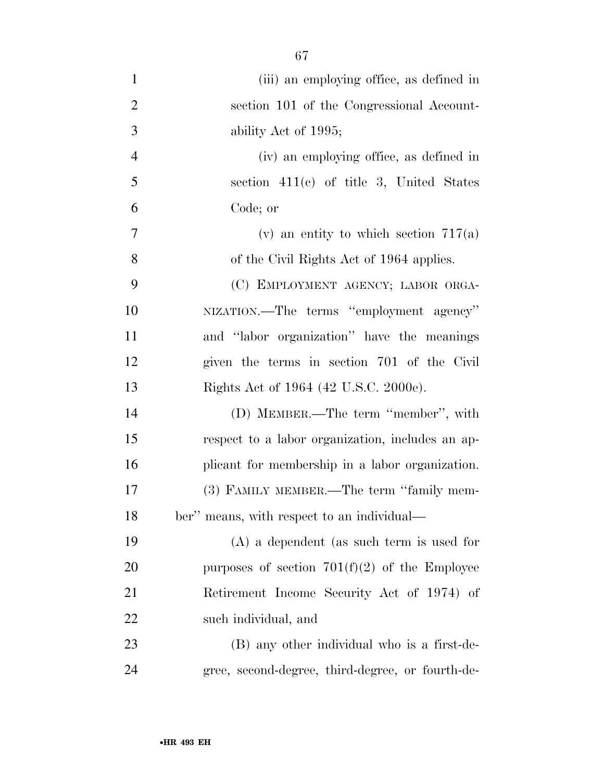| $\mathbf{1}$   | (iii) an employing office, as defined in         |
|----------------|--------------------------------------------------|
| $\overline{2}$ | section 101 of the Congressional Account-        |
| 3              | ability Act of 1995;                             |
| $\overline{4}$ | (iv) an employing office, as defined in          |
| 5              | section $411(c)$ of title 3, United States       |
| 6              | Code; or                                         |
| 7              | (v) an entity to which section $717(a)$          |
| 8              | of the Civil Rights Act of 1964 applies.         |
| 9              | (C) EMPLOYMENT AGENCY; LABOR ORGA-               |
| 10             | NIZATION.—The terms "employment agency"          |
| 11             | and "labor organization" have the meanings       |
| 12             | given the terms in section 701 of the Civil      |
| 13             | Rights Act of 1964 (42 U.S.C. 2000e).            |
| 14             | (D) MEMBER.—The term "member", with              |
| 15             | respect to a labor organization, includes an ap- |
| 16             | plicant for membership in a labor organization.  |
| 17             | (3) FAMILY MEMBER.—The term "family mem-         |
| 18             | ber" means, with respect to an individual—       |
| 19             | $(A)$ a dependent (as such term is used for      |
| 20             | purposes of section $701(f)(2)$ of the Employee  |
| 21             | Retirement Income Security Act of 1974) of       |
| 22             | such individual, and                             |
| 23             | (B) any other individual who is a first-de-      |
| 24             | gree, second-degree, third-degree, or fourth-de- |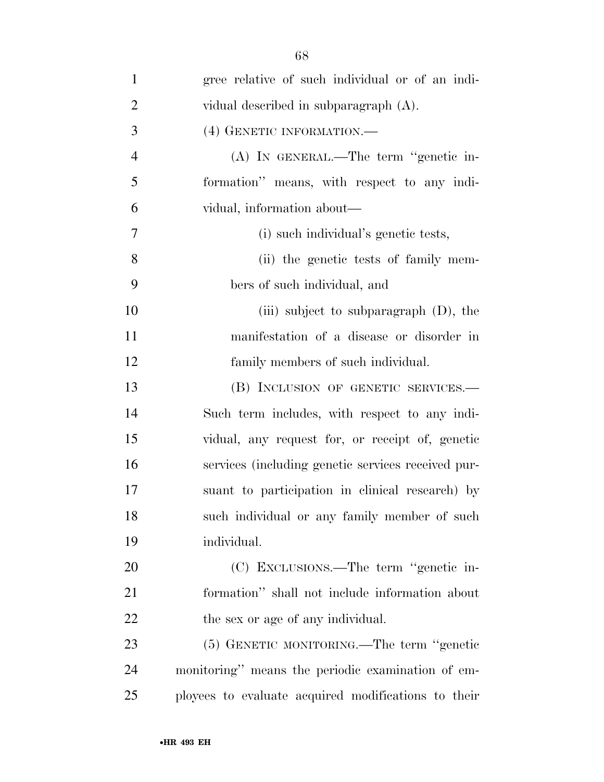| $\mathbf{1}$   | gree relative of such individual or of an indi-     |
|----------------|-----------------------------------------------------|
| $\overline{2}$ | vidual described in subparagraph (A).               |
| 3              | (4) GENETIC INFORMATION.—                           |
| $\overline{4}$ | (A) IN GENERAL.—The term "genetic in-               |
| 5              | formation" means, with respect to any indi-         |
| 6              | vidual, information about—                          |
| $\overline{7}$ | (i) such individual's genetic tests,                |
| 8              | (ii) the genetic tests of family mem-               |
| 9              | bers of such individual, and                        |
| 10             | (iii) subject to subparagraph $(D)$ , the           |
| 11             | manifestation of a disease or disorder in           |
| 12             | family members of such individual.                  |
| 13             | (B) INCLUSION OF GENETIC SERVICES.—                 |
| 14             | Such term includes, with respect to any indi-       |
| 15             | vidual, any request for, or receipt of, genetic     |
| 16             | services (including genetic services received pur-  |
| 17             | suant to participation in clinical research) by     |
| 18             | such individual or any family member of such        |
| 19             | individual.                                         |
| 20             | (C) EXCLUSIONS.—The term "genetic in-               |
| 21             | formation" shall not include information about      |
| 22             | the sex or age of any individual.                   |
| 23             | (5) GENETIC MONITORING.—The term "genetic           |
| 24             | monitoring" means the periodic examination of em-   |
| 25             | ployees to evaluate acquired modifications to their |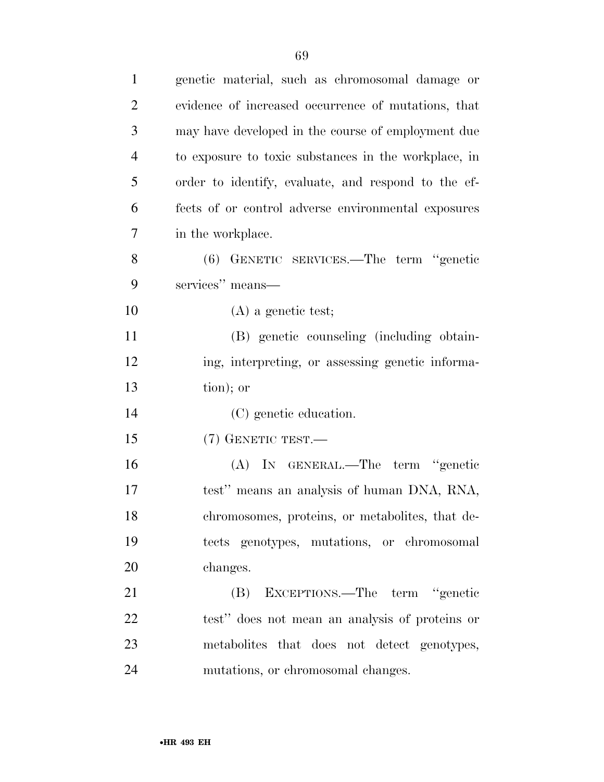| $\mathbf{1}$   | genetic material, such as chromosomal damage or      |
|----------------|------------------------------------------------------|
| $\overline{2}$ | evidence of increased occurrence of mutations, that  |
| 3              | may have developed in the course of employment due   |
| $\overline{4}$ | to exposure to toxic substances in the workplace, in |
| 5              | order to identify, evaluate, and respond to the ef-  |
| 6              | fects of or control adverse environmental exposures  |
| 7              | in the workplace.                                    |
| 8              | (6) GENETIC SERVICES.—The term "genetic              |
| 9              | services" means—                                     |
| 10             | $(A)$ a genetic test;                                |
| 11             | (B) genetic counseling (including obtain-            |
| 12             | ing, interpreting, or assessing genetic informa-     |
| 13             | tion); or                                            |
| 14             | (C) genetic education.                               |
| 15             | (7) GENETIC TEST.—                                   |
| 16             | (A) IN GENERAL.—The term "genetic                    |
| 17             | test" means an analysis of human DNA, RNA,           |
| 18             | chromosomes, proteins, or metabolites, that de-      |
| 19             | tects genotypes, mutations, or chromosomal           |
| 20             | changes.                                             |
| 21             | (B) EXCEPTIONS.—The term "genetic                    |
| 22             | test" does not mean an analysis of proteins or       |
| 23             | metabolities that does not detect genotypes,         |
| 24             | mutations, or chromosomal changes.                   |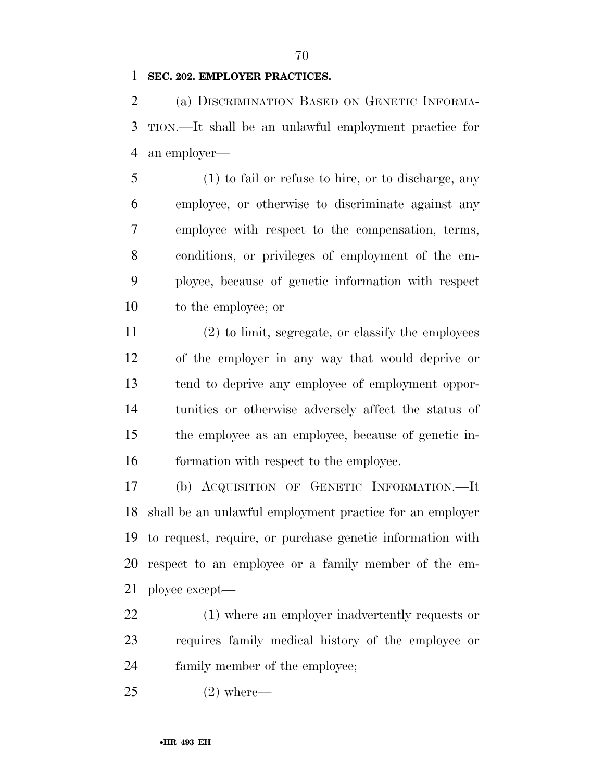**SEC. 202. EMPLOYER PRACTICES.** 

 (a) DISCRIMINATION BASED ON GENETIC INFORMA- TION.—It shall be an unlawful employment practice for an employer—

 (1) to fail or refuse to hire, or to discharge, any employee, or otherwise to discriminate against any employee with respect to the compensation, terms, conditions, or privileges of employment of the em- ployee, because of genetic information with respect to the employee; or

 (2) to limit, segregate, or classify the employees of the employer in any way that would deprive or tend to deprive any employee of employment oppor- tunities or otherwise adversely affect the status of the employee as an employee, because of genetic in-formation with respect to the employee.

 (b) ACQUISITION OF GENETIC INFORMATION.—It shall be an unlawful employment practice for an employer to request, require, or purchase genetic information with respect to an employee or a family member of the em-ployee except—

 (1) where an employer inadvertently requests or requires family medical history of the employee or family member of the employee;

(2) where—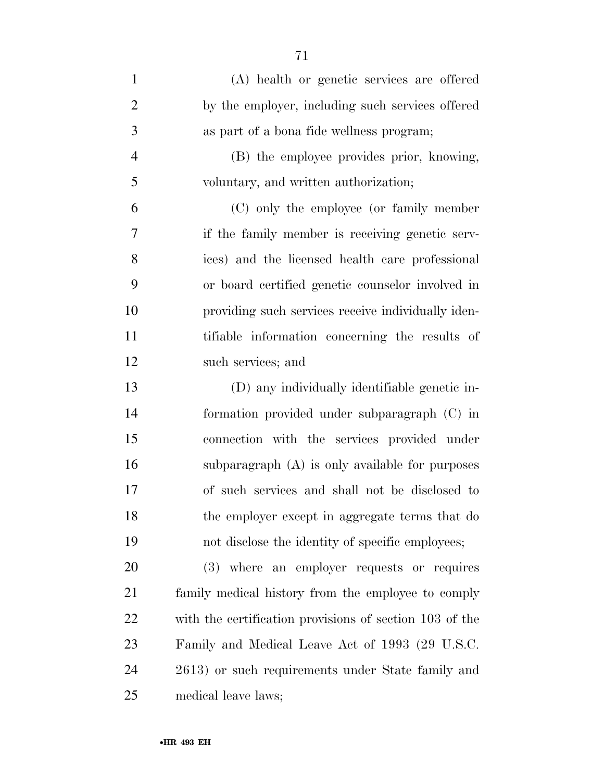| $\mathbf{1}$   | (A) health or genetic services are offered              |
|----------------|---------------------------------------------------------|
| $\overline{2}$ | by the employer, including such services offered        |
| 3              | as part of a bona fide wellness program;                |
| $\overline{4}$ | (B) the employee provides prior, knowing,               |
| 5              | voluntary, and written authorization;                   |
| 6              | (C) only the employee (or family member                 |
| 7              | if the family member is receiving genetic serv-         |
| 8              | ices) and the licensed health care professional         |
| 9              | or board certified genetic counselor involved in        |
| 10             | providing such services receive individually iden-      |
| 11             | tifiable information concerning the results of          |
| 12             | such services; and                                      |
| 13             | (D) any individually identifiable genetic in-           |
| 14             | formation provided under subparagraph (C) in            |
| 15             | connection with the services provided under             |
| 16             | subparagraph (A) is only available for purposes         |
| 17             | of such services and shall not be disclosed to          |
| 18             | the employer except in aggregate terms that do          |
| 19             | not disclose the identity of specific employees;        |
| 20             | (3) where an employer requests or requires              |
| 21             | family medical history from the employee to comply      |
| 22             | with the certification provisions of section 103 of the |
| 23             | Family and Medical Leave Act of 1993 (29 U.S.C.         |
| 24             | 2613) or such requirements under State family and       |
| 25             | medical leave laws;                                     |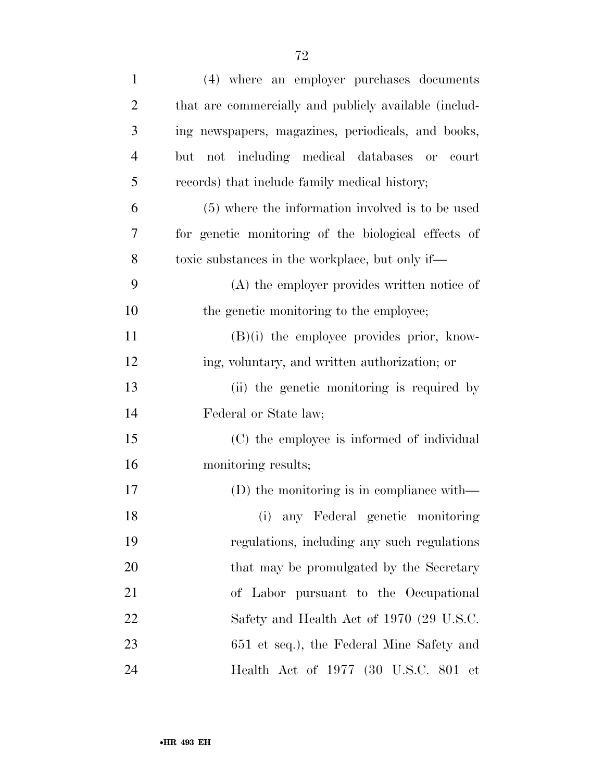| $\mathbf{1}$   | (4) where an employer purchases documents             |
|----------------|-------------------------------------------------------|
| $\overline{2}$ | that are commercially and publicly available (includ- |
| 3              | ing newspapers, magazines, periodicals, and books,    |
| $\overline{4}$ | not including medical databases or<br>but<br>court    |
| 5              | records) that include family medical history;         |
| 6              | (5) where the information involved is to be used      |
| 7              | for genetic monitoring of the biological effects of   |
| 8              | toxic substances in the workplace, but only if—       |
| 9              | (A) the employer provides written notice of           |
| 10             | the genetic monitoring to the employee;               |
| 11             | $(B)(i)$ the employee provides prior, know-           |
| 12             | ing, voluntary, and written authorization; or         |
| 13             | (ii) the genetic monitoring is required by            |
| 14             | Federal or State law;                                 |
| 15             | (C) the employee is informed of individual            |
| 16             | monitoring results;                                   |
| 17             | (D) the monitoring is in compliance with—             |
| 18             | any Federal genetic monitoring<br>(i)                 |
| 19             | regulations, including any such regulations           |
| 20             | that may be promulgated by the Secretary              |
| 21             | of Labor pursuant to the Occupational                 |
| 22             | Safety and Health Act of 1970 (29 U.S.C.              |
| 23             | 651 et seq.), the Federal Mine Safety and             |
| 24             | Health Act of 1977 (30 U.S.C. 801 et                  |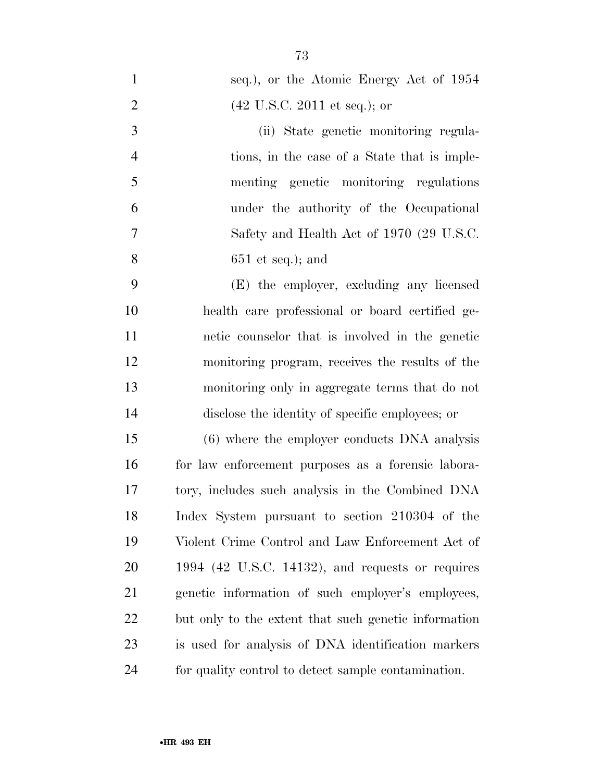| $\mathbf{1}$   | seq.), or the Atomic Energy Act of 1954              |
|----------------|------------------------------------------------------|
| $\overline{2}$ | $(42 \text{ U.S.C. } 2011 \text{ et seq.});$ or      |
| 3              | (ii) State genetic monitoring regula-                |
| $\overline{4}$ | tions, in the case of a State that is imple-         |
| 5              | menting genetic monitoring regulations               |
| 6              | under the authority of the Occupational              |
| 7              | Safety and Health Act of 1970 (29 U.S.C.             |
| 8              | $651$ et seq.); and                                  |
| 9              | (E) the employer, excluding any licensed             |
| 10             | health care professional or board certified ge-      |
| 11             | netic counselor that is involved in the genetic      |
| 12             | monitoring program, receives the results of the      |
| 13             | monitoring only in aggregate terms that do not       |
| 14             | disclose the identity of specific employees; or      |
| 15             | (6) where the employer conducts DNA analysis         |
| 16             | for law enforcement purposes as a forensic labora-   |
| 17             | tory, includes such analysis in the Combined DNA     |
| 18             | Index System pursuant to section 210304 of the       |
| 19             | Violent Crime Control and Law Enforcement Act of     |
| 20             | $1994$ (42 U.S.C. 14132), and requests or requires   |
| 21             | genetic information of such employer's employees,    |
| 22             | but only to the extent that such genetic information |
| 23             | is used for analysis of DNA identification markers   |
| 24             | for quality control to detect sample contamination.  |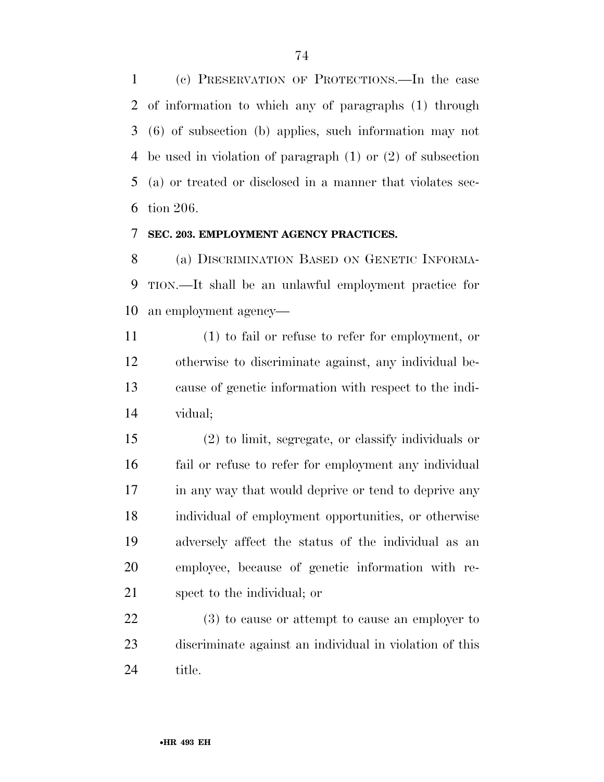(c) PRESERVATION OF PROTECTIONS.—In the case of information to which any of paragraphs (1) through (6) of subsection (b) applies, such information may not be used in violation of paragraph (1) or (2) of subsection (a) or treated or disclosed in a manner that violates sec-tion 206.

#### **SEC. 203. EMPLOYMENT AGENCY PRACTICES.**

 (a) DISCRIMINATION BASED ON GENETIC INFORMA- TION.—It shall be an unlawful employment practice for an employment agency—

 (1) to fail or refuse to refer for employment, or otherwise to discriminate against, any individual be- cause of genetic information with respect to the indi-vidual;

 (2) to limit, segregate, or classify individuals or fail or refuse to refer for employment any individual 17 in any way that would deprive or tend to deprive any individual of employment opportunities, or otherwise adversely affect the status of the individual as an employee, because of genetic information with re-spect to the individual; or

 (3) to cause or attempt to cause an employer to discriminate against an individual in violation of this title.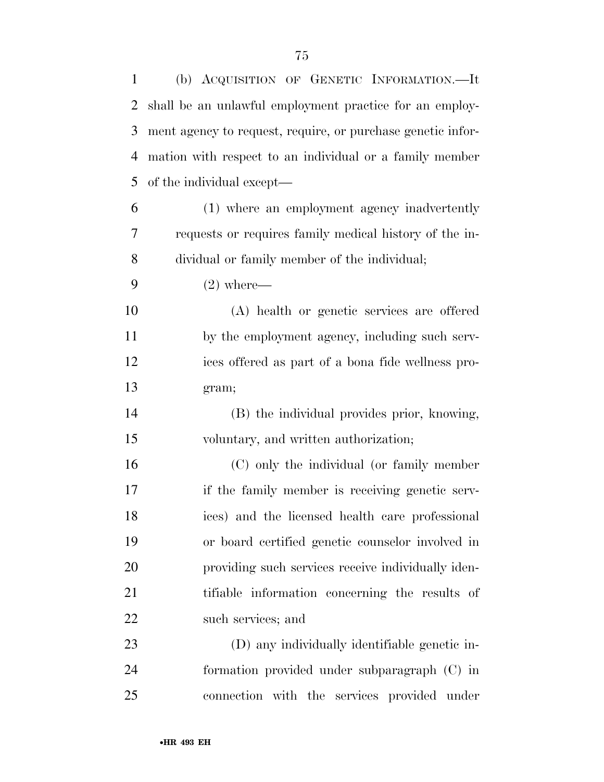| 1              | (b) ACQUISITION OF GENETIC INFORMATION.—It                  |
|----------------|-------------------------------------------------------------|
| $\overline{2}$ | shall be an unlawful employment practice for an employ-     |
| 3              | ment agency to request, require, or purchase genetic infor- |
| 4              | mation with respect to an individual or a family member     |
| 5              | of the individual except—                                   |
| 6              | (1) where an employment agency inadvertently                |
| 7              | requests or requires family medical history of the in-      |
| 8              | dividual or family member of the individual;                |
| 9              | $(2)$ where—                                                |
| 10             | (A) health or genetic services are offered                  |
| 11             | by the employment agency, including such serv-              |
| 12             | ices offered as part of a bona fide wellness pro-           |
| 13             | gram;                                                       |
| 14             | (B) the individual provides prior, knowing,                 |
| 15             | voluntary, and written authorization;                       |
| 16             | (C) only the individual (or family member                   |
| 17             | if the family member is receiving genetic serv-             |
| 18             | ices) and the licensed health care professional             |
| 19             | or board certified genetic counselor involved in            |
| 20             | providing such services receive individually iden-          |
| 21             | tifiable information concerning the results of              |
| 22             | such services; and                                          |
| 23             | (D) any individually identifiable genetic in-               |
| 24             | formation provided under subparagraph (C) in                |
| 25             | connection with the services provided under                 |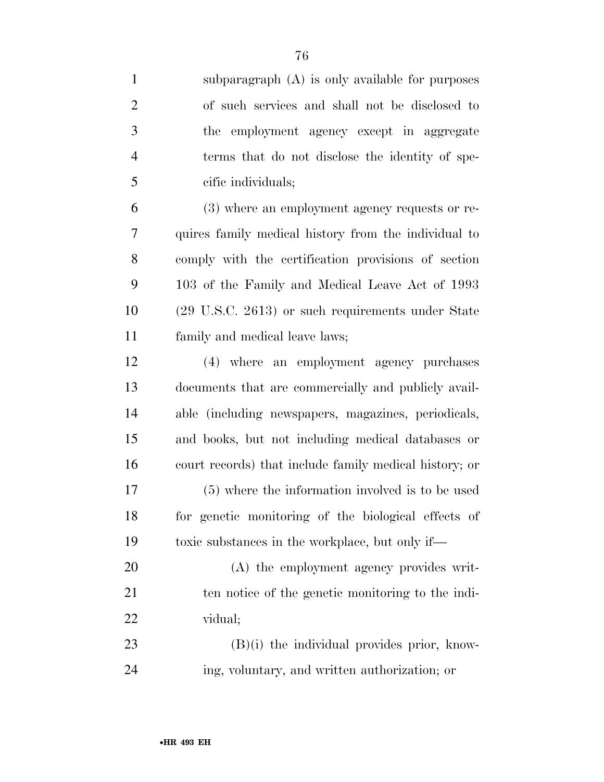| $\mathbf{1}$   | subparagraph $(A)$ is only available for purposes      |
|----------------|--------------------------------------------------------|
| $\overline{2}$ | of such services and shall not be disclosed to         |
| 3              | employment agency except in aggregate<br>the           |
| $\overline{4}$ | terms that do not disclose the identity of spe-        |
| 5              | cific individuals;                                     |
| 6              | (3) where an employment agency requests or re-         |
| 7              | quires family medical history from the individual to   |
| 8              | comply with the certification provisions of section    |
| 9              | 103 of the Family and Medical Leave Act of 1993        |
| 10             | (29 U.S.C. 2613) or such requirements under State      |
| 11             | family and medical leave laws;                         |
| 12             | (4) where an employment agency purchases               |
| 13             | documents that are commercially and publicly avail-    |
| 14             | able (including newspapers, magazines, periodicals,    |
| 15             | and books, but not including medical databases or      |
| 16             | court records) that include family medical history; or |
| 17             | (5) where the information involved is to be used       |
| 18             | for genetic monitoring of the biological effects of    |
| 19             | toxic substances in the workplace, but only if—        |
| 20             | (A) the employment agency provides writ-               |
| 21             | ten notice of the genetic monitoring to the indi-      |
| 22             | vidual;                                                |
| 23             | $(B)(i)$ the individual provides prior, know-          |
| 24             | ing, voluntary, and written authorization; or          |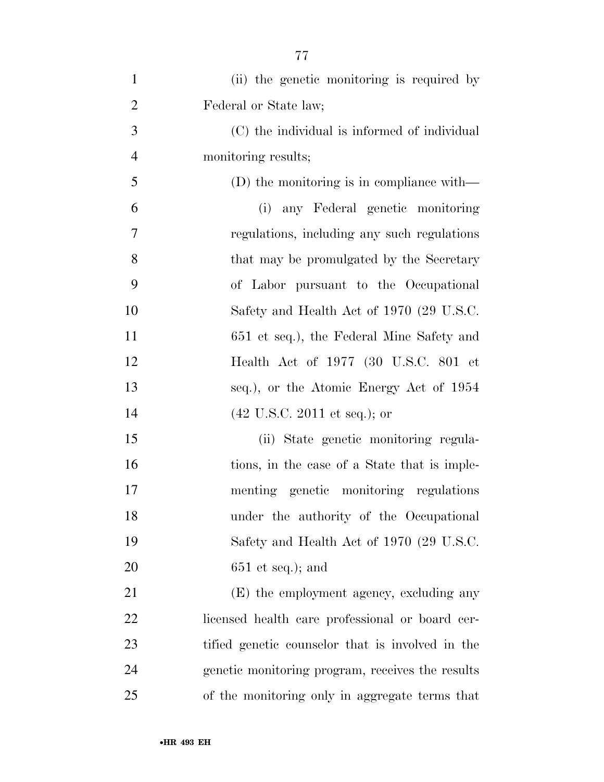| $\mathbf{1}$   | (ii) the genetic monitoring is required by       |
|----------------|--------------------------------------------------|
| $\overline{2}$ | Federal or State law;                            |
| 3              | (C) the individual is informed of individual     |
| $\overline{4}$ | monitoring results;                              |
| 5              | (D) the monitoring is in compliance with—        |
| 6              | any Federal genetic monitoring<br>(i)            |
| 7              | regulations, including any such regulations      |
| 8              | that may be promulgated by the Secretary         |
| 9              | of Labor pursuant to the Occupational            |
| 10             | Safety and Health Act of 1970 (29 U.S.C.         |
| 11             | 651 et seq.), the Federal Mine Safety and        |
| 12             | Health Act of 1977 (30 U.S.C. 801 et             |
| 13             | seq.), or the Atomic Energy Act of 1954          |
| 14             | $(42 \text{ U.S.C. } 2011 \text{ et seq.});$ or  |
| 15             | (ii) State genetic monitoring regula-            |
| 16             | tions, in the case of a State that is imple-     |
| 17             | menting genetic monitoring regulations           |
| 18             | under the authority of the Occupational          |
| 19             | Safety and Health Act of 1970 (29 U.S.C.         |
| 20             | $651$ et seq.); and                              |
| 21             | (E) the employment agency, excluding any         |
| 22             | licensed health care professional or board cer-  |
| 23             | tified genetic counselor that is involved in the |
| 24             | genetic monitoring program, receives the results |
| 25             | of the monitoring only in aggregate terms that   |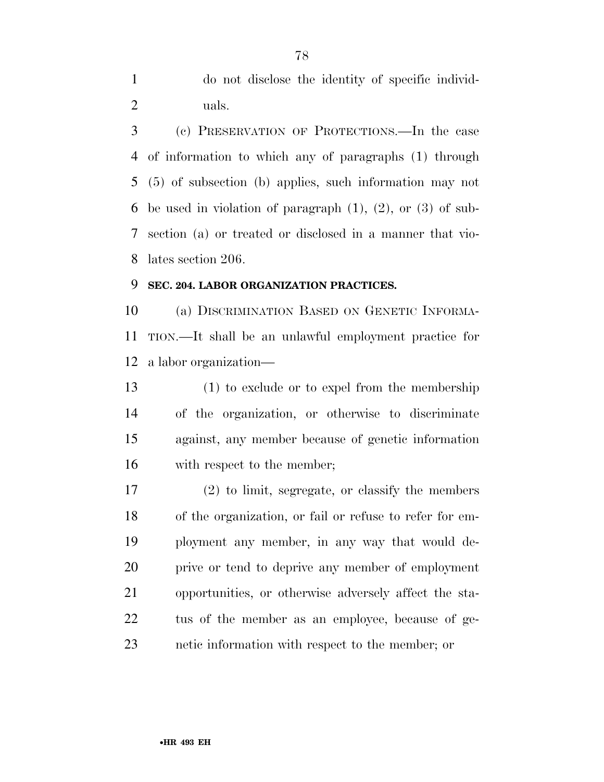do not disclose the identity of specific individ-uals.

 (c) PRESERVATION OF PROTECTIONS.—In the case of information to which any of paragraphs (1) through (5) of subsection (b) applies, such information may not be used in violation of paragraph (1), (2), or (3) of sub- section (a) or treated or disclosed in a manner that vio-lates section 206.

#### **SEC. 204. LABOR ORGANIZATION PRACTICES.**

 (a) DISCRIMINATION BASED ON GENETIC INFORMA- TION.—It shall be an unlawful employment practice for a labor organization—

 (1) to exclude or to expel from the membership of the organization, or otherwise to discriminate against, any member because of genetic information with respect to the member;

 (2) to limit, segregate, or classify the members of the organization, or fail or refuse to refer for em- ployment any member, in any way that would de- prive or tend to deprive any member of employment opportunities, or otherwise adversely affect the sta- tus of the member as an employee, because of ge-netic information with respect to the member; or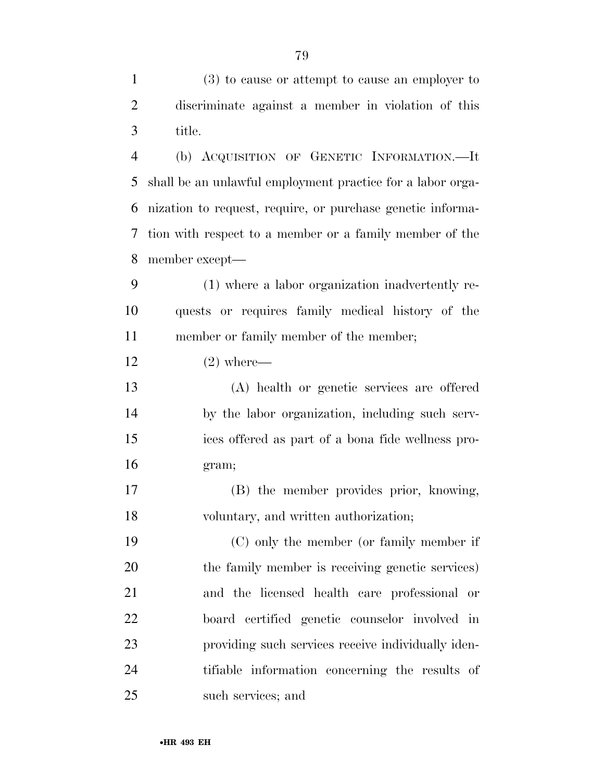(3) to cause or attempt to cause an employer to discriminate against a member in violation of this title.

 (b) ACQUISITION OF GENETIC INFORMATION.—It shall be an unlawful employment practice for a labor orga- nization to request, require, or purchase genetic informa- tion with respect to a member or a family member of the member except—

 (1) where a labor organization inadvertently re- quests or requires family medical history of the member or family member of the member;

 $12 \t\t (2) where$ —

 (A) health or genetic services are offered by the labor organization, including such serv- ices offered as part of a bona fide wellness pro-gram;

 (B) the member provides prior, knowing, voluntary, and written authorization;

 (C) only the member (or family member if the family member is receiving genetic services) and the licensed health care professional or board certified genetic counselor involved in providing such services receive individually iden- tifiable information concerning the results of such services; and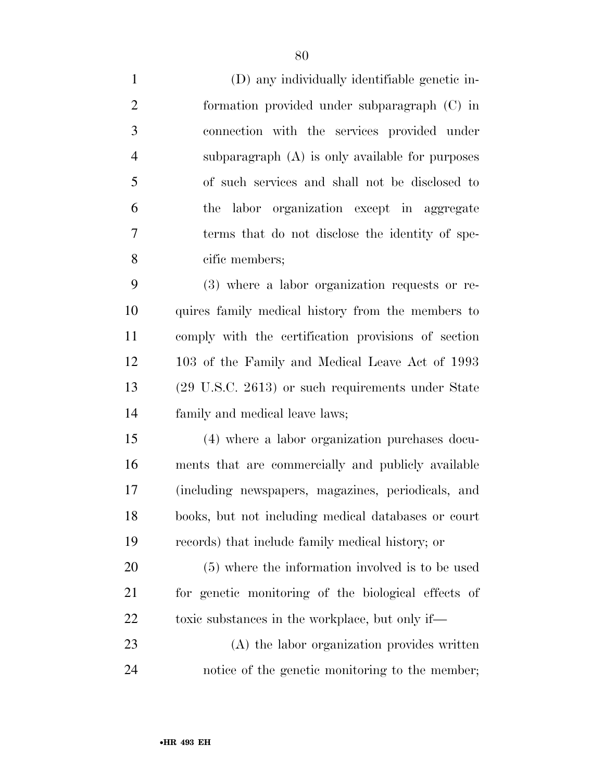(D) any individually identifiable genetic in- formation provided under subparagraph (C) in connection with the services provided under subparagraph (A) is only available for purposes of such services and shall not be disclosed to the labor organization except in aggregate terms that do not disclose the identity of spe- cific members; (3) where a labor organization requests or re- quires family medical history from the members to comply with the certification provisions of section 103 of the Family and Medical Leave Act of 1993 (29 U.S.C. 2613) or such requirements under State family and medical leave laws; (4) where a labor organization purchases docu-

 ments that are commercially and publicly available (including newspapers, magazines, periodicals, and books, but not including medical databases or court records) that include family medical history; or

 (5) where the information involved is to be used for genetic monitoring of the biological effects of 22 toxic substances in the workplace, but only if—

 (A) the labor organization provides written notice of the genetic monitoring to the member;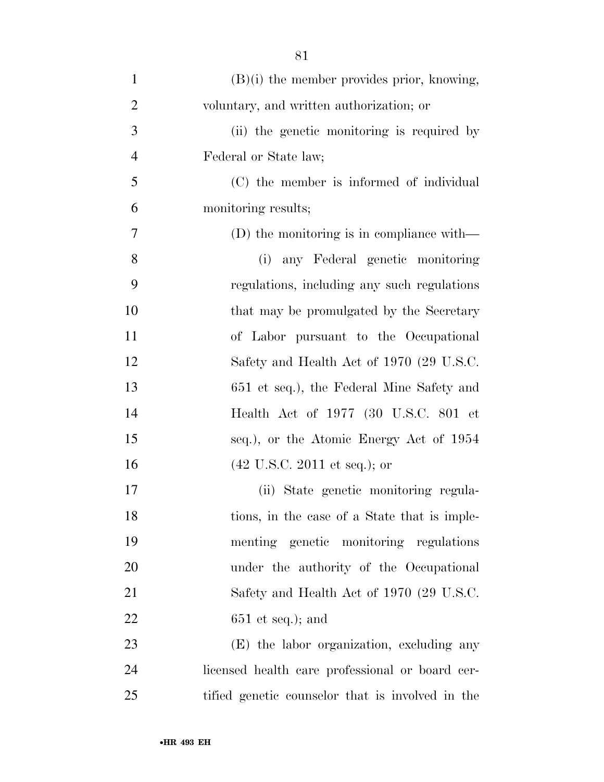| $\mathbf{1}$   | $(B)(i)$ the member provides prior, knowing,     |
|----------------|--------------------------------------------------|
| $\overline{2}$ | voluntary, and written authorization; or         |
| 3              | (ii) the genetic monitoring is required by       |
| $\overline{4}$ | Federal or State law;                            |
| 5              | (C) the member is informed of individual         |
| 6              | monitoring results;                              |
| $\tau$         | $(D)$ the monitoring is in compliance with—      |
| 8              | (i) any Federal genetic monitoring               |
| 9              | regulations, including any such regulations      |
| 10             | that may be promulgated by the Secretary         |
| 11             | of Labor pursuant to the Occupational            |
| 12             | Safety and Health Act of 1970 (29 U.S.C.         |
| 13             | 651 et seq.), the Federal Mine Safety and        |
| 14             | Health Act of 1977 (30 U.S.C. 801 et             |
| 15             | seq.), or the Atomic Energy Act of 1954          |
| 16             | $(42 \text{ U.S.C. } 2011 \text{ et seq.});$ or  |
| 17             | (ii) State genetic monitoring regula-            |
| 18             | tions, in the case of a State that is imple-     |
| 19             | menting genetic monitoring regulations           |
| 20             | under the authority of the Occupational          |
| 21             | Safety and Health Act of 1970 (29 U.S.C.         |
| 22             | $651$ et seq.); and                              |
| 23             | (E) the labor organization, excluding any        |
| 24             | licensed health care professional or board cer-  |
| 25             | tified genetic counselor that is involved in the |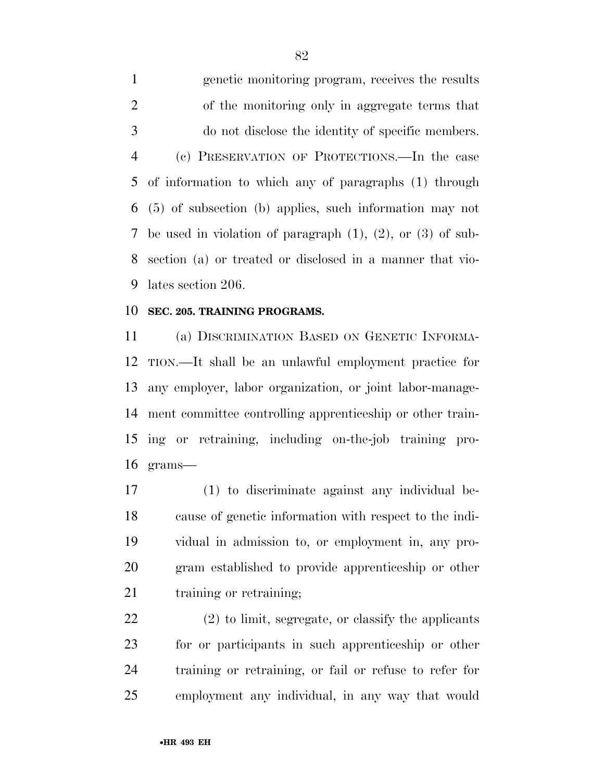genetic monitoring program, receives the results of the monitoring only in aggregate terms that do not disclose the identity of specific members. (c) PRESERVATION OF PROTECTIONS.—In the case of information to which any of paragraphs (1) through (5) of subsection (b) applies, such information may not be used in violation of paragraph (1), (2), or (3) of sub- section (a) or treated or disclosed in a manner that vio-lates section 206.

#### **SEC. 205. TRAINING PROGRAMS.**

 (a) DISCRIMINATION BASED ON GENETIC INFORMA- TION.—It shall be an unlawful employment practice for any employer, labor organization, or joint labor-manage- ment committee controlling apprenticeship or other train- ing or retraining, including on-the-job training pro-grams—

 (1) to discriminate against any individual be- cause of genetic information with respect to the indi- vidual in admission to, or employment in, any pro- gram established to provide apprenticeship or other 21 training or retraining;

 (2) to limit, segregate, or classify the applicants for or participants in such apprenticeship or other training or retraining, or fail or refuse to refer for employment any individual, in any way that would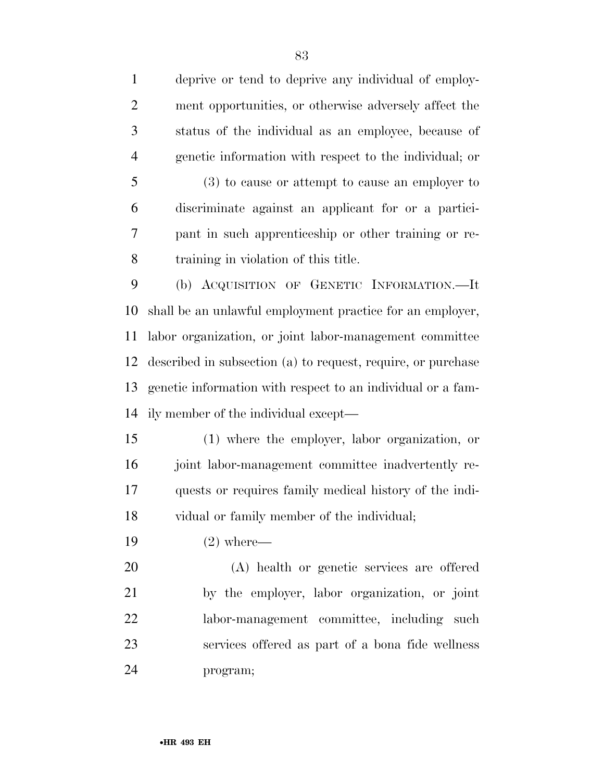deprive or tend to deprive any individual of employ- ment opportunities, or otherwise adversely affect the status of the individual as an employee, because of genetic information with respect to the individual; or

 (3) to cause or attempt to cause an employer to discriminate against an applicant for or a partici- pant in such apprenticeship or other training or re-training in violation of this title.

 (b) ACQUISITION OF GENETIC INFORMATION.—It shall be an unlawful employment practice for an employer, labor organization, or joint labor-management committee described in subsection (a) to request, require, or purchase genetic information with respect to an individual or a fam-ily member of the individual except—

 (1) where the employer, labor organization, or joint labor-management committee inadvertently re- quests or requires family medical history of the indi-vidual or family member of the individual;

(2) where—

 (A) health or genetic services are offered by the employer, labor organization, or joint labor-management committee, including such services offered as part of a bona fide wellness program;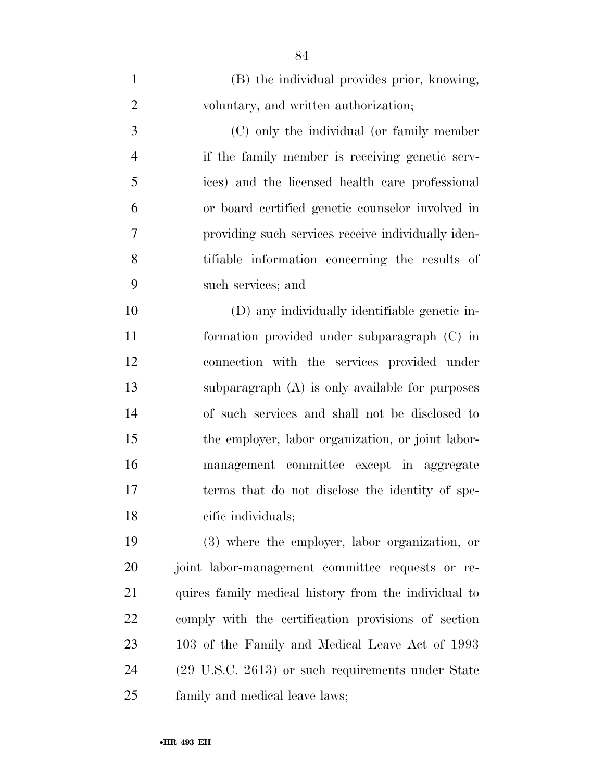| $\mathbf{1}$   | (B) the individual provides prior, knowing,          |
|----------------|------------------------------------------------------|
| $\overline{2}$ | voluntary, and written authorization;                |
| 3              | (C) only the individual (or family member            |
| $\overline{4}$ | if the family member is receiving genetic serv-      |
| 5              | ices) and the licensed health care professional      |
| 6              | or board certified genetic counselor involved in     |
| 7              | providing such services receive individually iden-   |
| 8              | tifiable information concerning the results of       |
| 9              | such services; and                                   |
| 10             | (D) any individually identifiable genetic in-        |
| 11             | formation provided under subparagraph (C) in         |
| 12             | connection with the services provided under          |
| 13             | subparagraph $(A)$ is only available for purposes    |
| 14             | of such services and shall not be disclosed to       |
| 15             | the employer, labor organization, or joint labor-    |
| 16             | management committee except in aggregate             |
| 17             | terms that do not disclose the identity of spe-      |
| 18             | cific individuals;                                   |
| 19             | (3) where the employer, labor organization, or       |
| 20             | joint labor-management committee requests or re-     |
| 21             | quires family medical history from the individual to |
| 22             | comply with the certification provisions of section  |
| 23             | 103 of the Family and Medical Leave Act of 1993      |
| 24             | (29 U.S.C. 2613) or such requirements under State    |
| 25             | family and medical leave laws;                       |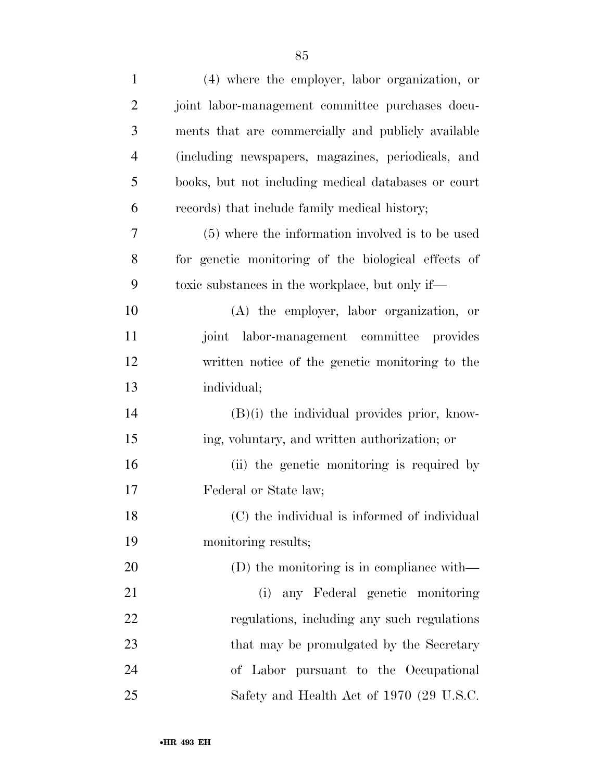| $\mathbf{1}$   | (4) where the employer, labor organization, or      |
|----------------|-----------------------------------------------------|
| $\overline{2}$ | joint labor-management committee purchases docu-    |
| 3              | ments that are commercially and publicly available  |
| $\overline{4}$ | (including newspapers, magazines, periodicals, and  |
| 5              | books, but not including medical databases or court |
| 6              | records) that include family medical history;       |
| 7              | (5) where the information involved is to be used    |
| 8              | for genetic monitoring of the biological effects of |
| 9              | toxic substances in the workplace, but only if—     |
| 10             | (A) the employer, labor organization, or            |
| 11             | joint labor-management committee provides           |
| 12             | written notice of the genetic monitoring to the     |
| 13             | individual;                                         |
| 14             | $(B)(i)$ the individual provides prior, know-       |
| 15             | ing, voluntary, and written authorization; or       |
| 16             | (ii) the genetic monitoring is required by          |
| 17             | Federal or State law;                               |
| 18             | (C) the individual is informed of individual        |
| 19             | monitoring results;                                 |
| 20             | (D) the monitoring is in compliance with—           |
| 21             | (i) any Federal genetic monitoring                  |
| 22             | regulations, including any such regulations         |
| 23             | that may be promulgated by the Secretary            |
| 24             | of Labor pursuant to the Occupational               |
| 25             | Safety and Health Act of 1970 (29 U.S.C.            |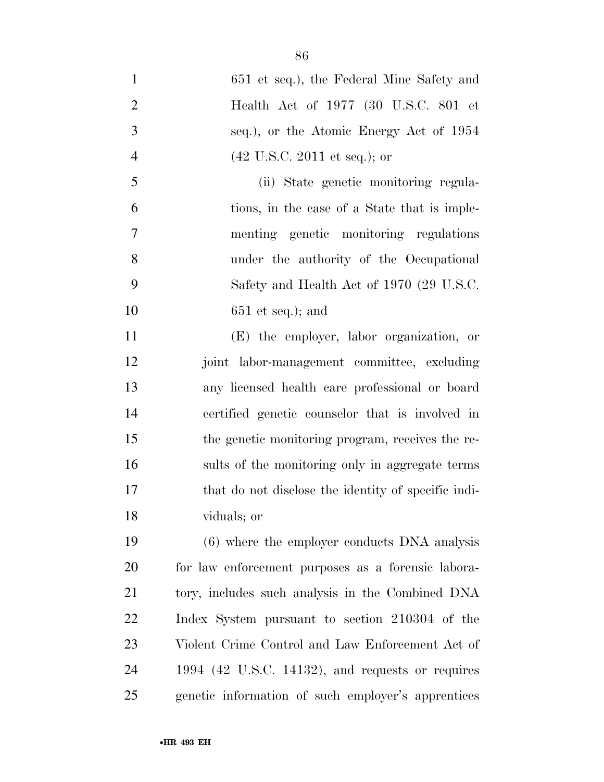651 et seq.), the Federal Mine Safety and Health Act of 1977 (30 U.S.C. 801 et seq.), or the Atomic Energy Act of 1954 (42 U.S.C. 2011 et seq.); or (ii) State genetic monitoring regula- tions, in the case of a State that is imple- menting genetic monitoring regulations under the authority of the Occupational Safety and Health Act of 1970 (29 U.S.C. 651 et seq.); and (E) the employer, labor organization, or joint labor-management committee, excluding any licensed health care professional or board certified genetic counselor that is involved in the genetic monitoring program, receives the re- sults of the monitoring only in aggregate terms that do not disclose the identity of specific indi- viduals; or (6) where the employer conducts DNA analysis

 for law enforcement purposes as a forensic labora- tory, includes such analysis in the Combined DNA Index System pursuant to section 210304 of the Violent Crime Control and Law Enforcement Act of 1994 (42 U.S.C. 14132), and requests or requires genetic information of such employer's apprentices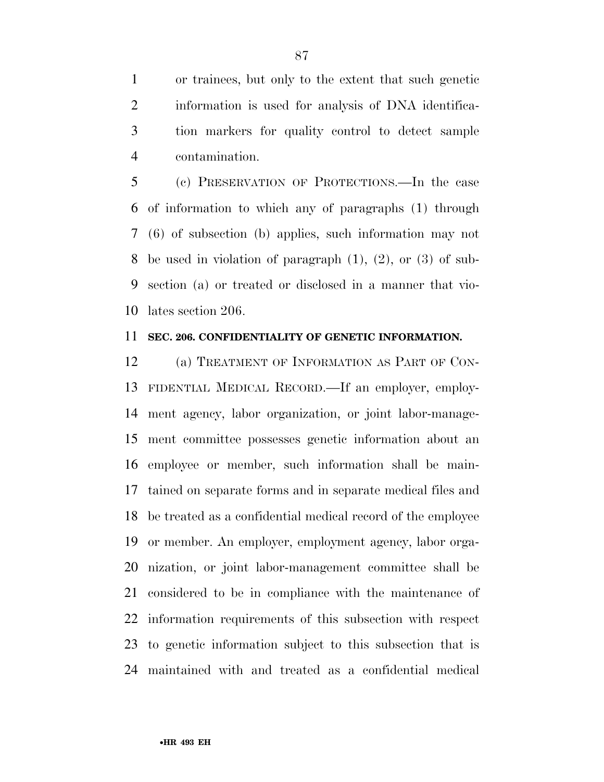or trainees, but only to the extent that such genetic information is used for analysis of DNA identifica- tion markers for quality control to detect sample contamination.

 (c) PRESERVATION OF PROTECTIONS.—In the case of information to which any of paragraphs (1) through (6) of subsection (b) applies, such information may not be used in violation of paragraph (1), (2), or (3) of sub- section (a) or treated or disclosed in a manner that vio-lates section 206.

#### **SEC. 206. CONFIDENTIALITY OF GENETIC INFORMATION.**

 (a) TREATMENT OF INFORMATION AS PART OF CON- FIDENTIAL MEDICAL RECORD.—If an employer, employ- ment agency, labor organization, or joint labor-manage- ment committee possesses genetic information about an employee or member, such information shall be main- tained on separate forms and in separate medical files and be treated as a confidential medical record of the employee or member. An employer, employment agency, labor orga- nization, or joint labor-management committee shall be considered to be in compliance with the maintenance of information requirements of this subsection with respect to genetic information subject to this subsection that is maintained with and treated as a confidential medical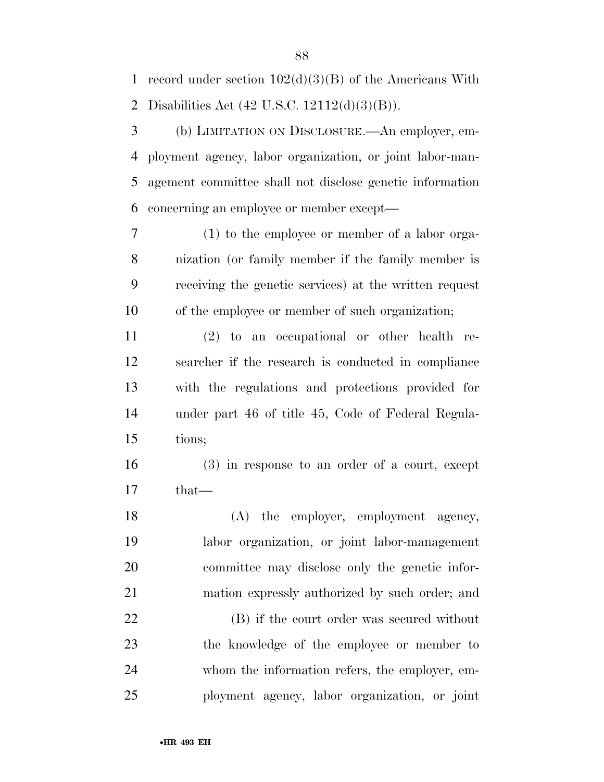1 record under section  $102(d)(3)(B)$  of the Americans With Disabilities Act (42 U.S.C. 12112(d)(3)(B)).

 (b) LIMITATION ON DISCLOSURE.—An employer, em- ployment agency, labor organization, or joint labor-man- agement committee shall not disclose genetic information concerning an employee or member except—

 (1) to the employee or member of a labor orga- nization (or family member if the family member is receiving the genetic services) at the written request of the employee or member of such organization;

 (2) to an occupational or other health re- searcher if the research is conducted in compliance with the regulations and protections provided for under part 46 of title 45, Code of Federal Regula-tions;

 (3) in response to an order of a court, except that—

18 (A) the employer, employment agency, labor organization, or joint labor-management committee may disclose only the genetic infor-mation expressly authorized by such order; and

 (B) if the court order was secured without the knowledge of the employee or member to whom the information refers, the employer, em-ployment agency, labor organization, or joint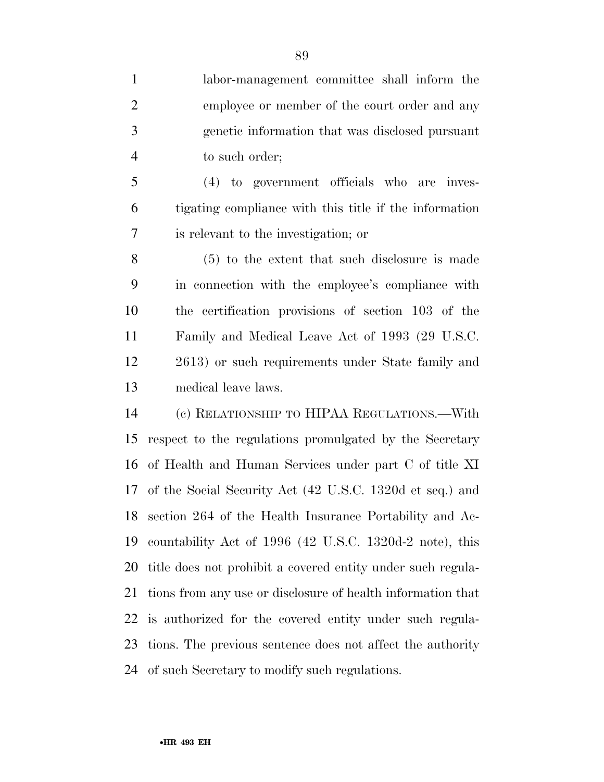labor-management committee shall inform the employee or member of the court order and any genetic information that was disclosed pursuant to such order;

 (4) to government officials who are inves- tigating compliance with this title if the information is relevant to the investigation; or

 (5) to the extent that such disclosure is made in connection with the employee's compliance with the certification provisions of section 103 of the Family and Medical Leave Act of 1993 (29 U.S.C. 2613) or such requirements under State family and medical leave laws.

 (c) RELATIONSHIP TO HIPAA REGULATIONS.—With respect to the regulations promulgated by the Secretary of Health and Human Services under part C of title XI of the Social Security Act (42 U.S.C. 1320d et seq.) and section 264 of the Health Insurance Portability and Ac- countability Act of 1996 (42 U.S.C. 1320d-2 note), this title does not prohibit a covered entity under such regula- tions from any use or disclosure of health information that is authorized for the covered entity under such regula- tions. The previous sentence does not affect the authority of such Secretary to modify such regulations.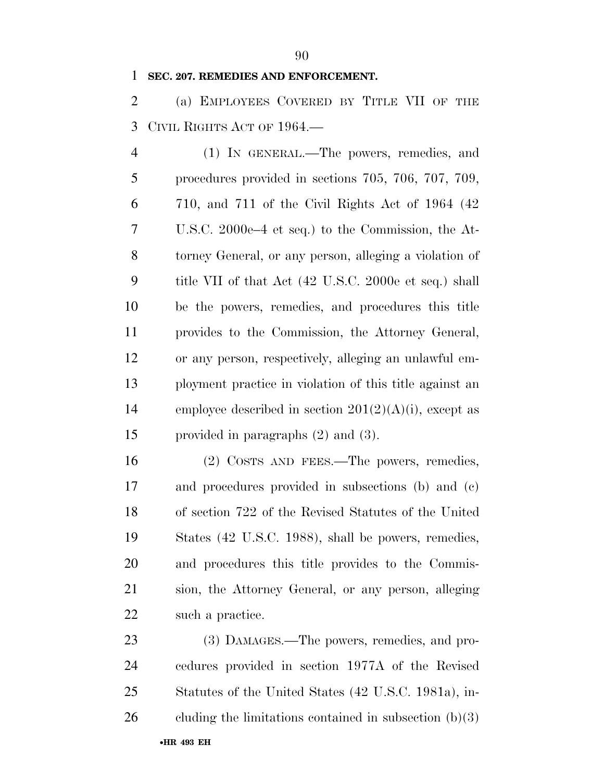#### **SEC. 207. REMEDIES AND ENFORCEMENT.**

 (a) EMPLOYEES COVERED BY TITLE VII OF THE CIVIL RIGHTS ACT OF 1964.—

 (1) IN GENERAL.—The powers, remedies, and procedures provided in sections 705, 706, 707, 709, 710, and 711 of the Civil Rights Act of 1964 (42 U.S.C. 2000e–4 et seq.) to the Commission, the At- torney General, or any person, alleging a violation of title VII of that Act (42 U.S.C. 2000e et seq.) shall be the powers, remedies, and procedures this title provides to the Commission, the Attorney General, or any person, respectively, alleging an unlawful em- ployment practice in violation of this title against an 14 employee described in section  $201(2)(A)(i)$ , except as provided in paragraphs (2) and (3).

 (2) COSTS AND FEES.—The powers, remedies, and procedures provided in subsections (b) and (c) of section 722 of the Revised Statutes of the United States (42 U.S.C. 1988), shall be powers, remedies, and procedures this title provides to the Commis- sion, the Attorney General, or any person, alleging 22 such a practice.

23 (3) DAMAGES.—The powers, remedies, and pro- cedures provided in section 1977A of the Revised Statutes of the United States (42 U.S.C. 1981a), in-26 cluding the limitations contained in subsection  $(b)(3)$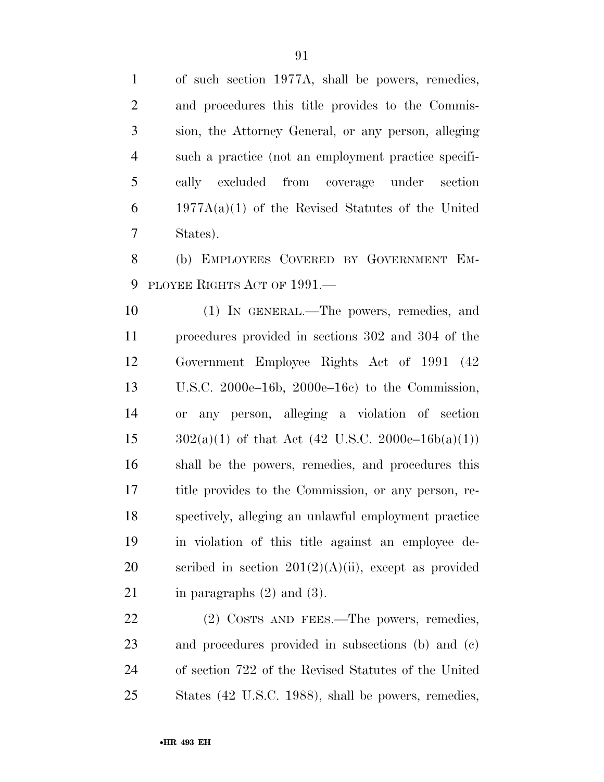of such section 1977A, shall be powers, remedies, and procedures this title provides to the Commis- sion, the Attorney General, or any person, alleging such a practice (not an employment practice specifi- cally excluded from coverage under section 1977A(a)(1) of the Revised Statutes of the United States).

 (b) EMPLOYEES COVERED BY GOVERNMENT EM-PLOYEE RIGHTS ACT OF 1991.—

 (1) IN GENERAL.—The powers, remedies, and procedures provided in sections 302 and 304 of the Government Employee Rights Act of 1991 (42 U.S.C. 2000e–16b, 2000e–16c) to the Commission, or any person, alleging a violation of section  $302(a)(1)$  of that Act (42 U.S.C. 2000e–16b(a)(1)) shall be the powers, remedies, and procedures this title provides to the Commission, or any person, re- spectively, alleging an unlawful employment practice in violation of this title against an employee de-20 scribed in section  $201(2)(A)(ii)$ , except as provided 21 in paragraphs  $(2)$  and  $(3)$ .

22 (2) COSTS AND FEES.—The powers, remedies, and procedures provided in subsections (b) and (c) of section 722 of the Revised Statutes of the United States (42 U.S.C. 1988), shall be powers, remedies,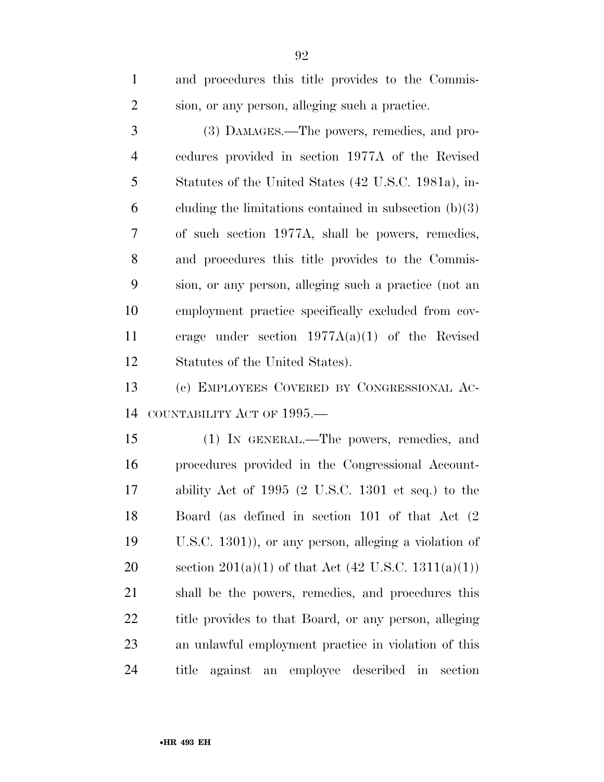| $\mathbf{1}$   | and procedures this title provides to the Commis-        |
|----------------|----------------------------------------------------------|
| $\overline{2}$ | sion, or any person, alleging such a practice.           |
| 3              | (3) DAMAGES.—The powers, remedies, and pro-              |
| $\overline{4}$ | cedures provided in section 1977A of the Revised         |
| 5              | Statutes of the United States (42 U.S.C. 1981a), in-     |
| 6              | cluding the limitations contained in subsection $(b)(3)$ |
| 7              | of such section 1977A, shall be powers, remedies,        |
| 8              | and procedures this title provides to the Commis-        |
| 9              | sion, or any person, alleging such a practice (not an    |
| 10             | employment practice specifically excluded from cov-      |
| 11             | erage under section $1977A(a)(1)$ of the Revised         |
| 12             | Statutes of the United States).                          |
| 13             | (c) EMPLOYEES COVERED BY CONGRESSIONAL AC-               |
| 14             | COUNTABILITY ACT OF 1995.—                               |
| 15             | (1) IN GENERAL.—The powers, remedies, and                |
| 16             | procedures provided in the Congressional Account-        |
| 17             | ability Act of 1995 (2 U.S.C. 1301 et seq.) to the       |
| 18             | Board (as defined in section 101 of that Act $(2)$       |
| 19             | U.S.C. $1301$ ), or any person, alleging a violation of  |
| 20             | section 201(a)(1) of that Act (42 U.S.C. 1311(a)(1))     |
| 21             | shall be the powers, remedies, and procedures this       |
| 22             | title provides to that Board, or any person, alleging    |

an unlawful employment practice in violation of this

title against an employee described in section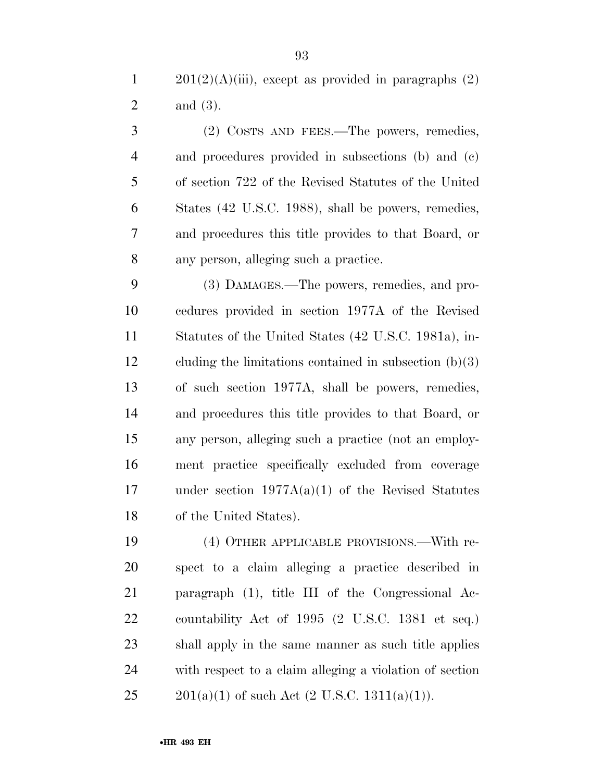1  $201(2)(A)(iii)$ , except as provided in paragraphs  $(2)$ and (3).

 (2) COSTS AND FEES.—The powers, remedies, and procedures provided in subsections (b) and (c) of section 722 of the Revised Statutes of the United States (42 U.S.C. 1988), shall be powers, remedies, and procedures this title provides to that Board, or any person, alleging such a practice.

 (3) DAMAGES.—The powers, remedies, and pro- cedures provided in section 1977A of the Revised Statutes of the United States (42 U.S.C. 1981a), in- cluding the limitations contained in subsection (b)(3) of such section 1977A, shall be powers, remedies, and procedures this title provides to that Board, or any person, alleging such a practice (not an employ- ment practice specifically excluded from coverage under section 1977A(a)(1) of the Revised Statutes of the United States).

 (4) OTHER APPLICABLE PROVISIONS.—With re- spect to a claim alleging a practice described in paragraph (1), title III of the Congressional Ac- countability Act of 1995 (2 U.S.C. 1381 et seq.) shall apply in the same manner as such title applies with respect to a claim alleging a violation of section 25 201(a)(1) of such Act  $(2 \text{ U.S.C. } 1311(a)(1))$ .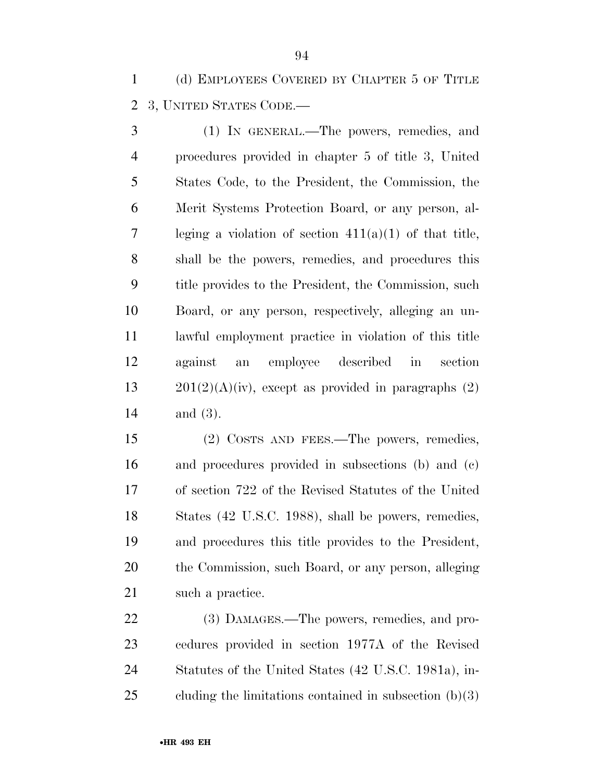(d) EMPLOYEES COVERED BY CHAPTER 5 OF TITLE 3, UNITED STATES CODE.—

 (1) IN GENERAL.—The powers, remedies, and procedures provided in chapter 5 of title 3, United States Code, to the President, the Commission, the Merit Systems Protection Board, or any person, al- leging a violation of section 411(a)(1) of that title, shall be the powers, remedies, and procedures this title provides to the President, the Commission, such Board, or any person, respectively, alleging an un- lawful employment practice in violation of this title against an employee described in section  $201(2)(A)(iv)$ , except as provided in paragraphs (2) and (3).

 (2) COSTS AND FEES.—The powers, remedies, and procedures provided in subsections (b) and (c) of section 722 of the Revised Statutes of the United States (42 U.S.C. 1988), shall be powers, remedies, and procedures this title provides to the President, the Commission, such Board, or any person, alleging 21 such a practice.

22 (3) DAMAGES.—The powers, remedies, and pro- cedures provided in section 1977A of the Revised Statutes of the United States (42 U.S.C. 1981a), in-cluding the limitations contained in subsection (b)(3)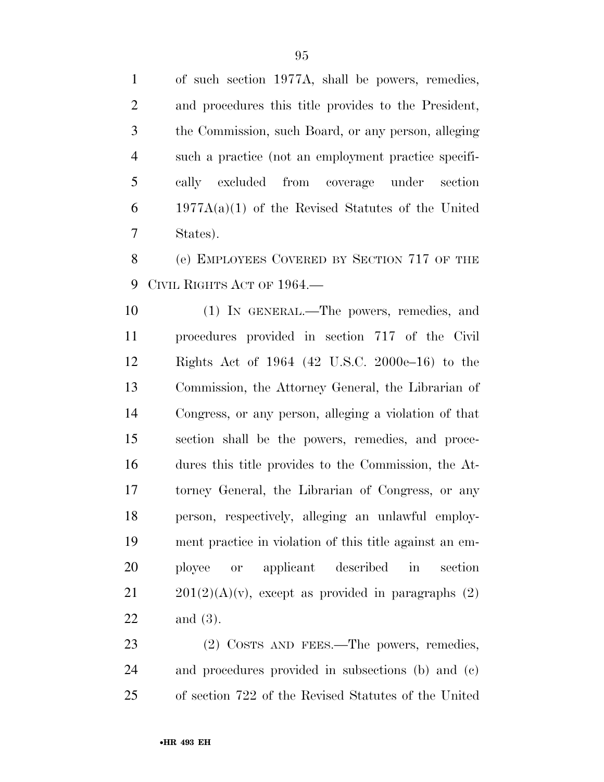of such section 1977A, shall be powers, remedies, and procedures this title provides to the President, the Commission, such Board, or any person, alleging such a practice (not an employment practice specifi- cally excluded from coverage under section 1977A(a)(1) of the Revised Statutes of the United States).

 (e) EMPLOYEES COVERED BY SECTION 717 OF THE CIVIL RIGHTS ACT OF 1964.—

 (1) IN GENERAL.—The powers, remedies, and procedures provided in section 717 of the Civil Rights Act of 1964 (42 U.S.C. 2000e–16) to the Commission, the Attorney General, the Librarian of Congress, or any person, alleging a violation of that section shall be the powers, remedies, and proce- dures this title provides to the Commission, the At- torney General, the Librarian of Congress, or any person, respectively, alleging an unlawful employ- ment practice in violation of this title against an em- ployee or applicant described in section  $201(2)(A)(v)$ , except as provided in paragraphs (2) and (3).

23 (2) COSTS AND FEES.—The powers, remedies, and procedures provided in subsections (b) and (c) of section 722 of the Revised Statutes of the United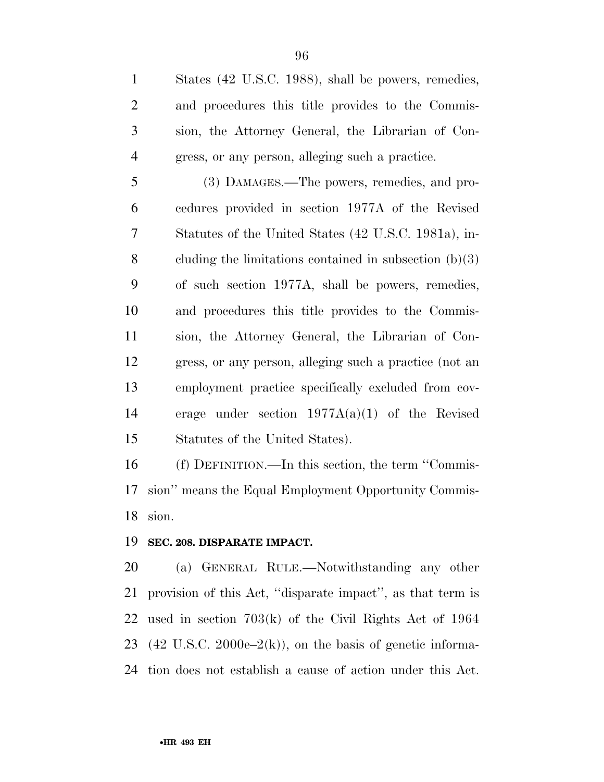States (42 U.S.C. 1988), shall be powers, remedies, and procedures this title provides to the Commis- sion, the Attorney General, the Librarian of Con-gress, or any person, alleging such a practice.

 (3) DAMAGES.—The powers, remedies, and pro- cedures provided in section 1977A of the Revised Statutes of the United States (42 U.S.C. 1981a), in- cluding the limitations contained in subsection (b)(3) of such section 1977A, shall be powers, remedies, and procedures this title provides to the Commis- sion, the Attorney General, the Librarian of Con- gress, or any person, alleging such a practice (not an employment practice specifically excluded from cov- erage under section 1977A(a)(1) of the Revised Statutes of the United States).

 (f) DEFINITION.—In this section, the term ''Commis- sion'' means the Equal Employment Opportunity Commis-sion.

#### **SEC. 208. DISPARATE IMPACT.**

 (a) GENERAL RULE.—Notwithstanding any other provision of this Act, ''disparate impact'', as that term is used in section 703(k) of the Civil Rights Act of 1964 23 (42 U.S.C. 2000e– $2(k)$ ), on the basis of genetic informa-tion does not establish a cause of action under this Act.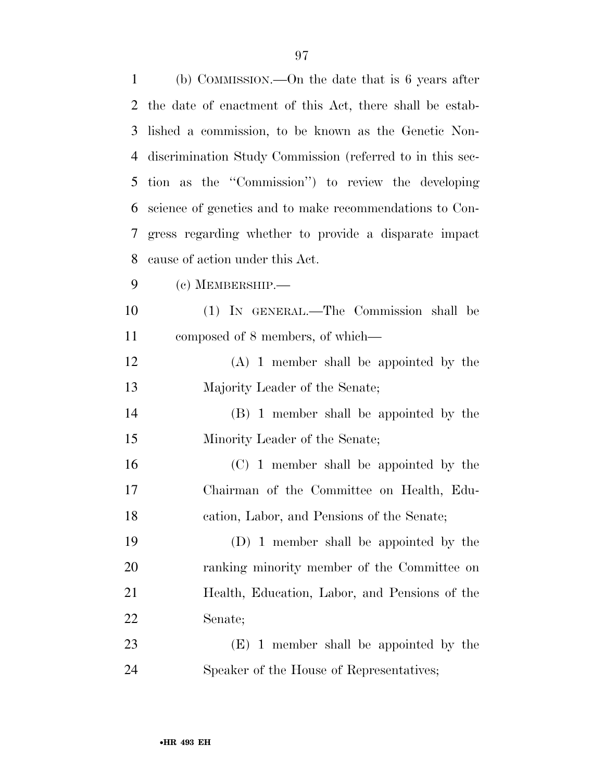| $\mathbf{1}$   | (b) COMMISSION.—On the date that is 6 years after         |
|----------------|-----------------------------------------------------------|
| $\overline{2}$ | the date of enactment of this Act, there shall be estab-  |
| 3              | lished a commission, to be known as the Genetic Non-      |
| 4              | discrimination Study Commission (referred to in this sec- |
| 5              | tion as the "Commission" to review the developing         |
| 6              | science of genetics and to make recommendations to Con-   |
| 7              | gress regarding whether to provide a disparate impact     |
| 8              | cause of action under this Act.                           |
| 9              | $(c)$ MEMBERSHIP.—                                        |
| 10             | (1) IN GENERAL.—The Commission shall be                   |
| 11             | composed of 8 members, of which—                          |
| 12             | $(A)$ 1 member shall be appointed by the                  |
| 13             | Majority Leader of the Senate;                            |
| 14             | (B) 1 member shall be appointed by the                    |
| 15             | Minority Leader of the Senate;                            |
| 16             | (C) 1 member shall be appointed by the                    |
| 17             | Chairman of the Committee on Health, Edu-                 |
| 18             | cation, Labor, and Pensions of the Senate;                |
| 19             | (D) 1 member shall be appointed by the                    |
| 20             | ranking minority member of the Committee on               |
| 21             | Health, Education, Labor, and Pensions of the             |
| 22             | Senate;                                                   |
| 23             | $(E)$ 1 member shall be appointed by the                  |
| 24             | Speaker of the House of Representatives;                  |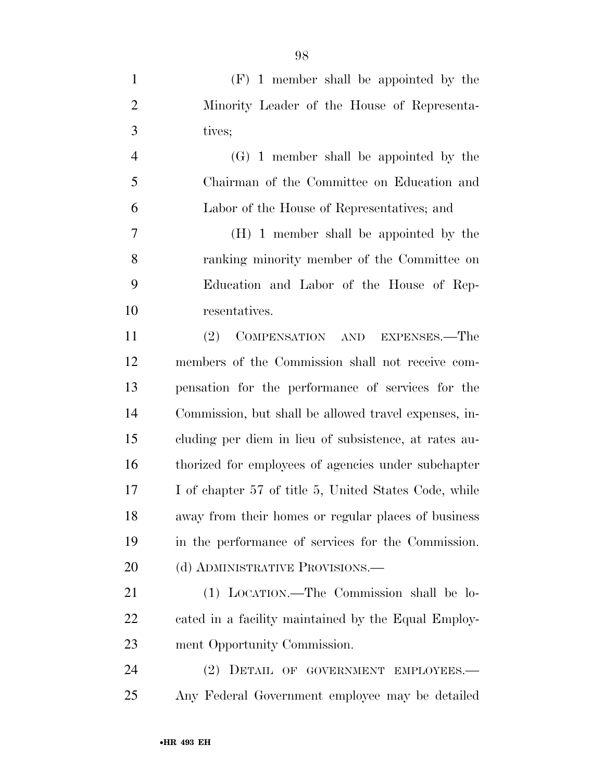| $\mathbf{1}$     | $(F)$ 1 member shall be appointed by the              |
|------------------|-------------------------------------------------------|
| $\overline{2}$   | Minority Leader of the House of Representa-           |
| 3                | tives;                                                |
| $\overline{4}$   | (G) 1 member shall be appointed by the                |
| 5                | Chairman of the Committee on Education and            |
| 6                | Labor of the House of Representatives; and            |
| $\boldsymbol{7}$ | (H) 1 member shall be appointed by the                |
| 8                | ranking minority member of the Committee on           |
| 9                | Education and Labor of the House of Rep-              |
| 10               | resentatives.                                         |
| 11               | COMPENSATION AND EXPENSES.—The<br>(2)                 |
| 12               | members of the Commission shall not receive com-      |
| 13               | pensation for the performance of services for the     |
| 14               | Commission, but shall be allowed travel expenses, in- |
| 15               | cluding per diem in lieu of subsistence, at rates au- |
| 16               | thorized for employees of agencies under subchapter   |
| 17               | I of chapter 57 of title 5, United States Code, while |
| 18               | away from their homes or regular places of business   |
| 19               | in the performance of services for the Commission.    |
| 20               | (d) ADMINISTRATIVE PROVISIONS.—                       |
| 21               | (1) LOCATION.—The Commission shall be lo-             |
| 22               | cated in a facility maintained by the Equal Employ-   |
| 23               | ment Opportunity Commission.                          |
| 24               | DETAIL OF GOVERNMENT EMPLOYEES.-<br>(2)               |
| 25               | Any Federal Government employee may be detailed       |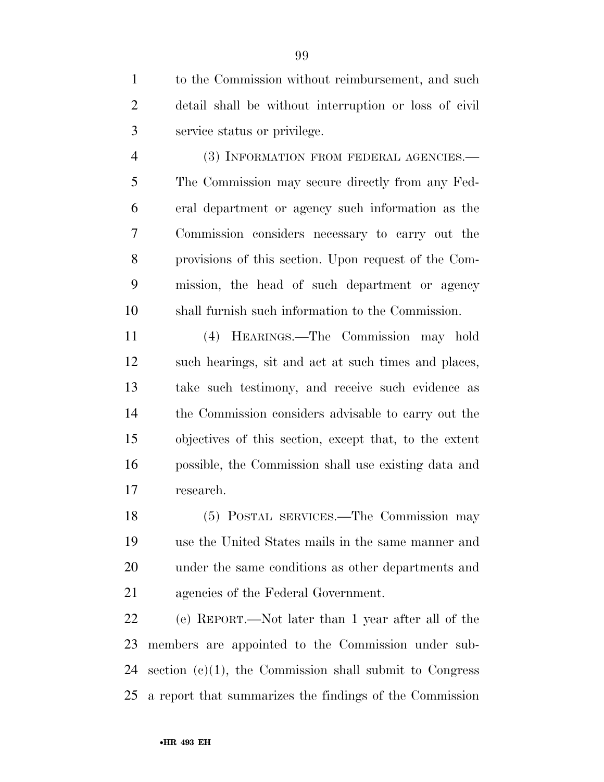to the Commission without reimbursement, and such detail shall be without interruption or loss of civil service status or privilege.

 (3) INFORMATION FROM FEDERAL AGENCIES.— The Commission may secure directly from any Fed- eral department or agency such information as the Commission considers necessary to carry out the provisions of this section. Upon request of the Com- mission, the head of such department or agency shall furnish such information to the Commission.

 (4) HEARINGS.—The Commission may hold such hearings, sit and act at such times and places, take such testimony, and receive such evidence as the Commission considers advisable to carry out the objectives of this section, except that, to the extent possible, the Commission shall use existing data and research.

 (5) POSTAL SERVICES.—The Commission may use the United States mails in the same manner and under the same conditions as other departments and agencies of the Federal Government.

 (e) REPORT.—Not later than 1 year after all of the members are appointed to the Commission under sub-24 section  $(c)(1)$ , the Commission shall submit to Congress a report that summarizes the findings of the Commission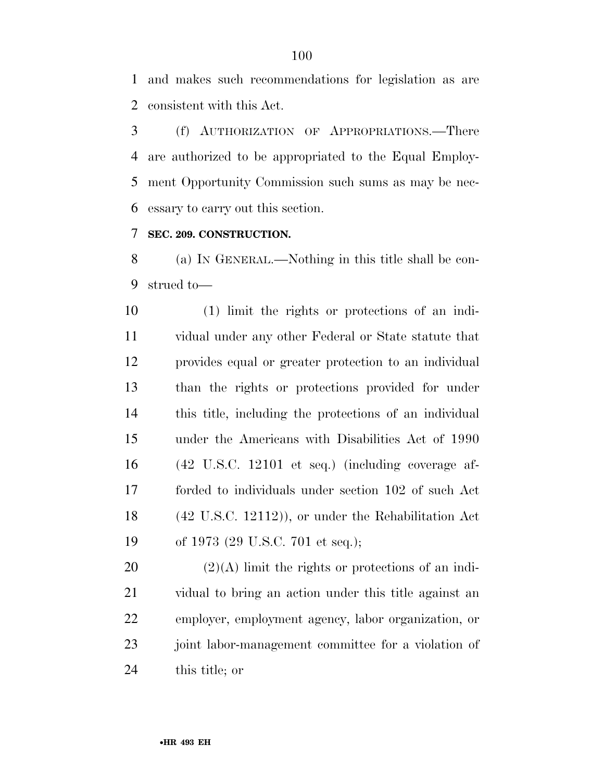and makes such recommendations for legislation as are consistent with this Act.

 (f) AUTHORIZATION OF APPROPRIATIONS.—There are authorized to be appropriated to the Equal Employ- ment Opportunity Commission such sums as may be nec-essary to carry out this section.

#### **SEC. 209. CONSTRUCTION.**

 (a) IN GENERAL.—Nothing in this title shall be con-strued to—

 (1) limit the rights or protections of an indi- vidual under any other Federal or State statute that provides equal or greater protection to an individual than the rights or protections provided for under this title, including the protections of an individual under the Americans with Disabilities Act of 1990 (42 U.S.C. 12101 et seq.) (including coverage af- forded to individuals under section 102 of such Act (42 U.S.C. 12112)), or under the Rehabilitation Act of 1973 (29 U.S.C. 701 et seq.);

 $(2)(A)$  limit the rights or protections of an indi- vidual to bring an action under this title against an employer, employment agency, labor organization, or joint labor-management committee for a violation of this title; or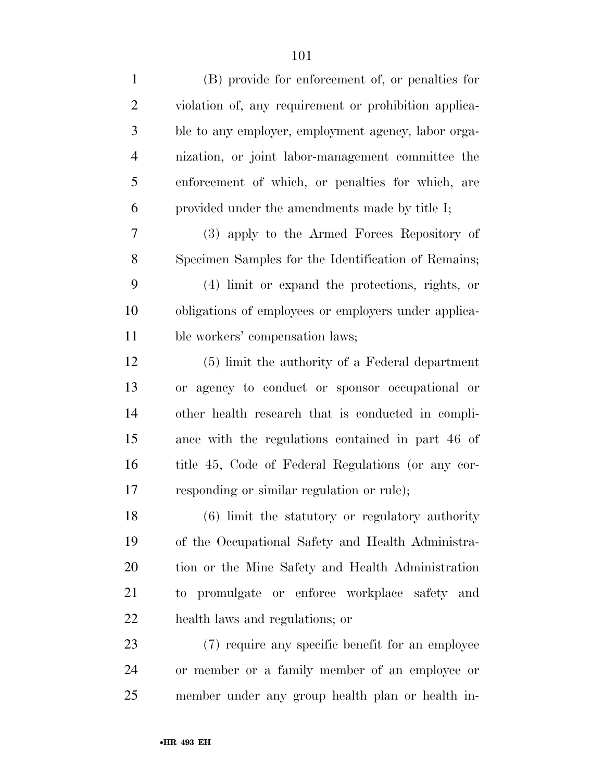| $\mathbf{1}$   | (B) provide for enforcement of, or penalties for      |
|----------------|-------------------------------------------------------|
| $\overline{2}$ | violation of, any requirement or prohibition applica- |
| 3              | ble to any employer, employment agency, labor orga-   |
| 4              | nization, or joint labor-management committee the     |
| 5              | enforcement of which, or penalties for which, are     |
| 6              | provided under the amendments made by title I;        |
| 7              | (3) apply to the Armed Forces Repository of           |
| 8              | Specimen Samples for the Identification of Remains;   |
| 9              | (4) limit or expand the protections, rights, or       |
| 10             | obligations of employees or employers under applica-  |
| 11             | ble workers' compensation laws;                       |
| 12             | (5) limit the authority of a Federal department       |
| 13             | or agency to conduct or sponsor occupational or       |
| 14             | other health research that is conducted in compli-    |
| 15             | ance with the regulations contained in part 46 of     |
| 16             | title 45, Code of Federal Regulations (or any cor-    |
| 17             | responding or similar regulation or rule);            |
| 18             | (6) limit the statutory or regulatory authority       |
| 19             | of the Occupational Safety and Health Administra-     |
| 20             | tion or the Mine Safety and Health Administration     |
| 21             | to promulgate or enforce workplace safety and         |
| 22             | health laws and regulations; or                       |
| 23             | (7) require any specific benefit for an employee      |
| 24             | or member or a family member of an employee or        |
| 25             | member under any group health plan or health in-      |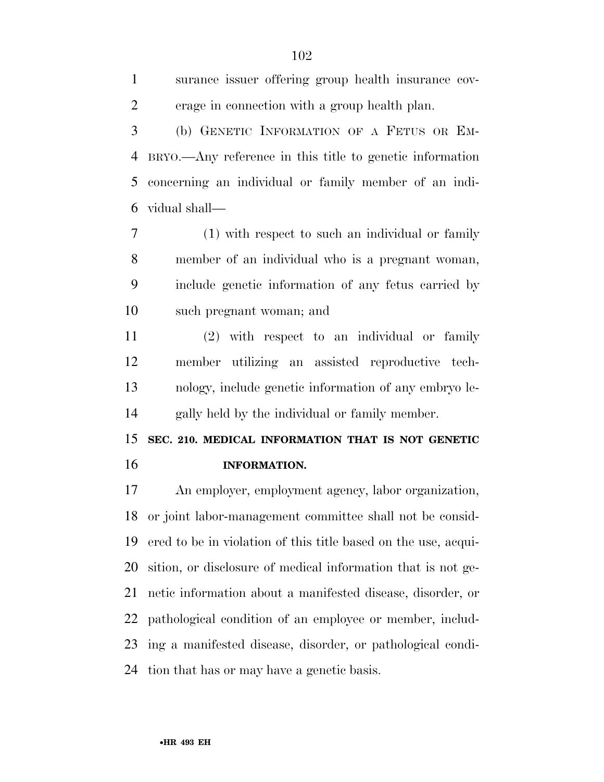surance issuer offering group health insurance cov- erage in connection with a group health plan. (b) GENETIC INFORMATION OF A FETUS OR EM- BRYO.—Any reference in this title to genetic information concerning an individual or family member of an indi-

vidual shall—

 (1) with respect to such an individual or family member of an individual who is a pregnant woman, include genetic information of any fetus carried by such pregnant woman; and

 (2) with respect to an individual or family member utilizing an assisted reproductive tech- nology, include genetic information of any embryo le-gally held by the individual or family member.

 **SEC. 210. MEDICAL INFORMATION THAT IS NOT GENETIC INFORMATION.** 

 An employer, employment agency, labor organization, or joint labor-management committee shall not be consid- ered to be in violation of this title based on the use, acqui- sition, or disclosure of medical information that is not ge- netic information about a manifested disease, disorder, or pathological condition of an employee or member, includ- ing a manifested disease, disorder, or pathological condi-tion that has or may have a genetic basis.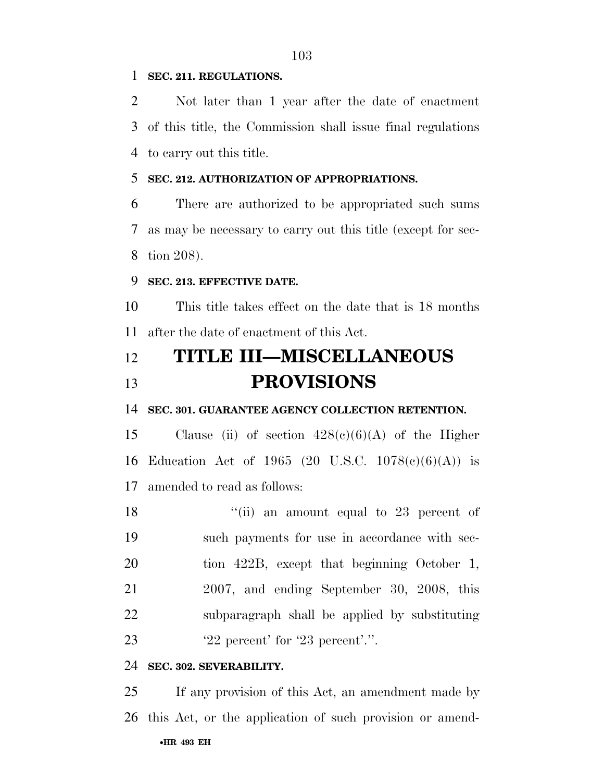#### **SEC. 211. REGULATIONS.**

 Not later than 1 year after the date of enactment of this title, the Commission shall issue final regulations to carry out this title.

#### **SEC. 212. AUTHORIZATION OF APPROPRIATIONS.**

 There are authorized to be appropriated such sums as may be necessary to carry out this title (except for sec-tion 208).

#### **SEC. 213. EFFECTIVE DATE.**

 This title takes effect on the date that is 18 months after the date of enactment of this Act.

### **TITLE III—MISCELLANEOUS PROVISIONS**

#### **SEC. 301. GUARANTEE AGENCY COLLECTION RETENTION.**

15 Clause (ii) of section  $428(c)(6)(A)$  of the Higher Education Act of 1965 (20 U.S.C. 1078(c)(6)(A)) is amended to read as follows:

18 ''(ii) an amount equal to 23 percent of such payments for use in accordance with sec-20 tion 422B, except that beginning October 1, 2007, and ending September 30, 2008, this subparagraph shall be applied by substituting **'22** percent' for '23 percent'.".

#### **SEC. 302. SEVERABILITY.**

•**HR 493 EH** If any provision of this Act, an amendment made by this Act, or the application of such provision or amend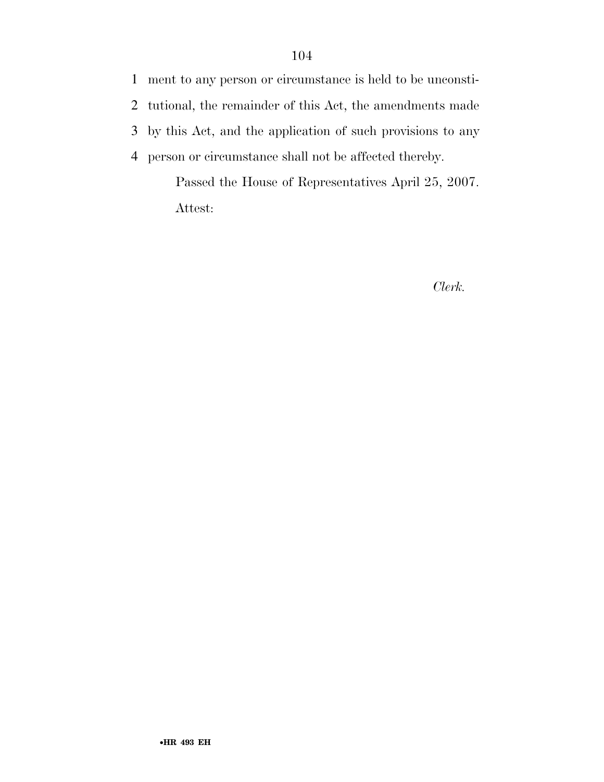ment to any person or circumstance is held to be unconsti- tutional, the remainder of this Act, the amendments made by this Act, and the application of such provisions to any person or circumstance shall not be affected thereby.

Passed the House of Representatives April 25, 2007. Attest:

*Clerk.*